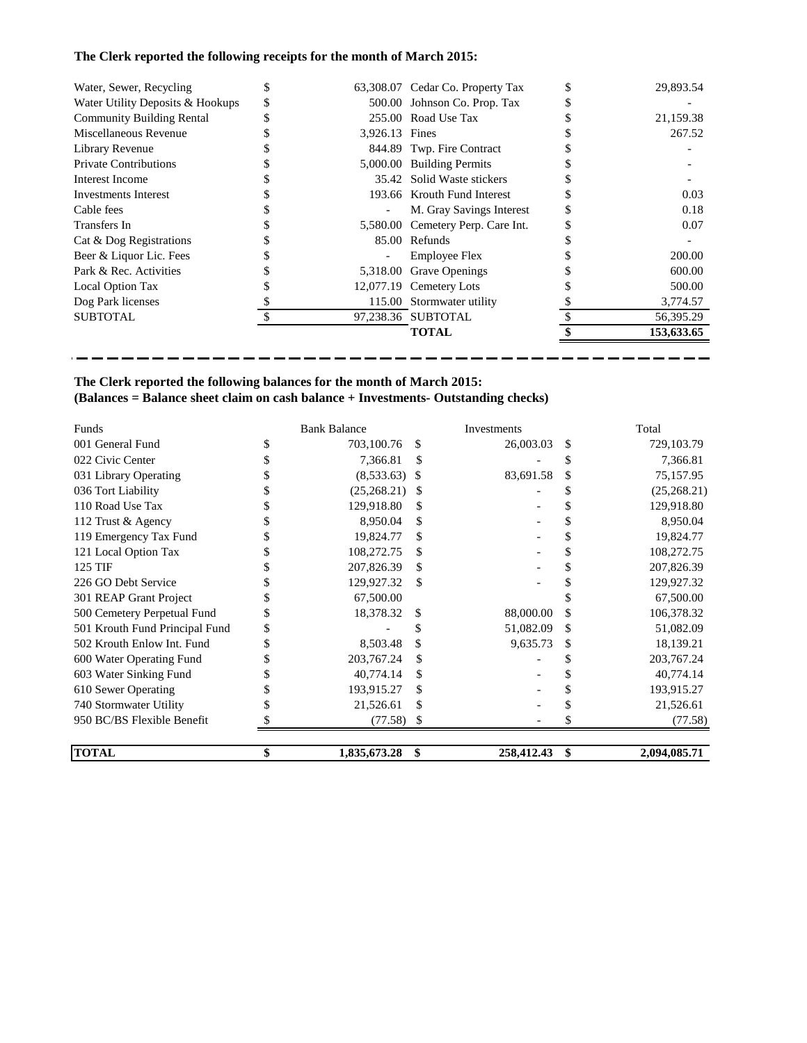# **The Clerk reported the following receipts for the month of March 2015:**

| Water, Sewer, Recycling          | S  |                | 63,308.07 Cedar Co. Property Tax  | 29,893.54  |
|----------------------------------|----|----------------|-----------------------------------|------------|
| Water Utility Deposits & Hookups | \$ |                | 500.00 Johnson Co. Prop. Tax      |            |
| <b>Community Building Rental</b> |    |                | 255.00 Road Use Tax               | 21,159.38  |
| Miscellaneous Revenue            |    | 3,926.13 Fines |                                   | 267.52     |
| Library Revenue                  |    |                | 844.89 Twp. Fire Contract         |            |
| <b>Private Contributions</b>     |    |                | 5,000.00 Building Permits         |            |
| Interest Income                  |    |                | 35.42 Solid Waste stickers        |            |
| Investments Interest             |    |                | 193.66 Krouth Fund Interest       | 0.03       |
| Cable fees                       |    |                | M. Gray Savings Interest          | 0.18       |
| Transfers In                     |    |                | 5,580.00 Cemetery Perp. Care Int. | 0.07       |
| Cat & Dog Registrations          |    |                | 85.00 Refunds                     |            |
| Beer & Liquor Lic. Fees          |    |                | <b>Employee Flex</b>              | 200.00     |
| Park & Rec. Activities           |    | 5,318.00       | <b>Grave Openings</b>             | 600.00     |
| Local Option Tax                 |    |                | 12,077.19 Cemetery Lots           | 500.00     |
| Dog Park licenses                |    |                | 115.00 Stormwater utility         | 3,774.57   |
| <b>SUBTOTAL</b>                  |    |                | 97,238.36 SUBTOTAL                | 56,395.29  |
|                                  |    |                | <b>TOTAL</b>                      | 153,633.65 |

-----------------

-ш. ۰, ÷. - ш,

 $\blacksquare$ 

## **The Clerk reported the following balances for the month of March 2015: (Balances = Balance sheet claim on cash balance + Investments- Outstanding checks)**

 $\overline{\phantom{0}}$ 

---

| Funds                          | <b>Bank Balance</b> |     | Investments | Total              |
|--------------------------------|---------------------|-----|-------------|--------------------|
| 001 General Fund               | 703,100.76          | S   | 26,003.03   | \$<br>729,103.79   |
| 022 Civic Center               | 7,366.81            | S   |             | 7,366.81           |
| 031 Library Operating          | (8,533.63)          | -S  | 83,691.58   | \$<br>75,157.95    |
| 036 Tort Liability             | (25,268.21)         |     |             | (25,268.21)        |
| 110 Road Use Tax               | 129,918.80          | S   |             | 129,918.80         |
| 112 Trust & Agency             | 8,950.04            | \$  |             | 8,950.04           |
| 119 Emergency Tax Fund         | 19,824.77           | \$  |             | 19,824.77          |
| 121 Local Option Tax           | 108,272.75          | \$. |             | 108,272.75         |
| 125 TIF                        | 207,826.39          | \$  |             | 207,826.39         |
| 226 GO Debt Service            | 129,927.32          | \$  |             | 129,927.32         |
| 301 REAP Grant Project         | 67,500.00           |     |             | 67,500.00          |
| 500 Cemetery Perpetual Fund    | 18,378.32           | \$  | 88,000.00   | \$<br>106,378.32   |
| 501 Krouth Fund Principal Fund |                     |     | 51,082.09   | \$<br>51,082.09    |
| 502 Krouth Enlow Int. Fund     | 8,503.48            |     | 9,635.73    | \$<br>18,139.21    |
| 600 Water Operating Fund       | 203, 767. 24        |     |             | 203, 767. 24       |
| 603 Water Sinking Fund         | 40,774.14           | \$. |             | 40,774.14          |
| 610 Sewer Operating            | 193,915.27          | S   |             | 193,915.27         |
| 740 Stormwater Utility         | 21,526.61           | S   |             | 21,526.61          |
| 950 BC/BS Flexible Benefit     | (77.58)             | S   |             | (77.58)            |
| <b>TOTAL</b>                   | \$<br>1,835,673.28  | \$  | 258,412.43  | \$<br>2,094,085.71 |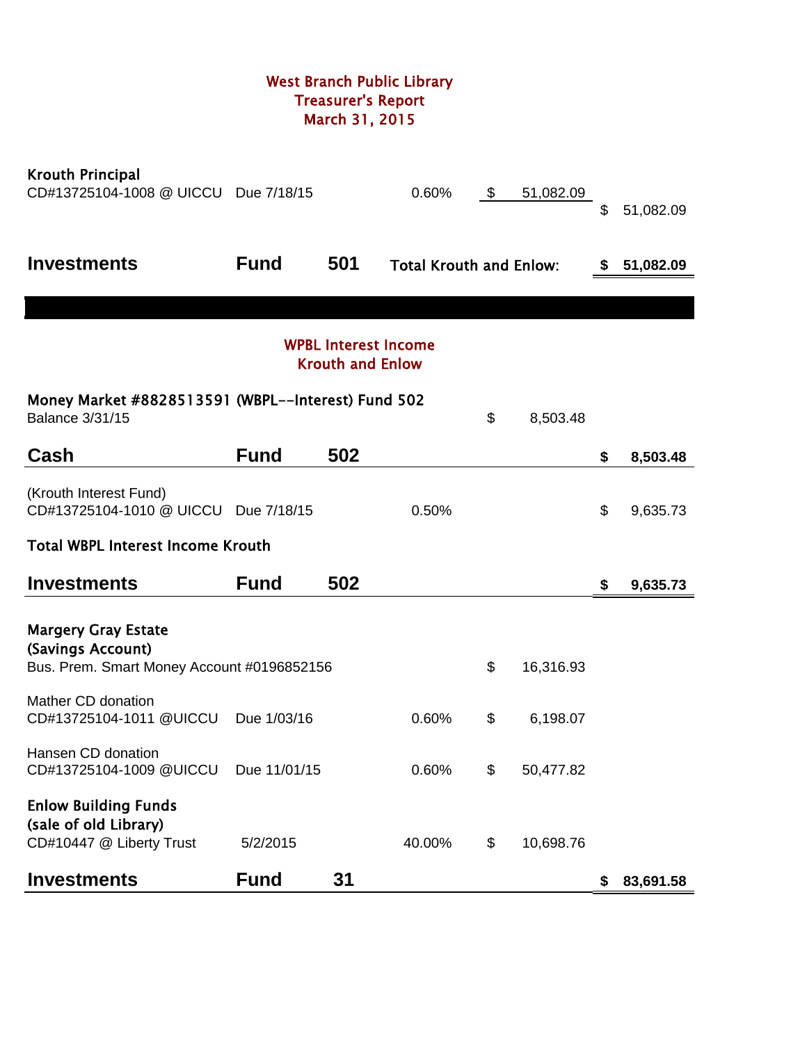# West Branch Public Library Treasurer's Report March 31, 2015

| <b>Krouth Principal</b><br>CD#13725104-1008 @ UICCU                              | Due 7/18/15  |                         | 0.60%                          | \$<br>51,082.09 | \$ | 51,082.09 |
|----------------------------------------------------------------------------------|--------------|-------------------------|--------------------------------|-----------------|----|-----------|
| <b>Investments</b>                                                               | <b>Fund</b>  | 501                     | <b>Total Krouth and Enlow:</b> |                 | S  | 51,082.09 |
|                                                                                  |              |                         |                                |                 |    |           |
|                                                                                  |              | <b>Krouth and Enlow</b> | <b>WPBL Interest Income</b>    |                 |    |           |
| Money Market #8828513591 (WBPL--Interest) Fund 502<br><b>Balance 3/31/15</b>     |              |                         |                                | \$<br>8,503.48  |    |           |
| Cash                                                                             | <b>Fund</b>  | 502                     |                                |                 | \$ | 8,503.48  |
| (Krouth Interest Fund)<br>CD#13725104-1010 @ UICCU Due 7/18/15                   |              |                         | 0.50%                          |                 | \$ | 9,635.73  |
| <b>Total WBPL Interest Income Krouth</b>                                         |              |                         |                                |                 |    |           |
| <b>Investments</b>                                                               | <b>Fund</b>  | 502                     |                                |                 | \$ | 9,635.73  |
| <b>Margery Gray Estate</b><br>(Savings Account)                                  |              |                         |                                |                 |    |           |
| Bus. Prem. Smart Money Account #0196852156                                       |              |                         |                                | \$<br>16,316.93 |    |           |
| Mather CD donation<br>CD#13725104-1011 @UICCU                                    | Due 1/03/16  |                         | 0.60%                          | \$<br>6,198.07  |    |           |
| Hansen CD donation<br>CD#13725104-1009 @UICCU                                    | Due 11/01/15 |                         | 0.60%                          | \$<br>50,477.82 |    |           |
| <b>Enlow Building Funds</b><br>(sale of old Library)<br>CD#10447 @ Liberty Trust | 5/2/2015     |                         | 40.00%                         | \$<br>10,698.76 |    |           |
| <b>Investments</b>                                                               | <b>Fund</b>  | 31                      |                                |                 | \$ | 83,691.58 |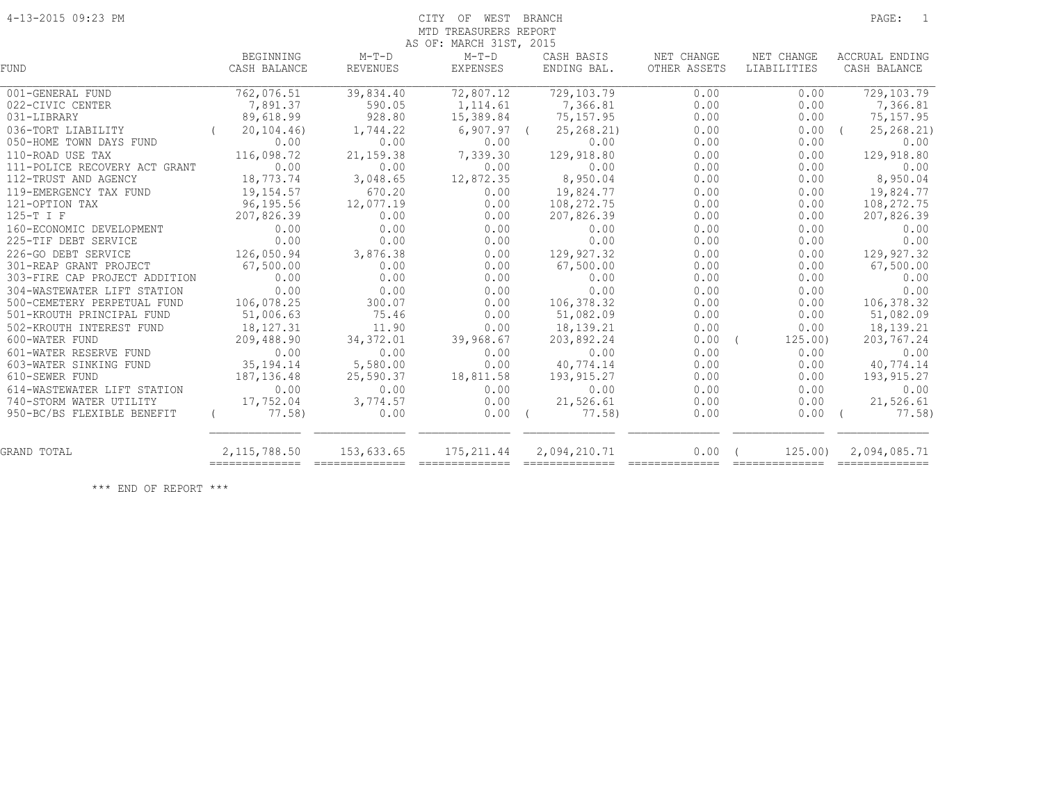#### 4-13-2015 09:23 PM CITY OF WEST BRANCH PAGE: 1 MTD TREASURERS REPORT AS OF: MARCH 31ST, 2015

|                               |                |                 | AS OF: MARUH SIST, ZUIS |                                 |              |                  |                                                                                                                                                                                                                                                                                                                                                                                                                                                                                        |
|-------------------------------|----------------|-----------------|-------------------------|---------------------------------|--------------|------------------|----------------------------------------------------------------------------------------------------------------------------------------------------------------------------------------------------------------------------------------------------------------------------------------------------------------------------------------------------------------------------------------------------------------------------------------------------------------------------------------|
|                               | BEGINNING      | $M-T-D$         | $M-T-D$                 | CASH BASIS                      | NET CHANGE   | NET CHANGE       | ACCRUAL ENDING                                                                                                                                                                                                                                                                                                                                                                                                                                                                         |
| <b>FUND</b>                   | CASH BALANCE   | REVENUES        | EXPENSES                | ENDING BAL.                     | OTHER ASSETS | LIABILITIES      | CASH BALANCE                                                                                                                                                                                                                                                                                                                                                                                                                                                                           |
|                               |                |                 |                         |                                 |              |                  |                                                                                                                                                                                                                                                                                                                                                                                                                                                                                        |
| 001-GENERAL FUND              | 762,076.51     | 39,834.40       | 72,807.12               | 729,103.79                      | 0.00         | 0.00             | 729, 103.79                                                                                                                                                                                                                                                                                                                                                                                                                                                                            |
| 022-CIVIC CENTER              | 7,891.37       | 590.05          | 1, 114.61               | 7,366.81                        | 0.00         | 0.00             | 7,366.81                                                                                                                                                                                                                                                                                                                                                                                                                                                                               |
| 031-LIBRARY                   | 89,618.99      | 928.80          | 15,389.84               | 75,157.95                       | 0.00         | 0.00             | 75, 157.95                                                                                                                                                                                                                                                                                                                                                                                                                                                                             |
| 036-TORT LIABILITY            | 20, 104, 46)   | 1,744.22        | 6,907.97                | 25, 268.21                      | 0.00         | 0.00             | 25, 268. 21)                                                                                                                                                                                                                                                                                                                                                                                                                                                                           |
| 050-HOME TOWN DAYS FUND       | 0.00           | 0.00            | 0.00                    | 0.00                            | 0.00         | 0.00             | 0.00                                                                                                                                                                                                                                                                                                                                                                                                                                                                                   |
| 110-ROAD USE TAX              | 116,098.72     | 21, 159.38      | 7,339.30                | 129,918.80                      | 0.00         | 0.00             | 129,918.80                                                                                                                                                                                                                                                                                                                                                                                                                                                                             |
| 111-POLICE RECOVERY ACT GRANT | 0.00           | 0.00            | 0.00                    | 0.00                            | 0.00         | 0.00             | 0.00                                                                                                                                                                                                                                                                                                                                                                                                                                                                                   |
| 112-TRUST AND AGENCY          | 18,773.74      | 3,048.65        | 12,872.35               | 8,950.04                        | 0.00         | 0.00             | 8,950.04                                                                                                                                                                                                                                                                                                                                                                                                                                                                               |
| 119-EMERGENCY TAX FUND        | 19,154.57      | 670.20          | 0.00                    | 19,824.77                       | 0.00         | 0.00             | 19,824.77                                                                                                                                                                                                                                                                                                                                                                                                                                                                              |
| 121-OPTION TAX                | 96,195.56      | 12,077.19       | 0.00                    | 108,272.75                      | 0.00         | 0.00             | 108,272.75                                                                                                                                                                                                                                                                                                                                                                                                                                                                             |
| 125-T I F                     | 207,826.39     | 0.00            | 0.00                    | 207,826.39                      | 0.00         | 0.00             | 207,826.39                                                                                                                                                                                                                                                                                                                                                                                                                                                                             |
| 160-ECONOMIC DEVELOPMENT      | 0.00           | 0.00            | 0.00                    | 0.00                            | 0.00         | 0.00             | 0.00                                                                                                                                                                                                                                                                                                                                                                                                                                                                                   |
| 225-TIF DEBT SERVICE          | 0.00           | 0.00            | 0.00                    | 0.00                            | 0.00         | 0.00             | 0.00                                                                                                                                                                                                                                                                                                                                                                                                                                                                                   |
| 226-GO DEBT SERVICE           | 126,050.94     | 3,876.38        | 0.00                    | 129,927.32                      | 0.00         | 0.00             | 129, 927.32                                                                                                                                                                                                                                                                                                                                                                                                                                                                            |
| 301-REAP GRANT PROJECT        | 67,500.00      | 0.00            | 0.00                    | 67,500.00                       | 0.00         | 0.00             | 67,500.00                                                                                                                                                                                                                                                                                                                                                                                                                                                                              |
| 303-FIRE CAP PROJECT ADDITION | 0.00           | 0.00            | 0.00                    | 0.00                            | 0.00         | 0.00             | 0.00                                                                                                                                                                                                                                                                                                                                                                                                                                                                                   |
| 304-WASTEWATER LIFT STATION   | 0.00           | 0.00            | 0.00                    | 0.00                            | 0.00         | 0.00             | 0.00                                                                                                                                                                                                                                                                                                                                                                                                                                                                                   |
| 500-CEMETERY PERPETUAL FUND   | 106,078.25     | 300.07          | 0.00                    | 106,378.32                      | 0.00         | 0.00             | 106, 378.32                                                                                                                                                                                                                                                                                                                                                                                                                                                                            |
| 501-KROUTH PRINCIPAL FUND     | 51,006.63      | 75.46           | 0.00                    | 51,082.09                       | 0.00         | 0.00             | 51,082.09                                                                                                                                                                                                                                                                                                                                                                                                                                                                              |
| 502-KROUTH INTEREST FUND      | 18,127.31      | 11.90           | 0.00                    | 18,139.21                       | 0.00         | 0.00             | 18, 139. 21                                                                                                                                                                                                                                                                                                                                                                                                                                                                            |
| 600-WATER FUND                | 209,488.90     | 34, 372.01      | 39,968.67               | 203,892.24                      | 0.00         | 125.00           | 203,767.24                                                                                                                                                                                                                                                                                                                                                                                                                                                                             |
| 601-WATER RESERVE FUND        | 0.00           | 0.00            | 0.00                    | 0.00                            | 0.00         | 0.00             | 0.00                                                                                                                                                                                                                                                                                                                                                                                                                                                                                   |
| 603-WATER SINKING FUND        | 35, 194. 14    | 5,580.00        | 0.00                    | 40,774.14                       | 0.00         | 0.00             | 40,774.14                                                                                                                                                                                                                                                                                                                                                                                                                                                                              |
| 610-SEWER FUND                | 187,136.48     | 25,590.37       | 18,811.58               | 193, 915.27                     | 0.00         | 0.00             | 193, 915.27                                                                                                                                                                                                                                                                                                                                                                                                                                                                            |
| 614-WASTEWATER LIFT STATION   | 0.00           | 0.00            | 0.00                    | 0.00                            | 0.00         | 0.00             | 0.00                                                                                                                                                                                                                                                                                                                                                                                                                                                                                   |
| 740-STORM WATER UTILITY       | 17,752.04      | 3,774.57        | 0.00                    | 21,526.61                       | 0.00         | 0.00             | 21,526.61                                                                                                                                                                                                                                                                                                                                                                                                                                                                              |
| 950-BC/BS FLEXIBLE BENEFIT    | 77.58)         | 0.00            | $0.00$ (                | 77.58)                          | 0.00         | 0.00             | 77.58)                                                                                                                                                                                                                                                                                                                                                                                                                                                                                 |
|                               |                |                 |                         |                                 |              |                  |                                                                                                                                                                                                                                                                                                                                                                                                                                                                                        |
| GRAND TOTAL                   | 2, 115, 788.50 | 153,633.65      | 175, 211.44             | 2,094,210.71                    | 0.00         | 125.00           | 2,094,085.71                                                                                                                                                                                                                                                                                                                                                                                                                                                                           |
|                               | ============== | =============== | $=$ ===============     | $=$ = = = = = = = = = = = = = = |              | ________________ | $\begin{array}{cccccccccccccc} \multicolumn{2}{c}{} & \multicolumn{2}{c}{} & \multicolumn{2}{c}{} & \multicolumn{2}{c}{} & \multicolumn{2}{c}{} & \multicolumn{2}{c}{} & \multicolumn{2}{c}{} & \multicolumn{2}{c}{} & \multicolumn{2}{c}{} & \multicolumn{2}{c}{} & \multicolumn{2}{c}{} & \multicolumn{2}{c}{} & \multicolumn{2}{c}{} & \multicolumn{2}{c}{} & \multicolumn{2}{c}{} & \multicolumn{2}{c}{} & \multicolumn{2}{c}{} & \multicolumn{2}{c}{} & \multicolumn{2}{c}{} & \$ |

\*\*\* END OF REPORT \*\*\*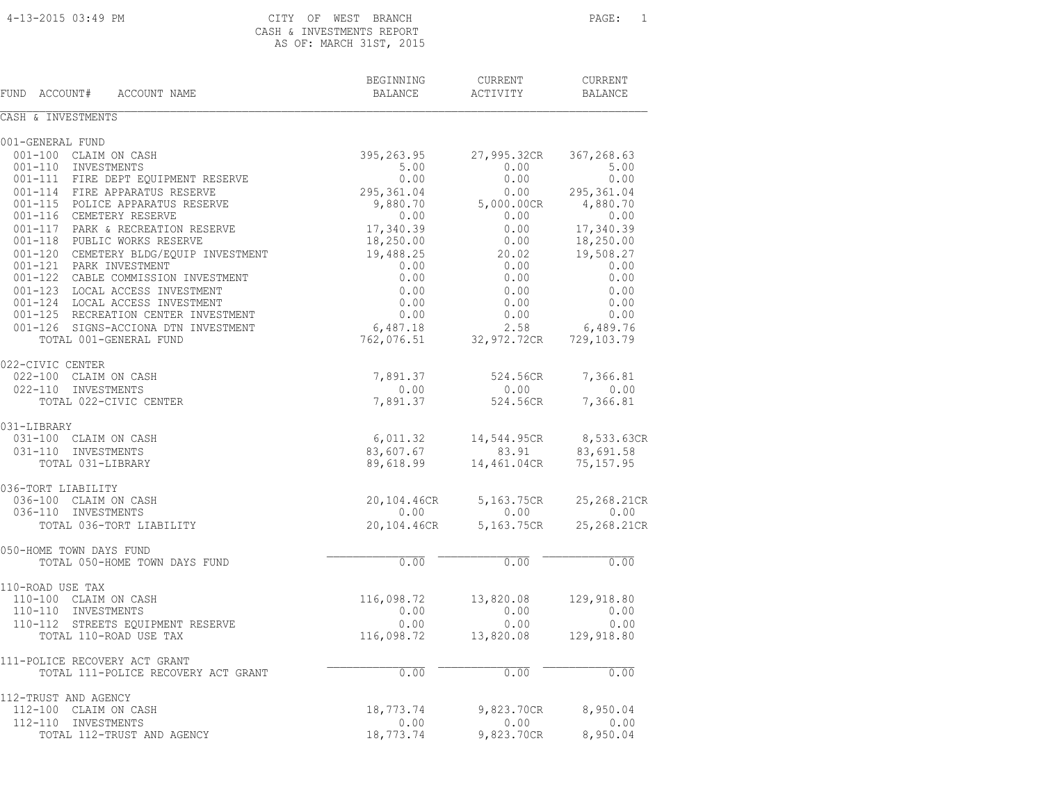# CASH & INVESTMENTS REPORT H 31ST, 2015

| CASH & INVESIMENTS REPORT |  |  |  |                         |  |
|---------------------------|--|--|--|-------------------------|--|
|                           |  |  |  | AS OF: MARCH 31ST, 2015 |  |

| FUND ACCOUNT#<br>ACCOUNT NAME          | BEGINNING<br>BALANCE | CURRENT<br>ACTIVITY | CURRENT<br>BALANCE |
|----------------------------------------|----------------------|---------------------|--------------------|
| CASH & INVESTMENTS                     |                      |                     |                    |
| 001-GENERAL FUND                       |                      |                     |                    |
| 001-100 CLAIM ON CASH                  | 395,263.95           | 27,995.32CR         | 367,268.63         |
| 001-110 INVESTMENTS                    | 5.00                 | 0.00                | 5.00               |
| 001-111 FIRE DEPT EQUIPMENT RESERVE    | 0.00                 | 0.00                | 0.00               |
| 001-114 FIRE APPARATUS RESERVE         | 295,361.04           | 0.00                | 295,361.04         |
| 001-115 POLICE APPARATUS RESERVE       | 9,880.70             | 5,000.00CR          | 4,880.70           |
| 001-116 CEMETERY RESERVE               | 0.00                 | 0.00                | 0.00               |
| 001-117 PARK & RECREATION RESERVE      | 17,340.39            | 0.00                | 17,340.39          |
| 001-118 PUBLIC WORKS RESERVE           | 18,250.00            | 0.00                | 18,250.00          |
| 001-120 CEMETERY BLDG/EOUIP INVESTMENT | 19,488.25            | 20.02               | 19,508.27          |
| 001-121 PARK INVESTMENT                | 0.00                 | 0.00                | 0.00               |
| 001-122 CABLE COMMISSION INVESTMENT    | 0.00                 | 0.00                | 0.00               |
| 001-123 LOCAL ACCESS INVESTMENT        | 0.00                 | 0.00                | 0.00               |
| 001-124 LOCAL ACCESS INVESTMENT        | 0.00                 | 0.00                | 0.00               |
| 001-125 RECREATION CENTER INVESTMENT   | 0.00                 | 0.00                | 0.00               |
| 001-126 SIGNS-ACCIONA DTN INVESTMENT   | 6,487.18             | 2.58                | 6,489.76           |
| TOTAL 001-GENERAL FUND                 | 762,076.51           | 32,972.72CR         | 729,103.79         |
| 022-CIVIC CENTER                       |                      |                     |                    |
| 022-100 CLAIM ON CASH                  | 7,891.37             | 524.56CR            | 7,366.81           |
| 022-110 INVESTMENTS                    | 0.00                 | 0.00                | 0.00               |
| TOTAL 022-CIVIC CENTER                 | 7,891.37             | 524.56CR            | 7,366.81           |
| 031-LIBRARY                            |                      |                     |                    |
| 031-100 CLAIM ON CASH                  | 6,011.32             | 14,544.95CR         | 8,533.63CR         |
| 031-110 INVESTMENTS                    | 83,607.67            | 83.91               | 83,691.58          |
| TOTAL 031-LIBRARY                      | 89,618.99            | 14,461.04CR         | 75, 157.95         |
| 036-TORT LIABILITY                     |                      |                     |                    |
| 036-100 CLAIM ON CASH                  | 20,104.46CR          | 5,163.75CR          | 25,268.21CR        |
| 036-110 INVESTMENTS                    | 0.00                 | 0.00                | 0.00               |
| TOTAL 036-TORT LIABILITY               | 20,104.46CR          | 5,163.75CR          | 25,268.21CR        |
| 050-HOME TOWN DAYS FUND                |                      |                     |                    |
| TOTAL 050-HOME TOWN DAYS FUND          | 0.00                 | 0.00                | 0.00               |
| 110-ROAD USE TAX                       |                      |                     |                    |
| 110-100 CLAIM ON CASH                  | 116,098.72           | 13,820.08           | 129,918.80         |
| 110-110 INVESTMENTS                    | 0.00                 | 0.00                | 0.00               |
| 110-112 STREETS EQUIPMENT RESERVE      | 0.00                 | 0.00                | 0.00               |
| TOTAL 110-ROAD USE TAX                 | 116,098.72           | 13,820.08           | 129,918.80         |
| 111-POLICE RECOVERY ACT GRANT          |                      |                     |                    |
| TOTAL 111-POLICE RECOVERY ACT GRANT    | 0.00                 | 0.00                | 0.00               |
| 112-TRUST AND AGENCY                   |                      |                     |                    |
| 112-100 CLAIM ON CASH                  | 18,773.74            | 9,823.70CR          | 8,950.04           |
| 112-110 INVESTMENTS                    | 0.00                 | 0.00                | 0.00               |
| TOTAL 112-TRUST AND AGENCY             | 18,773.74            | 9,823.70CR          | 8,950.04           |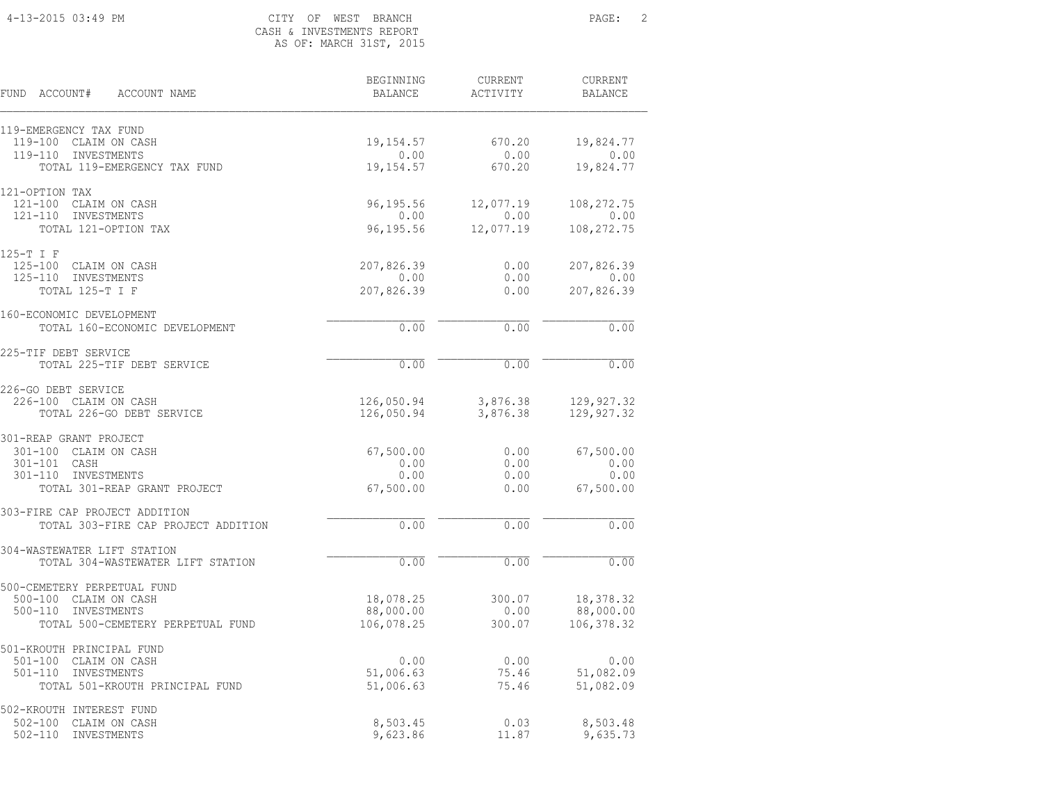### 4-13-2015 03:49 PM CITY OF WEST BRANCH PAGE: 2 CASH & INVESTMENTS REPORT AS OF: MARCH 31ST, 2015

| FUND<br>ACCOUNT#<br>ACCOUNT NAME                                | BEGINNING<br><b>BALANCE</b> | <b>CURRENT</b><br>ACTIVITY | <b>CURRENT</b><br><b>BALANCE</b> |
|-----------------------------------------------------------------|-----------------------------|----------------------------|----------------------------------|
| 119-EMERGENCY TAX FUND<br>119-100 CLAIM ON CASH                 | 19, 154.57                  | 670.20                     | 19,824.77                        |
| $119 - 110$<br>INVESTMENTS                                      | 0.00                        | 0.00                       | 0.00                             |
| TOTAL 119-EMERGENCY TAX FUND                                    | 19,154.57                   | 670.20                     | 19,824.77                        |
| 121-OPTION TAX                                                  |                             |                            |                                  |
| $121 - 100$<br>CLAIM ON CASH<br>$121 - 110$<br>INVESTMENTS      | 96,195.56<br>0.00           | 12,077.19<br>0.00          | 108, 272.75<br>0.00              |
| TOTAL 121-OPTION TAX                                            | 96,195.56                   | 12,077.19                  | 108, 272.75                      |
| 125-T I F                                                       |                             |                            |                                  |
| $125 - 100$<br>CLAIM ON CASH                                    | 207,826.39                  | 0.00                       | 207,826.39                       |
| $125 - 110$<br>INVESTMENTS<br>TOTAL 125-T I F                   | 0.00<br>207,826.39          | 0.00<br>0.00               | 0.00<br>207,826.39               |
|                                                                 |                             |                            |                                  |
| 160-ECONOMIC DEVELOPMENT<br>TOTAL 160-ECONOMIC DEVELOPMENT      | 0.00                        | 0.00                       | 0.00                             |
|                                                                 |                             |                            |                                  |
| 225-TIF DEBT SERVICE<br>TOTAL 225-TIF DEBT SERVICE              | 0.00                        | 0.00                       | 0.00                             |
| 226-GO DEBT SERVICE                                             |                             |                            |                                  |
| 226-100 CLAIM ON CASH                                           | 126,050.94                  | 3,876.38                   | 129, 927.32                      |
| TOTAL 226-GO DEBT SERVICE                                       | 126,050.94                  | 3,876.38                   | 129,927.32                       |
| 301-REAP GRANT PROJECT                                          |                             |                            |                                  |
| 301-100 CLAIM ON CASH<br>301-101 CASH                           | 67,500.00<br>0.00           | 0.00<br>0.00               | 67,500.00<br>0.00                |
| $301 - 110$<br>INVESTMENTS                                      | 0.00                        | 0.00                       | 0.00                             |
| TOTAL 301-REAP GRANT PROJECT                                    | 67,500.00                   | 0.00                       | 67,500.00                        |
| 303-FIRE CAP PROJECT ADDITION                                   |                             |                            |                                  |
| TOTAL 303-FIRE CAP PROJECT ADDITION                             | 0.00                        | 0.00                       | 0.00                             |
| 304-WASTEWATER LIFT STATION                                     |                             |                            |                                  |
| TOTAL 304-WASTEWATER LIFT STATION                               | 0.00                        | 0.00                       | 0.00                             |
| 500-CEMETERY PERPETUAL FUND                                     |                             |                            |                                  |
| 500-100 CLAIM ON CASH                                           | 18,078.25                   | 300.07                     | 18,378.32                        |
| $500 - 110$<br>INVESTMENTS<br>TOTAL 500-CEMETERY PERPETUAL FUND | 88,000.00<br>106,078.25     | 0.00<br>300.07             | 88,000.00<br>106, 378.32         |
|                                                                 |                             |                            |                                  |
| 501-KROUTH PRINCIPAL FUND<br>$501 - 100$<br>CLAIM ON CASH       | 0.00                        | 0.00                       | 0.00                             |
| $501 - 110$<br>INVESTMENTS                                      | 51,006.63                   | 75.46                      | 51,082.09                        |
| TOTAL 501-KROUTH PRINCIPAL FUND                                 | 51,006.63                   | 75.46                      | 51,082.09                        |
| 502-KROUTH INTEREST FUND                                        |                             |                            |                                  |
| $502 - 100$<br>CLAIM ON CASH                                    | 8,503.45                    | 0.03                       | 8,503.48                         |
| $502 - 110$<br>INVESTMENTS                                      | 9,623.86                    | 11.87                      | 9,635.73                         |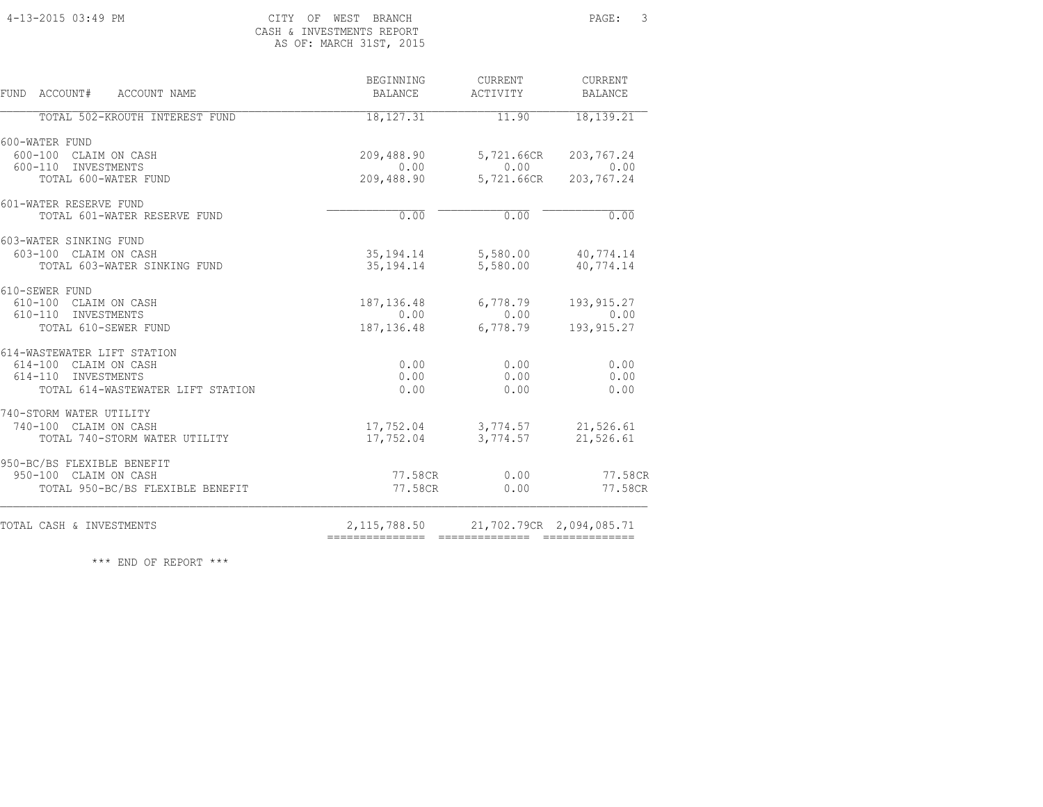#### 4-13-2015 03:49 PM CITY OF WEST BRANCH PAGE: 3 CASH & INVESTMENTS REPORT<br>AS OF: MARCH 31ST, 2015 AS OF: MARCH 31ST, 2015

| CASH & INVESIMENIS REPURI |  |                        |  |  |
|---------------------------|--|------------------------|--|--|
|                           |  | AS OF: MARCH 31ST, 201 |  |  |

| BEGINNING<br><b>BALANCE</b> | CURRENT<br>ACTIVITY                                                                                                | CURRENT<br><b>BALANCE</b>                                                                                                                                                                                                                                                                 |
|-----------------------------|--------------------------------------------------------------------------------------------------------------------|-------------------------------------------------------------------------------------------------------------------------------------------------------------------------------------------------------------------------------------------------------------------------------------------|
| 18, 127.31                  | 11.90                                                                                                              | 18, 139.21                                                                                                                                                                                                                                                                                |
|                             |                                                                                                                    |                                                                                                                                                                                                                                                                                           |
| 209,488.90                  | 5,721.66CR                                                                                                         | 203,767.24                                                                                                                                                                                                                                                                                |
|                             |                                                                                                                    | 0.00                                                                                                                                                                                                                                                                                      |
|                             |                                                                                                                    | 203,767.24                                                                                                                                                                                                                                                                                |
|                             |                                                                                                                    |                                                                                                                                                                                                                                                                                           |
|                             |                                                                                                                    | 0.00                                                                                                                                                                                                                                                                                      |
|                             |                                                                                                                    |                                                                                                                                                                                                                                                                                           |
|                             |                                                                                                                    |                                                                                                                                                                                                                                                                                           |
|                             |                                                                                                                    | 40,774.14                                                                                                                                                                                                                                                                                 |
|                             |                                                                                                                    |                                                                                                                                                                                                                                                                                           |
|                             |                                                                                                                    | 193, 915.27                                                                                                                                                                                                                                                                               |
|                             |                                                                                                                    | 0.00                                                                                                                                                                                                                                                                                      |
|                             |                                                                                                                    | 193, 915.27                                                                                                                                                                                                                                                                               |
|                             |                                                                                                                    |                                                                                                                                                                                                                                                                                           |
|                             |                                                                                                                    | 0.00<br>0.00                                                                                                                                                                                                                                                                              |
|                             |                                                                                                                    | 0.00                                                                                                                                                                                                                                                                                      |
|                             |                                                                                                                    |                                                                                                                                                                                                                                                                                           |
|                             |                                                                                                                    |                                                                                                                                                                                                                                                                                           |
|                             |                                                                                                                    | 21,526.61                                                                                                                                                                                                                                                                                 |
|                             |                                                                                                                    | 21,526.61                                                                                                                                                                                                                                                                                 |
|                             |                                                                                                                    |                                                                                                                                                                                                                                                                                           |
|                             |                                                                                                                    | 77.58CR                                                                                                                                                                                                                                                                                   |
|                             |                                                                                                                    | 77.58CR                                                                                                                                                                                                                                                                                   |
|                             |                                                                                                                    | 21,702.79CR 2,094,085.71                                                                                                                                                                                                                                                                  |
|                             | 0.00<br>0.00<br>187,136.48<br>0.00<br>0.00<br>0.00<br>0.00<br>17,752.04<br>17,752.04<br>77.58CR<br>=============== | 0.00<br>209,488.90<br>5,721.66CR<br>0.00<br>35, 194. 14 5, 580. 00 40, 774. 14<br>35, 194. 14<br>5,580.00<br>6,778.79<br>0.00<br>187, 136, 48<br>6,778.79<br>0.00<br>0.00<br>0.00<br>3,774.57<br>3,774.57<br>77.58CR<br>0.00<br>0.00<br>2,115,788.50<br>================================= |

\*\*\* END OF REPORT \*\*\*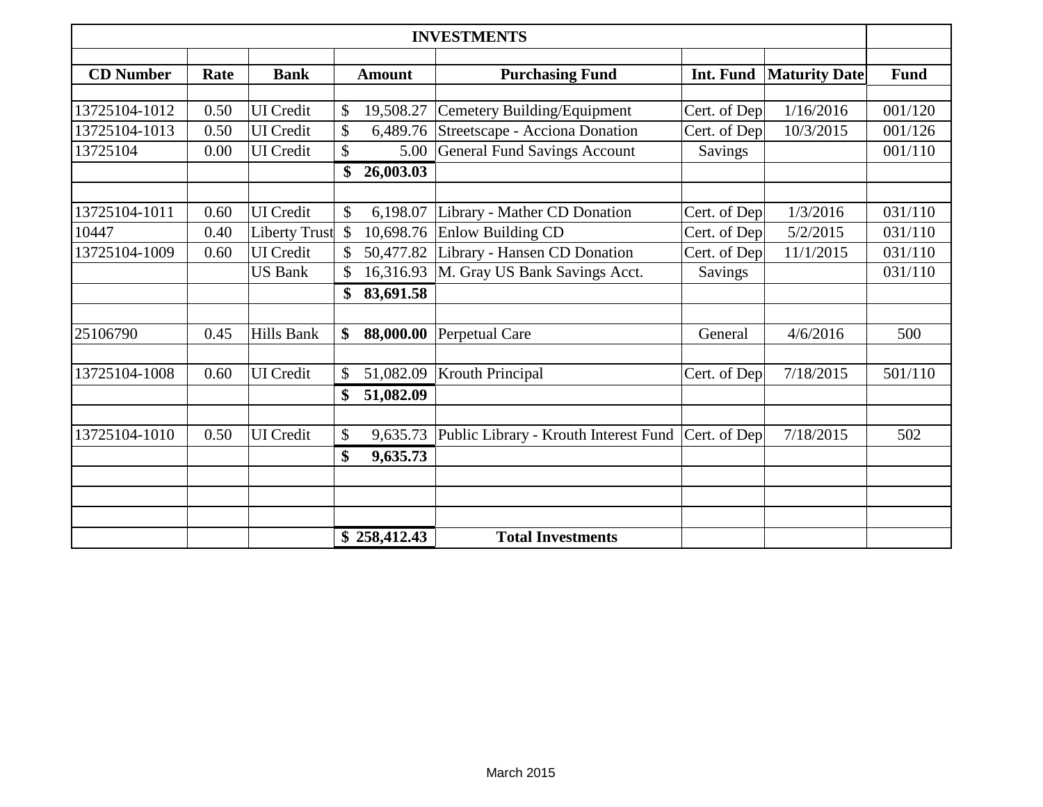| <b>INVESTMENTS</b>                                                                                                      |      |                      |               |              |                                       |              |           |         |
|-------------------------------------------------------------------------------------------------------------------------|------|----------------------|---------------|--------------|---------------------------------------|--------------|-----------|---------|
| <b>CD</b> Number<br>Rate<br><b>Bank</b><br><b>Amount</b><br><b>Purchasing Fund</b><br>Int. Fund<br><b>Maturity Date</b> |      |                      |               |              |                                       | <b>Fund</b>  |           |         |
|                                                                                                                         |      |                      |               |              |                                       |              |           |         |
| 13725104-1012                                                                                                           | 0.50 | <b>UI</b> Credit     | \$            | 19,508.27    | Cemetery Building/Equipment           | Cert. of Dep | 1/16/2016 | 001/120 |
| 13725104-1013                                                                                                           | 0.50 | <b>UI</b> Credit     | \$            | 6,489.76     | Streetscape - Acciona Donation        | Cert. of Dep | 10/3/2015 | 001/126 |
| 13725104                                                                                                                | 0.00 | <b>UI</b> Credit     | \$            | 5.00         | <b>General Fund Savings Account</b>   | Savings      |           | 001/110 |
| 26,003.03<br>\$                                                                                                         |      |                      |               |              |                                       |              |           |         |
| 13725104-1011                                                                                                           | 0.60 | <b>UI</b> Credit     | \$            |              |                                       |              |           | 031/110 |
|                                                                                                                         |      |                      |               | 6,198.07     | Library - Mather CD Donation          | Cert. of Dep | 1/3/2016  |         |
| 10447                                                                                                                   | 0.40 | <b>Liberty Trust</b> | $\mathcal{S}$ | 10,698.76    | Enlow Building CD                     | Cert. of Dep | 5/2/2015  | 031/110 |
| 13725104-1009                                                                                                           | 0.60 | <b>UI</b> Credit     |               | 50,477.82    | Library - Hansen CD Donation          | Cert. of Dep | 11/1/2015 | 031/110 |
|                                                                                                                         |      | <b>US Bank</b>       |               | 16,316.93    | M. Gray US Bank Savings Acct.         | Savings      |           | 031/110 |
|                                                                                                                         |      |                      | \$            | 83,691.58    |                                       |              |           |         |
| 25106790                                                                                                                | 0.45 | <b>Hills Bank</b>    | \$            | 88,000.00    | Perpetual Care                        | General      | 4/6/2016  | 500     |
|                                                                                                                         |      |                      |               |              |                                       |              |           |         |
| 13725104-1008                                                                                                           | 0.60 | <b>UI</b> Credit     | \$            | 51,082.09    | <b>Krouth Principal</b>               | Cert. of Dep | 7/18/2015 | 501/110 |
|                                                                                                                         |      |                      | \$            | 51,082.09    |                                       |              |           |         |
| 13725104-1010                                                                                                           | 0.50 | <b>UI</b> Credit     | \$            | 9,635.73     | Public Library - Krouth Interest Fund | Cert. of Dep | 7/18/2015 | 502     |
|                                                                                                                         |      |                      | \$            | 9,635.73     |                                       |              |           |         |
|                                                                                                                         |      |                      |               |              |                                       |              |           |         |
|                                                                                                                         |      |                      |               |              |                                       |              |           |         |
|                                                                                                                         |      |                      |               | \$258,412.43 | <b>Total Investments</b>              |              |           |         |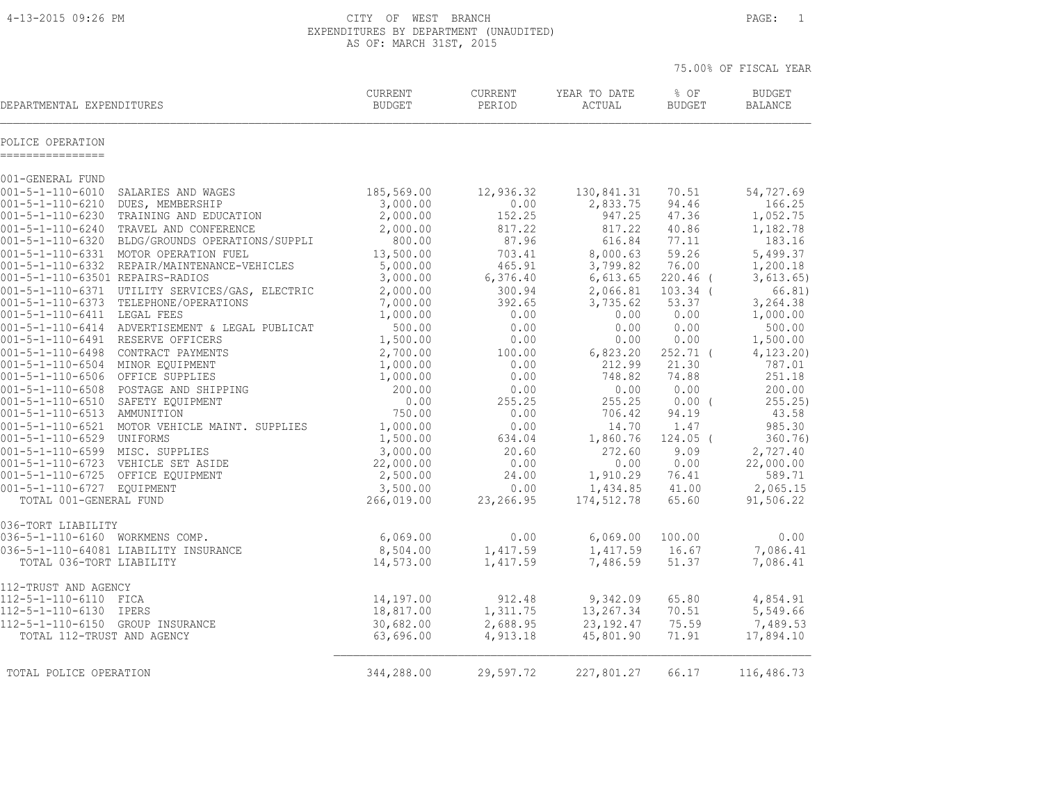4-13-2015 09:26 PM CITY OF WEST BRANCH PAGE: 1 EXPENDITURES BY DEPARTMENT (UNAUDITED) AS OF: MARCH 31ST, 2015

|                                                                  |                                                         |                                 |                   |                        |                       | 75.00% OF FISCAL YEAR           |
|------------------------------------------------------------------|---------------------------------------------------------|---------------------------------|-------------------|------------------------|-----------------------|---------------------------------|
| DEPARTMENTAL EXPENDITURES                                        |                                                         | <b>CURRENT</b><br><b>BUDGET</b> | CURRENT<br>PERIOD | YEAR TO DATE<br>ACTUAL | % OF<br><b>BUDGET</b> | <b>BUDGET</b><br><b>BALANCE</b> |
| POLICE OPERATION<br>================                             |                                                         |                                 |                   |                        |                       |                                 |
| 001-GENERAL FUND                                                 |                                                         |                                 |                   |                        |                       |                                 |
| $001 - 5 - 1 - 110 - 6010$                                       | SALARIES AND WAGES                                      | 185,569.00                      | 12,936.32         | 130,841.31             | 70.51                 | 54,727.69                       |
| 001-5-1-110-6210                                                 | DUES, MEMBERSHIP                                        | 3,000.00                        | 0.00              | 2,833.75               | 94.46                 | 166.25                          |
| 001-5-1-110-6230                                                 | TRAINING AND EDUCATION                                  | 2,000.00                        | 152.25            | 947.25                 | 47.36                 | 1,052.75                        |
| $001 - 5 - 1 - 110 - 6240$<br>001-5-1-110-6320                   | TRAVEL AND CONFERENCE<br>BLDG/GROUNDS OPERATIONS/SUPPLI | 2,000.00<br>800.00              | 817.22<br>87.96   | 817.22<br>616.84       | 40.86<br>77.11        | 1,182.78<br>183.16              |
|                                                                  | 001-5-1-110-6331 MOTOR OPERATION FUEL                   | 13,500.00                       | 703.41            | 8,000.63               | 59.26                 | 5,499.37                        |
|                                                                  | 001-5-1-110-6332 REPAIR/MAINTENANCE-VEHICLES            | 5,000.00                        | 465.91            | 3,799.82               | 76.00                 | 1,200.18                        |
| 001-5-1-110-63501 REPAIRS-RADIOS                                 |                                                         | 3,000.00                        | 6,376.40          | 6,613.65               | 220.46 (              | 3,613.65)                       |
|                                                                  | 001-5-1-110-6371 UTILITY SERVICES/GAS, ELECTRIC         | 2,000.00                        | 300.94            | 2,066.81               | $103.34$ (            | 66.81)                          |
| 001-5-1-110-6373                                                 | TELEPHONE/OPERATIONS                                    | 7,000.00                        | 392.65            | 3,735.62               | 53.37                 | 3,264.38                        |
| 001-5-1-110-6411 LEGAL FEES                                      |                                                         | 1,000.00                        | 0.00              | 0.00                   | 0.00                  | 1,000.00                        |
|                                                                  | 001-5-1-110-6414 ADVERTISEMENT & LEGAL PUBLICAT         | 500.00                          | 0.00              | 0.00                   | 0.00                  | 500.00                          |
| 001-5-1-110-6491 RESERVE OFFICERS                                |                                                         | 1,500.00                        | 0.00              | 0.00                   | 0.00                  | 1,500.00                        |
|                                                                  | 001-5-1-110-6498 CONTRACT PAYMENTS                      | 2,700.00                        | 100.00            | 6,823.20               | $252.71$ (            | 4, 123.20                       |
| 001-5-1-110-6504 MINOR EQUIPMENT                                 |                                                         | 1,000.00                        | 0.00              | 212.99                 | 21.30                 | 787.01                          |
| 001-5-1-110-6506 OFFICE SUPPLIES                                 |                                                         | 1,000.00                        | 0.00              | 748.82                 | 74.88                 | 251.18                          |
|                                                                  | 001-5-1-110-6508 POSTAGE AND SHIPPING                   | 200.00                          | 0.00              | 0.00                   | 0.00                  | 200.00                          |
| 001-5-1-110-6510 SAFETY EQUIPMENT<br>001-5-1-110-6513 AMMUNITION |                                                         | 0.00<br>750.00                  | 255.25<br>0.00    | 255.25<br>706.42       | $0.00$ (<br>94.19     | 255.25<br>43.58                 |
|                                                                  | 001-5-1-110-6521 MOTOR VEHICLE MAINT. SUPPLIES          | 1,000.00                        | 0.00              | 14.70                  | 1.47                  | 985.30                          |
| 001-5-1-110-6529 UNIFORMS                                        |                                                         | 1,500.00                        | 634.04            | 1,860.76               | $124.05$ (            | 360.76                          |
| 001-5-1-110-6599 MISC. SUPPLIES                                  |                                                         | 3,000.00                        | 20.60             | 272.60                 | 9.09                  | 2,727.40                        |
|                                                                  | 001-5-1-110-6723 VEHICLE SET ASIDE                      | 22,000.00                       | 0.00              | 0.00                   | 0.00                  | 22,000.00                       |
|                                                                  | 001-5-1-110-6725 OFFICE EQUIPMENT                       | 2,500.00                        | 24.00             | 1,910.29               | 76.41                 | 589.71                          |
| 001-5-1-110-6727 EQUIPMENT                                       |                                                         | 3,500.00                        | 0.00              | 1,434.85               | 41.00                 | 2,065.15                        |
| TOTAL 001-GENERAL FUND                                           |                                                         | 266,019.00                      | 23,266.95         | 174,512.78             | 65.60                 | 91,506.22                       |
| 036-TORT LIABILITY                                               |                                                         |                                 |                   |                        |                       |                                 |
| 036-5-1-110-6160 WORKMENS COMP.                                  |                                                         | 6,069.00                        | 0.00              | 6,069.00               | 100.00                | 0.00                            |
|                                                                  | 036-5-1-110-64081 LIABILITY INSURANCE                   | 8,504.00                        | 1,417.59          | 1,417.59               | 16.67                 | 7,086.41                        |
| TOTAL 036-TORT LIABILITY                                         |                                                         | 14,573.00                       | 1,417.59          | 7,486.59               | 51.37                 | 7,086.41                        |
| 112-TRUST AND AGENCY                                             |                                                         |                                 |                   |                        |                       |                                 |
| 112-5-1-110-6110 FICA                                            |                                                         | 14,197.00                       | 912.48            | 9,342.09               | 65.80                 | 4,854.91                        |
| 112-5-1-110-6130 IPERS                                           |                                                         | 18,817.00                       | 1,311.75          | 13,267.34              | 70.51                 | 5,549.66                        |
| 112-5-1-110-6150 GROUP INSURANCE                                 |                                                         | 30,682.00                       | 2,688.95          | 23, 192.47             | 75.59                 | 7,489.53                        |
| TOTAL 112-TRUST AND AGENCY                                       |                                                         | 63,696.00                       | 4,913.18          | 45,801.90              | 71.91                 | 17,894.10                       |
| TOTAL POLICE OPERATION                                           |                                                         | 344,288.00                      | 29,597.72         | 227,801.27             | 66.17                 | 116,486.73                      |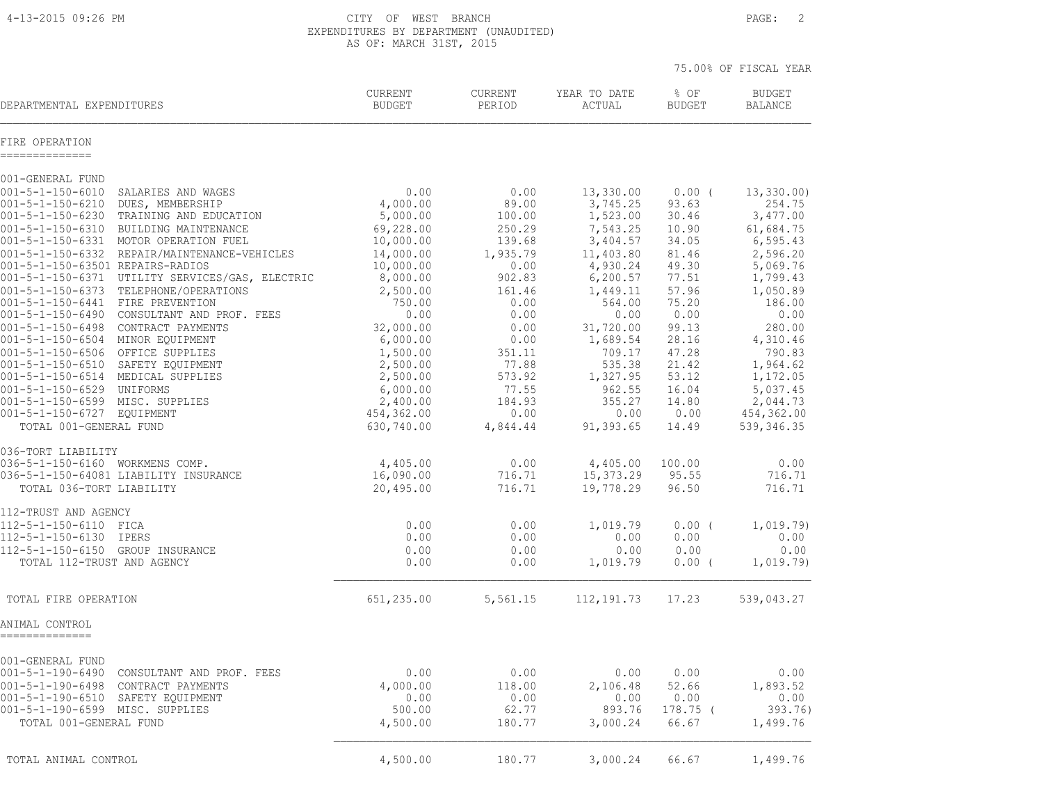4-13-2015 09:26 PM CITY OF WEST BRANCH PAGE: 2 EXPENDITURES BY DEPARTMENT (UNAUDITED) AS OF: MARCH 31ST, 2015

|                                                                                                  |                          |                   |                        |                       | 75.00% OF FISCAL YEAR           |
|--------------------------------------------------------------------------------------------------|--------------------------|-------------------|------------------------|-----------------------|---------------------------------|
| DEPARTMENTAL EXPENDITURES                                                                        | CURRENT<br><b>BUDGET</b> | CURRENT<br>PERIOD | YEAR TO DATE<br>ACTUAL | % OF<br><b>BUDGET</b> | <b>BUDGET</b><br><b>BALANCE</b> |
| FIRE OPERATION<br>--------------                                                                 |                          |                   |                        |                       |                                 |
| 001-GENERAL FUND                                                                                 |                          |                   |                        |                       |                                 |
| $001 - 5 - 1 - 150 - 6010$<br>SALARIES AND WAGES                                                 | 0.00                     | 0.00              | 13,330.00              | $0.00$ (              | 13, 330.00                      |
| 001-5-1-150-6210<br>DUES, MEMBERSHIP<br>$001 - 5 - 1 - 150 - 6230$<br>TRAINING AND EDUCATION     | 4,000.00<br>5,000.00     | 89.00<br>100.00   | 3,745.25<br>1,523.00   | 93.63<br>30.46        | 254.75<br>3,477.00              |
| $001 - 5 - 1 - 150 - 6310$<br>BUILDING MAINTENANCE                                               | 69,228.00                | 250.29            | 7,543.25               | 10.90                 | 61,684.75                       |
| 001-5-1-150-6331 MOTOR OPERATION FUEL                                                            | 10,000.00                | 139.68            | 3,404.57               | 34.05                 | 6, 595.43                       |
| 001-5-1-150-6332 REPAIR/MAINTENANCE-VEHICLES                                                     | 14,000.00                | 1,935.79          | 11,403.80              | 81.46                 | 2,596.20                        |
| 001-5-1-150-63501 REPAIRS-RADIOS                                                                 | 10,000.00                | 0.00              | 4,930.24               | 49.30                 | 5,069.76                        |
| 001-5-1-150-6371 UTILITY SERVICES/GAS, ELECTRIC<br>001-5-1-150-6373 TELEPHONE/OPERATIONS         | 8,000.00<br>2,500.00     | 902.83<br>161.46  | 6, 200.57<br>1,449.11  | 77.51<br>57.96        | 1,799.43<br>1,050.89            |
| 001-5-1-150-6441 FIRE PREVENTION                                                                 | 750.00                   | 0.00              | 564.00                 | 75.20                 | 186.00                          |
| 001-5-1-150-6490 CONSULTANT AND PROF. FEES                                                       | 0.00                     | 0.00              | 0.00                   | 0.00                  | 0.00                            |
| 001-5-1-150-6498 CONTRACT PAYMENTS                                                               | 32,000.00                | 0.00              | 31,720.00              | 99.13                 | 280.00                          |
| 001-5-1-150-6504 MINOR EQUIPMENT                                                                 | 6,000.00                 | 0.00              | 1,689.54               | 28.16                 | 4,310.46                        |
| 001-5-1-150-6506 OFFICE SUPPLIES<br>001-5-1-150-6510 SAFETY EQUIPMENT                            | 1,500.00<br>2,500.00     | 351.11<br>77.88   | 709.17<br>535.38       | 47.28<br>21.42        | 790.83<br>1,964.62              |
| 001-5-1-150-6514 MEDICAL SUPPLIES                                                                | 2,500.00                 | 573.92            | 1,327.95               | 53.12                 | 1,172.05                        |
| 001-5-1-150-6529 UNIFORMS                                                                        | 6,000.00                 | 77.55             | 962.55                 | 16.04                 | 5,037.45                        |
| 001-5-1-150-6599 MISC. SUPPLIES                                                                  | 2,400.00                 | 184.93            | 355.27                 | 14.80                 | 2,044.73                        |
| 001-5-1-150-6727 EQUIPMENT                                                                       | 454,362.00               | 0.00              | 0.00                   | 0.00                  | 454,362.00                      |
| TOTAL 001-GENERAL FUND                                                                           | 630,740.00               | 4,844.44          | 91,393.65              | 14.49                 | 539, 346.35                     |
| 036-TORT LIABILITY                                                                               |                          |                   |                        |                       |                                 |
| 036-5-1-150-6160 WORKMENS COMP.                                                                  | 4,405.00                 | 0.00              | 4,405.00               | 100.00                | 0.00                            |
| 036-5-1-150-64081 LIABILITY INSURANCE                                                            | 16,090.00                | 716.71            | 15,373.29              | 95.55                 | 716.71                          |
| TOTAL 036-TORT LIABILITY                                                                         | 20,495.00                | 716.71            | 19,778.29              | 96.50                 | 716.71                          |
| 112-TRUST AND AGENCY                                                                             |                          |                   |                        |                       |                                 |
| 112-5-1-150-6110 FICA                                                                            | 0.00                     | 0.00              | 1,019.79               | $0.00$ (              | 1,019.79)                       |
| 112-5-1-150-6130 IPERS<br>112-5-1-150-6150 GROUP INSURANCE                                       | 0.00<br>0.00             | 0.00<br>0.00      | 0.00<br>0.00           | 0.00<br>0.00          | 0.00<br>0.00                    |
| TOTAL 112-TRUST AND AGENCY                                                                       | 0.00                     | 0.00              | 1,019.79               | $0.00$ (              | 1,019.79)                       |
|                                                                                                  |                          |                   |                        |                       |                                 |
| TOTAL FIRE OPERATION                                                                             | 651,235.00               | 5,561.15          | 112,191.73             | 17.23                 | 539,043.27                      |
| ANIMAL CONTROL<br>==============                                                                 |                          |                   |                        |                       |                                 |
|                                                                                                  |                          |                   |                        |                       |                                 |
| 001-GENERAL FUND                                                                                 |                          |                   |                        |                       |                                 |
| 001-5-1-190-6490<br>CONSULTANT AND PROF. FEES<br>$001 - 5 - 1 - 190 - 6498$<br>CONTRACT PAYMENTS | 0.00<br>4,000.00         | 0.00<br>118.00    | 0.00<br>2,106.48       | 0.00<br>52.66         | 0.00<br>1,893.52                |
| 001-5-1-190-6510<br>SAFETY EQUIPMENT                                                             | 0.00                     | 0.00              | 0.00                   | 0.00                  | 0.00                            |
| 001-5-1-190-6599 MISC. SUPPLIES                                                                  | 500.00                   | 62.77             | 893.76                 | 178.75 (              | 393.76)                         |
| TOTAL 001-GENERAL FUND                                                                           | 4,500.00                 | 180.77            | 3,000.24               | 66.67                 | 1,499.76                        |
|                                                                                                  |                          |                   |                        |                       |                                 |
| TOTAL ANIMAL CONTROL                                                                             | 4,500.00                 | 180.77            | 3,000.24               | 66.67                 | 1,499.76                        |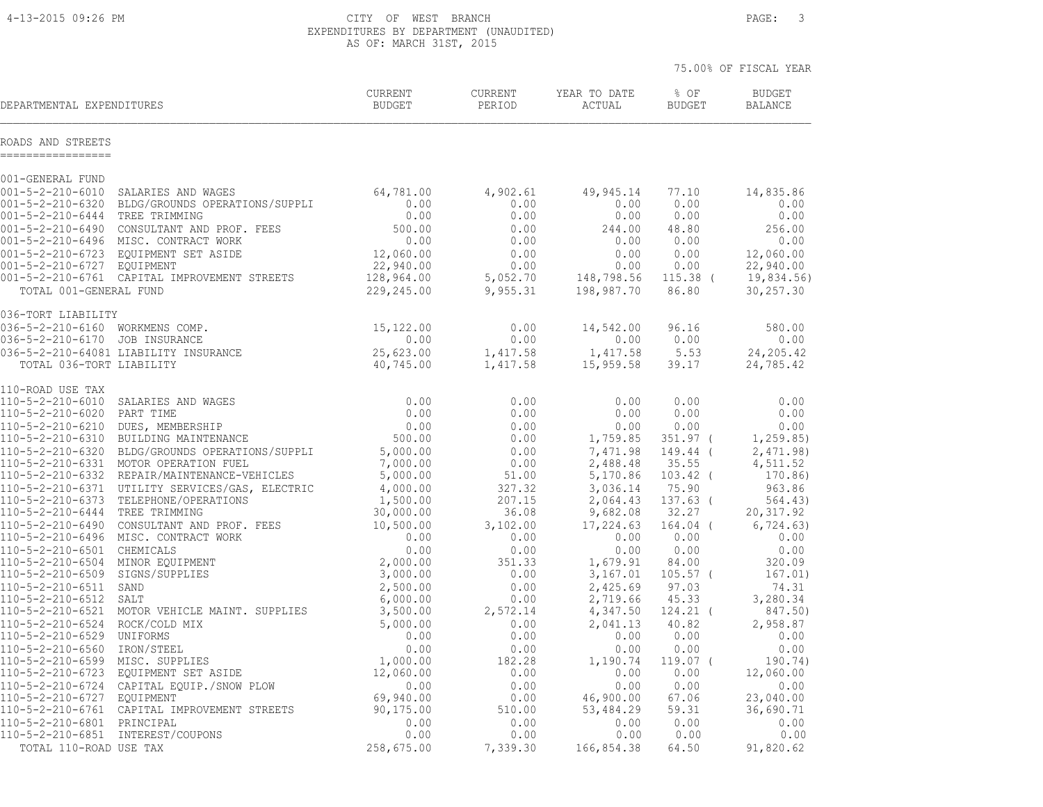4-13-2015 09:26 PM CITY OF WEST BRANCH PAGE: 3 EXPENDITURES BY DEPARTMENT (UNAUDITED) AS OF: MARCH 31ST, 2015

|                                                                 |                                                                                                                      |                                  |                   |                        |                       | 75.00% OF FISCAL YEAR           |
|-----------------------------------------------------------------|----------------------------------------------------------------------------------------------------------------------|----------------------------------|-------------------|------------------------|-----------------------|---------------------------------|
| DEPARTMENTAL EXPENDITURES                                       |                                                                                                                      | <b>CURRENT</b><br><b>BUDGET</b>  | CURRENT<br>PERIOD | YEAR TO DATE<br>ACTUAL | % OF<br><b>BUDGET</b> | <b>BUDGET</b><br><b>BALANCE</b> |
| ROADS AND STREETS<br>------------------                         |                                                                                                                      |                                  |                   |                        |                       |                                 |
| 001-GENERAL FUND                                                |                                                                                                                      |                                  |                   |                        |                       |                                 |
| $001 - 5 - 2 - 210 - 6010$                                      | SALARIES AND WAGES                                                                                                   | 64,781.00                        | 4,902.61          | 49,945.14              | 77.10                 | 14,835.86                       |
| $001 - 5 - 2 - 210 - 6320$                                      | BLDG/GROUNDS OPERATIONS/SUPPLI                                                                                       | 0.00                             | 0.00              | 0.00                   | 0.00                  | 0.00                            |
| 001-5-2-210-6444 TREE TRIMMING                                  |                                                                                                                      | 0.00                             | 0.00              | 0.00                   | 0.00                  | 0.00                            |
|                                                                 | 001-5-2-210-6490 CONSULTANT AND PROF. FEES                                                                           | 500.00                           | 0.00              | 244.00                 | 48.80                 | 256.00                          |
|                                                                 | 001-5-2-210-6496 MISC. CONTRACT WORK                                                                                 | 0.00                             | 0.00              | 0.00                   | 0.00                  | 0.00                            |
| 001-5-2-210-6727 EOUIPMENT                                      | 001-5-2-210-6723 EQUIPMENT SET ASIDE                                                                                 | 12,060.00<br>22,940.00           | 0.00<br>0.00      | 0.00<br>0.00           | 0.00<br>0.00          | 12,060.00<br>22,940.00          |
|                                                                 | 001-5-2-210-6761 CAPITAL IMPROVEMENT STREETS                                                                         | 128,964.00                       | 5,052.70          | 148,798.56             | $115.38$ (            | 19,834.56)                      |
| TOTAL 001-GENERAL FUND                                          |                                                                                                                      | 229,245.00                       | 9,955.31          | 198,987.70             | 86.80                 | 30,257.30                       |
| 036-TORT LIABILITY                                              |                                                                                                                      |                                  |                   |                        |                       |                                 |
| 036-5-2-210-6160 WORKMENS COMP.                                 |                                                                                                                      | 15,122.00                        | 0.00              | 14,542.00              | 96.16                 | 580.00                          |
| 036-5-2-210-6170 JOB INSURANCE                                  |                                                                                                                      | 0.00                             | 0.00              | 0.00                   | 0.00                  | 0.00                            |
|                                                                 | 036-5-2-210-64081 LIABILITY INSURANCE                                                                                | $0.00$<br>25,623.00<br>40,745.00 | 1,417.58          | 1,417.58               | 5.53                  | 24,205.42                       |
| TOTAL 036-TORT LIABILITY                                        |                                                                                                                      | 40,745.00                        | 1,417.58          | 15,959.58              | 39.17                 | 24,785.42                       |
| 110-ROAD USE TAX                                                |                                                                                                                      |                                  |                   |                        |                       |                                 |
| 110-5-2-210-6010                                                | SALARIES AND WAGES                                                                                                   | 0.00                             | 0.00              | 0.00                   | 0.00                  | 0.00                            |
| 110-5-2-210-6020                                                | PART TIME                                                                                                            | 0.00                             | 0.00              | 0.00                   | 0.00                  | 0.00                            |
| 110-5-2-210-6210                                                | DUES, MEMBERSHIP                                                                                                     | 0.00<br>500.00                   | 0.00              | 0.00                   | 0.00                  | 0.00                            |
| 110-5-2-210-6310                                                | BUILDING MAINTENANCE                                                                                                 |                                  | 0.00              | 1,759.85               | $351.97$ (            | 1, 259.85)                      |
| 110-5-2-210-6320                                                | BLDG/GROUNDS OPERATIONS/SUPPLI<br>110-5-2-210-6331 MOTOR OPERATION FUEL                                              | 5,000.00<br>7,000.00             | 0.00<br>0.00      | 7,471.98<br>2,488.48   | 149.44 (<br>35.55     | 2,471.98<br>4,511.52            |
|                                                                 | 110-5-2-210-6332 REPAIR/MAINTENANCE-VEHICLES                                                                         | 5,000.00                         | 51.00             | 5,170.86               | $103.42$ (            | 170.86)                         |
|                                                                 | 110-5-2-210-6371 UTILITY SERVICES/GAS, ELECTRIC                                                                      | 4,000.00                         | 327.32            | 3,036.14               | 75.90                 | 963.86                          |
| 110-5-2-210-6373                                                | TELEPHONE/OPERATIONS                                                                                                 | 1,500.00                         | 207.15            | 2,064.43               | $137.63$ (            | 564.43)                         |
| 110-5-2-210-6444                                                |                                                                                                                      | 30,000.00                        | 36.08             | 9,682.08               | 32.27                 | 20, 317.92                      |
| 110-5-2-210-6490                                                |                                                                                                                      | 10,500.00                        | 3,102.00          | 17,224.63              | $164.04$ (            | 6, 724.63)                      |
|                                                                 | 110-5-2-210-6496 MISC. CONTRACT WORK                                                                                 | 0.00                             | 0.00              | 0.00                   | 0.00                  | 0.00                            |
| 110-5-2-210-6501 CHEMICALS                                      |                                                                                                                      | 0.00                             | 0.00              | 0.00                   | 0.00                  | 0.00                            |
| 110-5-2-210-6504                                                |                                                                                                                      | 2,000.00                         | 351.33            | 1,679.91               | 84.00                 | 320.09                          |
| 110-5-2-210-6509                                                | TREE TRIMMING<br>CONSULTANT AND PROF. FEES<br>MISC. CONTRACT WORK<br>CHEMICALS<br>MINOR EQUIPMENT<br>CICNS (SUIPMENT | 3,000.00                         | 0.00              | 3,167.01               | $105.57$ (            | 167.01)                         |
| 110-5-2-210-6511<br>110-5-2-210-6512                            | SAND<br>SALT                                                                                                         | 2,500.00<br>6,000.00             | 0.00<br>0.00      | 2,425.69<br>2,719.66   | 97.03<br>45.33        | 74.31<br>3,280.34               |
| 110-5-2-210-6521                                                | MOTOR VEHICLE MAINT. SUPPLIES                                                                                        | 3,500.00                         | 2,572.14          | 4,347.50               | $124.21$ (            | 847.50)                         |
| 110-5-2-210-6524                                                | ROCK/COLD MIX                                                                                                        | 5,000.00                         | 0.00              | 2,041.13               | 40.82                 | 2,958.87                        |
| 110-5-2-210-6529                                                | UNIFORMS                                                                                                             | 0.00                             | 0.00              | 0.00                   | 0.00                  | 0.00                            |
| 110-5-2-210-6560                                                | IRON/STEEL                                                                                                           | 0.00                             | 0.00              | 0.00                   | 0.00                  | 0.00                            |
| 110-5-2-210-6599 MISC. SUPPLIES                                 |                                                                                                                      | 1,000.00                         | 182.28            | 1,190.74               | $119.07$ (            | 190.74)                         |
| 110-5-2-210-6723                                                | EQUIPMENT SET ASIDE                                                                                                  | 12,060.00                        | 0.00              | 0.00                   | 0.00                  | 12,060.00                       |
|                                                                 | 110-5-2-210-6724 CAPITAL EQUIP./SNOW PLOW                                                                            | 0.00                             | 0.00              | 0.00                   | 0.00                  | 0.00                            |
| 110-5-2-210-6727 EOUIPMENT                                      |                                                                                                                      | 69,940.00                        | 0.00              | 46,900.00              | 67.06                 | 23,040.00                       |
|                                                                 | 110-5-2-210-6761 CAPITAL IMPROVEMENT STREETS                                                                         | 90,175.00                        | 510.00            | 53,484.29              | 59.31                 | 36,690.71                       |
| 110-5-2-210-6801 PRINCIPAL<br>110-5-2-210-6851 INTEREST/COUPONS |                                                                                                                      | 0.00<br>0.00                     | 0.00<br>0.00      | 0.00<br>0.00           | 0.00<br>0.00          | 0.00<br>0.00                    |
| TOTAL 110-ROAD USE TAX                                          |                                                                                                                      | 258,675.00                       | 7,339.30          | 166,854.38             | 64.50                 | 91,820.62                       |
|                                                                 |                                                                                                                      |                                  |                   |                        |                       |                                 |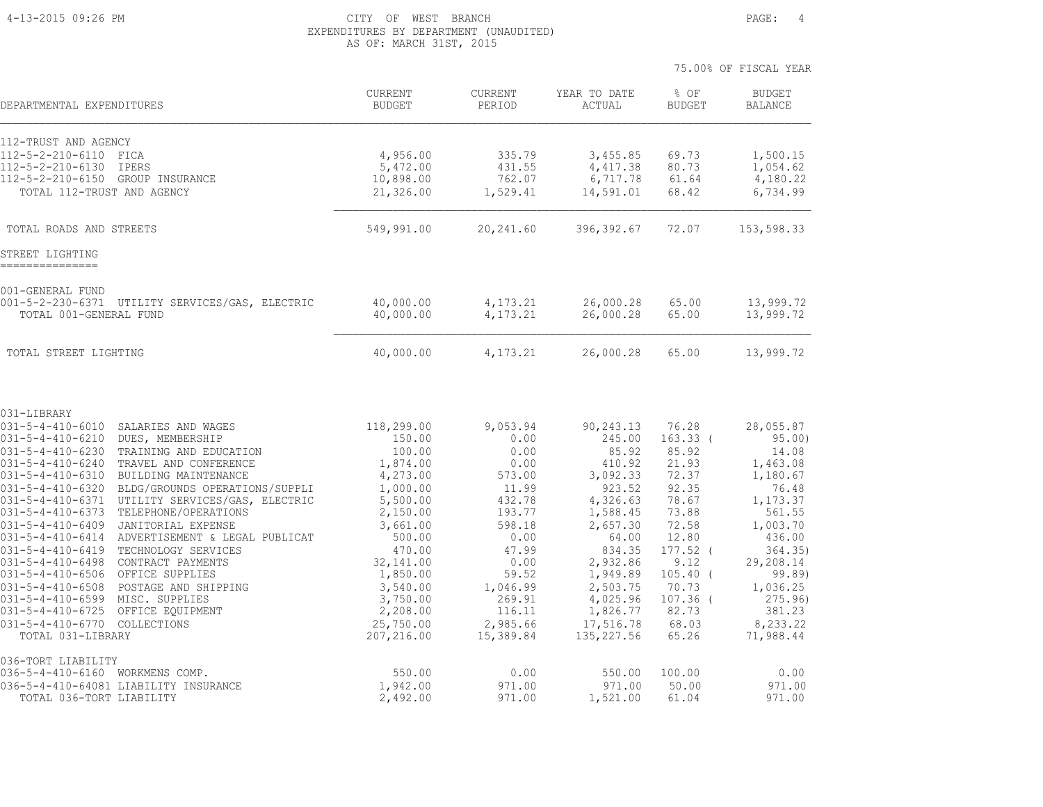#### 4-13-2015 09:26 PM CITY OF WEST BRANCH PAGE: 4 EXPENDITURES BY DEPARTMENT (UNAUDITED) AS OF: MARCH 31ST, 2015

|                                                                                                                                                                                                                                                                                                                                                                                                                                                                                                                                                                                                                                                                                                                                                                                                                                                                                                                                                                                     |                                                                                                                                                                                                                    |                                                                                                                                                                              |                                                                                                                                                                                                            | 75.00% OF FISCAL YEAR                                                                                                                                                             |                                                                                                                                                                                                      |
|-------------------------------------------------------------------------------------------------------------------------------------------------------------------------------------------------------------------------------------------------------------------------------------------------------------------------------------------------------------------------------------------------------------------------------------------------------------------------------------------------------------------------------------------------------------------------------------------------------------------------------------------------------------------------------------------------------------------------------------------------------------------------------------------------------------------------------------------------------------------------------------------------------------------------------------------------------------------------------------|--------------------------------------------------------------------------------------------------------------------------------------------------------------------------------------------------------------------|------------------------------------------------------------------------------------------------------------------------------------------------------------------------------|------------------------------------------------------------------------------------------------------------------------------------------------------------------------------------------------------------|-----------------------------------------------------------------------------------------------------------------------------------------------------------------------------------|------------------------------------------------------------------------------------------------------------------------------------------------------------------------------------------------------|
| DEPARTMENTAL EXPENDITURES                                                                                                                                                                                                                                                                                                                                                                                                                                                                                                                                                                                                                                                                                                                                                                                                                                                                                                                                                           | <b>CURRENT</b><br><b>BUDGET</b>                                                                                                                                                                                    | <b>CURRENT</b><br>PERIOD                                                                                                                                                     | YEAR TO DATE<br>ACTUAL                                                                                                                                                                                     | % OF<br><b>BUDGET</b>                                                                                                                                                             | <b>BUDGET</b><br><b>BALANCE</b>                                                                                                                                                                      |
| 112-TRUST AND AGENCY<br>$112 - 5 - 2 - 210 - 6110$<br>FICA<br>112-5-2-210-6130<br><b>IPERS</b><br>$112 - 5 - 2 - 210 - 6150$<br>GROUP INSURANCE<br>TOTAL 112-TRUST AND AGENCY                                                                                                                                                                                                                                                                                                                                                                                                                                                                                                                                                                                                                                                                                                                                                                                                       | 4,956.00<br>5,472.00<br>10,898.00<br>21,326.00                                                                                                                                                                     | 335.79<br>431.55<br>762.07<br>1,529.41                                                                                                                                       | 3,455.85<br>4, 417.38<br>6,717.78<br>14,591.01                                                                                                                                                             | 69.73<br>80.73<br>61.64<br>68.42                                                                                                                                                  | 1,500.15<br>1,054.62<br>4,180.22<br>6,734.99                                                                                                                                                         |
| TOTAL ROADS AND STREETS                                                                                                                                                                                                                                                                                                                                                                                                                                                                                                                                                                                                                                                                                                                                                                                                                                                                                                                                                             | 549,991.00                                                                                                                                                                                                         | 20,241.60                                                                                                                                                                    | 396,392.67                                                                                                                                                                                                 | 72.07                                                                                                                                                                             | 153,598.33                                                                                                                                                                                           |
| STREET LIGHTING                                                                                                                                                                                                                                                                                                                                                                                                                                                                                                                                                                                                                                                                                                                                                                                                                                                                                                                                                                     |                                                                                                                                                                                                                    |                                                                                                                                                                              |                                                                                                                                                                                                            |                                                                                                                                                                                   |                                                                                                                                                                                                      |
| 001-GENERAL FUND<br>$001 - 5 - 2 - 230 - 6371$<br>UTILITY SERVICES/GAS, ELECTRIC<br>TOTAL 001-GENERAL FUND                                                                                                                                                                                                                                                                                                                                                                                                                                                                                                                                                                                                                                                                                                                                                                                                                                                                          | 40,000.00<br>40,000.00                                                                                                                                                                                             | 4,173.21<br>4,173.21                                                                                                                                                         | 26,000.28<br>26,000.28                                                                                                                                                                                     | 65.00<br>65.00                                                                                                                                                                    | 13,999.72<br>13,999.72                                                                                                                                                                               |
| TOTAL STREET LIGHTING                                                                                                                                                                                                                                                                                                                                                                                                                                                                                                                                                                                                                                                                                                                                                                                                                                                                                                                                                               | 40,000.00                                                                                                                                                                                                          | 4,173.21                                                                                                                                                                     | 26,000.28                                                                                                                                                                                                  | 65.00                                                                                                                                                                             | 13,999.72                                                                                                                                                                                            |
| 031-LIBRARY<br>$031 - 5 - 4 - 410 - 6010$<br>SALARIES AND WAGES<br>$031 - 5 - 4 - 410 - 6210$<br>DUES, MEMBERSHIP<br>$031 - 5 - 4 - 410 - 6230$<br>TRAINING AND EDUCATION<br>$031 - 5 - 4 - 410 - 6240$<br>TRAVEL AND CONFERENCE<br>$031 - 5 - 4 - 410 - 6310$<br>BUILDING MAINTENANCE<br>$031 - 5 - 4 - 410 - 6320$<br>BLDG/GROUNDS OPERATIONS/SUPPLI<br>$031 - 5 - 4 - 410 - 6371$<br>UTILITY SERVICES/GAS, ELECTRIC<br>$031 - 5 - 4 - 410 - 6373$<br>TELEPHONE/OPERATIONS<br>$031 - 5 - 4 - 410 - 6409$<br>JANITORIAL EXPENSE<br>$031 - 5 - 4 - 410 - 6414$<br>ADVERTISEMENT & LEGAL PUBLICAT<br>$031 - 5 - 4 - 410 - 6419$<br>TECHNOLOGY SERVICES<br>$031 - 5 - 4 - 410 - 6498$<br>CONTRACT PAYMENTS<br>OFFICE SUPPLIES<br>$031 - 5 - 4 - 410 - 6506$<br>POSTAGE AND SHIPPING<br>$031 - 5 - 4 - 410 - 6508$<br>$031 - 5 - 4 - 410 - 6599$<br>MISC. SUPPLIES<br>$031 - 5 - 4 - 410 - 6725$<br>OFFICE EQUIPMENT<br>$031 - 5 - 4 - 410 - 6770$<br>COLLECTIONS<br>TOTAL 031-LIBRARY | 118,299.00<br>150.00<br>100.00<br>1,874.00<br>4,273.00<br>1,000.00<br>5,500.00<br>2,150.00<br>3,661.00<br>500.00<br>470.00<br>32,141.00<br>1,850.00<br>3,540.00<br>3,750.00<br>2,208.00<br>25,750.00<br>207,216.00 | 9,053.94<br>0.00<br>0.00<br>0.00<br>573.00<br>11.99<br>432.78<br>193.77<br>598.18<br>0.00<br>47.99<br>0.00<br>59.52<br>1,046.99<br>269.91<br>116.11<br>2,985.66<br>15,389.84 | 90,243.13<br>245.00<br>85.92<br>410.92<br>3,092.33<br>923.52<br>4,326.63<br>1,588.45<br>2,657.30<br>64.00<br>834.35<br>2,932.86<br>1,949.89<br>2,503.75<br>4,025.96<br>1,826.77<br>17,516.78<br>135,227.56 | 76.28<br>$163.33$ (<br>85.92<br>21.93<br>72.37<br>92.35<br>78.67<br>73.88<br>72.58<br>12.80<br>$177.52$ (<br>9.12<br>$105.40$ (<br>70.73<br>$107.36$ (<br>82.73<br>68.03<br>65.26 | 28,055.87<br>95.00)<br>14.08<br>1,463.08<br>1,180.67<br>76.48<br>1,173.37<br>561.55<br>1,003.70<br>436.00<br>364.35)<br>29,208.14<br>99.89)<br>1,036.25<br>275.96<br>381.23<br>8,233.22<br>71,988.44 |
| 036-TORT LIABILITY<br>$036 - 5 - 4 - 410 - 6160$<br>WORKMENS COMP.<br>036-5-4-410-64081 LIABILITY INSURANCE<br>TOTAL 036-TORT LIABILITY                                                                                                                                                                                                                                                                                                                                                                                                                                                                                                                                                                                                                                                                                                                                                                                                                                             | 550.00<br>1,942.00<br>2,492.00                                                                                                                                                                                     | 0.00<br>971.00<br>971.00                                                                                                                                                     | 550.00<br>971.00<br>1,521.00                                                                                                                                                                               | 100.00<br>50.00<br>61.04                                                                                                                                                          | 0.00<br>971.00<br>971.00                                                                                                                                                                             |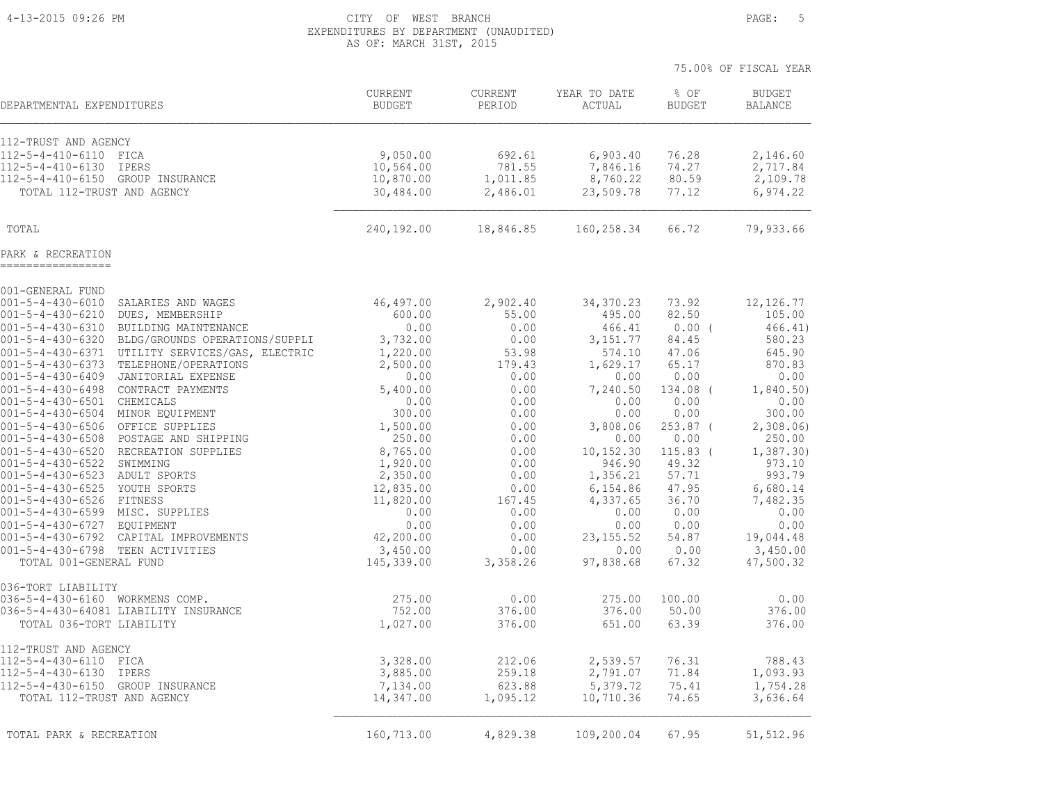#### 4-13-2015 09:26 PM CITY OF WEST BRANCH PAGE: 5 EXPENDITURES BY DEPARTMENT (UNAUDITED) AS OF: MARCH 31ST, 2015

|                                                                                                                    |                                 |                    |                        | 75.00% OF FISCAL YEAR |                                 |
|--------------------------------------------------------------------------------------------------------------------|---------------------------------|--------------------|------------------------|-----------------------|---------------------------------|
| DEPARTMENTAL EXPENDITURES                                                                                          | <b>CURRENT</b><br><b>BUDGET</b> | CURRENT<br>PERIOD  | YEAR TO DATE<br>ACTUAL | % OF<br><b>BUDGET</b> | <b>BUDGET</b><br><b>BALANCE</b> |
| 112-TRUST AND AGENCY                                                                                               |                                 |                    |                        |                       |                                 |
| 112-5-4-410-6110<br>FICA                                                                                           | 9,050.00                        | 692.61             | 6,903.40               | 76.28                 | 2,146.60                        |
| 112-5-4-410-6130<br>IPERS                                                                                          | 10,564.00                       | 781.55             | 7,846.16               | 74.27                 | 2,717.84                        |
| $112 - 5 - 4 - 410 - 6150$<br>GROUP INSURANCE                                                                      | 10,870.00                       | 1,011.85           | 8,760.22               | 80.59                 | 2,109.78                        |
| TOTAL 112-TRUST AND AGENCY                                                                                         | 30,484.00                       | 2,486.01           | 23,509.78              | 77.12                 | 6,974.22                        |
| TOTAL                                                                                                              | 240,192.00                      | 18,846.85          | 160,258.34             | 66.72                 | 79,933.66                       |
| PARK & RECREATION                                                                                                  |                                 |                    |                        |                       |                                 |
| 001-GENERAL FUND                                                                                                   |                                 |                    |                        |                       |                                 |
| $001 - 5 - 4 - 430 - 6010$<br>SALARIES AND WAGES                                                                   | 46,497.00                       | 2,902.40           | 34,370.23              | 73.92                 | 12, 126.77                      |
| $001 - 5 - 4 - 430 - 6210$<br>DUES, MEMBERSHIP                                                                     | 600.00                          | 55.00              | 495.00                 | 82.50                 | 105.00                          |
| $001 - 5 - 4 - 430 - 6310$<br>BUILDING MAINTENANCE<br>$001 - 5 - 4 - 430 - 6320$<br>BLDG/GROUNDS OPERATIONS/SUPPLI | 0.00<br>3,732.00                | 0.00<br>0.00       | 466.41<br>3, 151.77    | $0.00$ (<br>84.45     | 466.41)<br>580.23               |
| $001 - 5 - 4 - 430 - 6371$<br>UTILITY SERVICES/GAS, ELECTRIC                                                       | 1,220.00                        | 53.98              | 574.10                 | 47.06                 | 645.90                          |
| $001 - 5 - 4 - 430 - 6373$<br>TELEPHONE/OPERATIONS                                                                 | 2,500.00                        | 179.43             | 1,629.17               | 65.17                 | 870.83                          |
| $001 - 5 - 4 - 430 - 6409$<br>JANITORIAL EXPENSE                                                                   | 0.00                            | 0.00               | 0.00                   | 0.00                  | 0.00                            |
| $001 - 5 - 4 - 430 - 6498$<br>CONTRACT PAYMENTS                                                                    | 5,400.00                        | 0.00               | 7,240.50               | 134.08 (              | 1,840.50)                       |
| $001 - 5 - 4 - 430 - 6501$<br>CHEMICALS                                                                            | 0.00                            | 0.00               | 0.00                   | 0.00                  | 0.00                            |
| $001 - 5 - 4 - 430 - 6504$<br>MINOR EQUIPMENT                                                                      | 300.00                          | 0.00               | 0.00                   | 0.00                  | 300.00                          |
| $001 - 5 - 4 - 430 - 6506$<br>OFFICE SUPPLIES                                                                      | 1,500.00                        | 0.00               | 3,808.06               | $253.87$ (            | 2,308.06                        |
| $001 - 5 - 4 - 430 - 6508$<br>POSTAGE AND SHIPPING                                                                 | 250.00                          | 0.00               | 0.00                   | 0.00                  | 250.00                          |
| $001 - 5 - 4 - 430 - 6520$<br>RECREATION SUPPLIES<br>$001 - 5 - 4 - 430 - 6522$<br>SWIMMING                        | 8,765.00<br>1,920.00            | 0.00<br>0.00       | 10,152.30<br>946.90    | 115.83 (<br>49.32     | 1,387.30<br>973.10              |
| 001-5-4-430-6523 ADULT SPORTS                                                                                      | 2,350.00                        | 0.00               | 1,356.21               | 57.71                 | 993.79                          |
| 001-5-4-430-6525 YOUTH SPORTS                                                                                      | 12,835.00                       | 0.00               | 6,154.86               | 47.95                 | 6,680.14                        |
| $001 - 5 - 4 - 430 - 6526$<br>FITNESS                                                                              | 11,820.00                       | 167.45             | 4,337.65               | 36.70                 | 7,482.35                        |
| 001-5-4-430-6599 MISC. SUPPLIES                                                                                    | 0.00                            | 0.00               | 0.00                   | 0.00                  | 0.00                            |
| $001 - 5 - 4 - 430 - 6727$<br>EOUIPMENT                                                                            | 0.00                            | 0.00               | 0.00                   | 0.00                  | 0.00                            |
| $001 - 5 - 4 - 430 - 6792$<br>CAPITAL IMPROVEMENTS                                                                 | 42,200.00                       | 0.00               | 23, 155.52             | 54.87                 | 19,044.48                       |
| 001-5-4-430-6798 TEEN ACTIVITIES<br>TOTAL 001-GENERAL FUND                                                         | 3,450.00<br>145,339.00          | 0.00<br>3,358.26   | 0.00<br>97,838.68      | 0.00<br>67.32         | 3,450.00<br>47,500.32           |
| 036-TORT LIABILITY                                                                                                 |                                 |                    |                        |                       |                                 |
| 036-5-4-430-6160 WORKMENS COMP.                                                                                    | 275.00                          | 0.00               | 275.00                 | 100.00                | 0.00                            |
| 036-5-4-430-64081 LIABILITY INSURANCE                                                                              | 752.00                          | 376.00             | 376.00                 | 50.00                 | 376.00                          |
| TOTAL 036-TORT LIABILITY                                                                                           | 1,027.00                        | 376.00             | 651.00                 | 63.39                 | 376.00                          |
| 112-TRUST AND AGENCY                                                                                               |                                 |                    |                        |                       |                                 |
| $112 - 5 - 4 - 430 - 6110$<br>FICA                                                                                 | 3,328.00                        | 212.06             | 2,539.57               | 76.31                 | 788.43                          |
| 112-5-4-430-6130<br>IPERS                                                                                          | 3,885.00                        | 259.18             | 2,791.07               | 71.84                 | 1,093.93                        |
| 112-5-4-430-6150 GROUP INSURANCE<br>TOTAL 112-TRUST AND AGENCY                                                     | 7,134.00<br>14,347.00           | 623.88<br>1,095.12 | 5,379.72<br>10,710.36  | 75.41<br>74.65        | 1,754.28<br>3,636.64            |
| TOTAL PARK & RECREATION                                                                                            | 160,713.00                      | 4,829.38           | 109,200.04             | 67.95                 | 51, 512.96                      |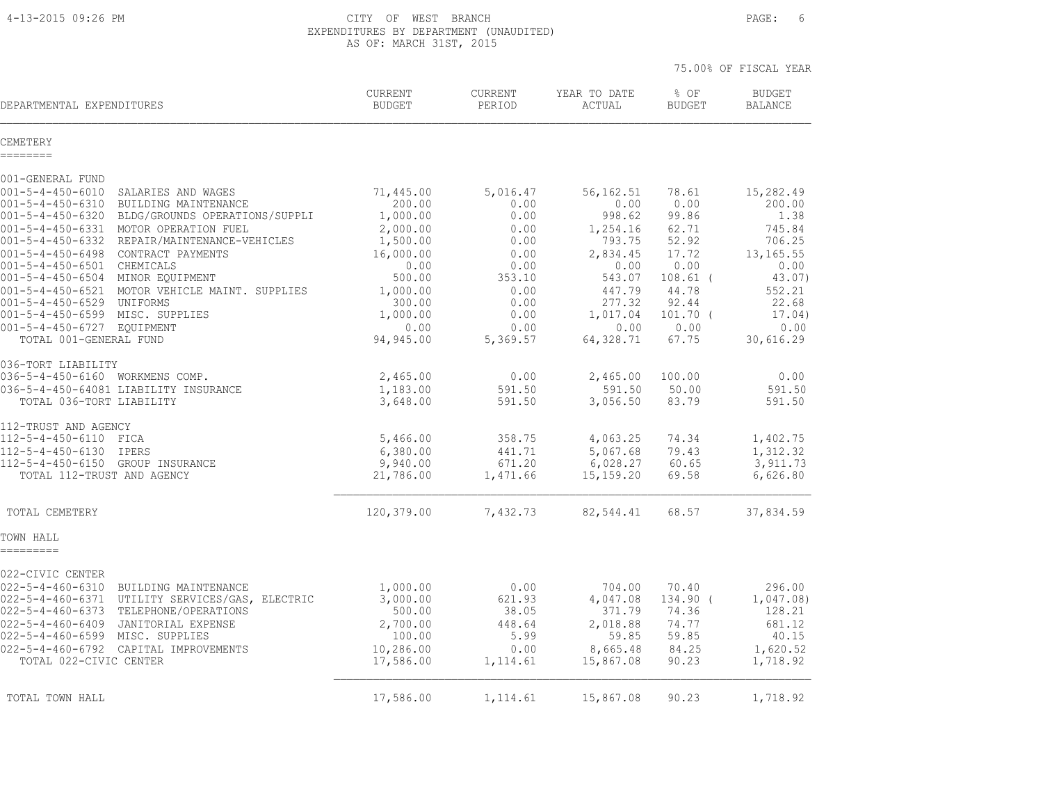#### 4-13-2015 09:26 PM CITY OF WEST BRANCH PAGE: 6 EXPENDITURES BY DEPARTMENT (UNAUDITED) AS OF: MARCH 31ST, 2015

|                                                                                                                                                                        |                                               |                                        |                                                | 75.00% OF FISCAL YEAR            |                                              |
|------------------------------------------------------------------------------------------------------------------------------------------------------------------------|-----------------------------------------------|----------------------------------------|------------------------------------------------|----------------------------------|----------------------------------------------|
| DEPARTMENTAL EXPENDITURES                                                                                                                                              | CURRENT<br><b>BUDGET</b>                      | CURRENT<br>PERIOD                      | YEAR TO DATE<br>ACTUAL                         | % OF<br><b>BUDGET</b>            | <b>BUDGET</b><br><b>BALANCE</b>              |
| CEMETERY<br>========                                                                                                                                                   |                                               |                                        |                                                |                                  |                                              |
| 001-GENERAL FUND                                                                                                                                                       |                                               |                                        |                                                |                                  |                                              |
| $001 - 5 - 4 - 450 - 6010$<br>SALARIES AND WAGES<br>$001 - 5 - 4 - 450 - 6310$<br>BUILDING MAINTENANCE<br>$001 - 5 - 4 - 450 - 6320$<br>BLDG/GROUNDS OPERATIONS/SUPPLI | 71,445.00<br>200.00<br>1,000.00               | 5,016.47<br>0.00<br>0.00               | 56, 162.51<br>0.00<br>998.62                   | 78.61<br>0.00<br>99.86           | 15,282.49<br>200.00<br>1.38                  |
| 001-5-4-450-6331 MOTOR OPERATION FUEL<br>$001 - 5 - 4 - 450 - 6332$<br>REPAIR/MAINTENANCE-VEHICLES<br>001-5-4-450-6498 CONTRACT PAYMENTS<br>001-5-4-450-6501 CHEMICALS | 2,000.00<br>1,500.00<br>16,000.00<br>0.00     | 0.00<br>0.00<br>0.00<br>0.00           | 1,254.16<br>793.75<br>2,834.45<br>0.00         | 62.71<br>52.92<br>17.72<br>0.00  | 745.84<br>706.25<br>13, 165.55<br>0.00       |
| 001-5-4-450-6504 MINOR EQUIPMENT<br>001-5-4-450-6521 MOTOR VEHICLE MAINT. SUPPLIES<br>001-5-4-450-6529 UNIFORMS                                                        | 500.00<br>1,000.00<br>300.00                  | 353.10<br>0.00<br>0.00                 | 543.07<br>447.79<br>277.32                     | $108.61$ (<br>44.78<br>92.44     | 43.07)<br>552.21<br>22.68                    |
| 001-5-4-450-6599 MISC. SUPPLIES<br>001-5-4-450-6727 EQUIPMENT<br>TOTAL 001-GENERAL FUND                                                                                | 1,000.00<br>0.00<br>94,945.00                 | 0.00<br>0.00<br>5,369.57               | 1,017.04<br>0.00<br>64,328.71                  | $101.70$ (<br>0.00<br>67.75      | 17.04)<br>0.00<br>30,616.29                  |
| 036-TORT LIABILITY                                                                                                                                                     |                                               |                                        |                                                |                                  |                                              |
| 036-5-4-450-6160 WORKMENS COMP.<br>036-5-4-450-64081 LIABILITY INSURANCE<br>TOTAL 036-TORT LIABILITY                                                                   | 2,465.00<br>1,183.00<br>3,648.00              | 0.00<br>591.50<br>591.50               | 2,465.00<br>591.50<br>3,056.50                 | 100.00<br>50.00<br>83.79         | 0.00<br>591.50<br>591.50                     |
| 112-TRUST AND AGENCY                                                                                                                                                   |                                               |                                        |                                                |                                  |                                              |
| 112-5-4-450-6110 FICA<br>112-5-4-450-6130 IPERS<br>112-5-4-450-6150 GROUP INSURANCE<br>TOTAL 112-TRUST AND AGENCY                                                      | 5,466.00<br>6,380.00<br>9,940.00<br>21,786.00 | 358.75<br>441.71<br>671.20<br>1,471.66 | 4,063.25<br>5,067.68<br>6,028.27<br>15, 159.20 | 74.34<br>79.43<br>60.65<br>69.58 | 1,402.75<br>1,312.32<br>3,911.73<br>6,626.80 |
|                                                                                                                                                                        |                                               |                                        |                                                |                                  |                                              |
| TOTAL CEMETERY                                                                                                                                                         | 120,379.00                                    | 7,432.73                               | 82,544.41                                      | 68.57                            | 37,834.59                                    |
| TOWN HALL<br>=========                                                                                                                                                 |                                               |                                        |                                                |                                  |                                              |
| 022-CIVIC CENTER<br>022-5-4-460-6310 BUILDING MAINTENANCE                                                                                                              | 1,000.00                                      | 0.00                                   | 704.00                                         | 70.40                            | 296.00                                       |
| 022-5-4-460-6371 UTILITY SERVICES/GAS, ELECTRIC<br>022-5-4-460-6373 TELEPHONE/OPERATIONS<br>$022 - 5 - 4 - 460 - 6409$<br>JANITORIAL EXPENSE                           | 3,000.00<br>500.00<br>2,700.00                | 621.93<br>38.05<br>448.64              | 4,047.08<br>371.79<br>2,018.88                 | 134.90 (<br>74.36<br>74.77       | 1,047.08)<br>128.21<br>681.12                |
| 022-5-4-460-6599 MISC. SUPPLIES<br>022-5-4-460-6792 CAPITAL IMPROVEMENTS<br>TOTAL 022-CIVIC CENTER                                                                     | 100.00<br>10,286.00<br>17,586.00              | 5.99<br>0.00<br>1,114.61               | 59.85<br>8,665.48<br>15,867.08                 | 59.85<br>84.25<br>90.23          | 40.15<br>1,620.52<br>1,718.92                |
| TOTAL TOWN HALL                                                                                                                                                        | 17,586.00                                     | 1,114.61                               | 15,867.08                                      | 90.23                            | 1,718.92                                     |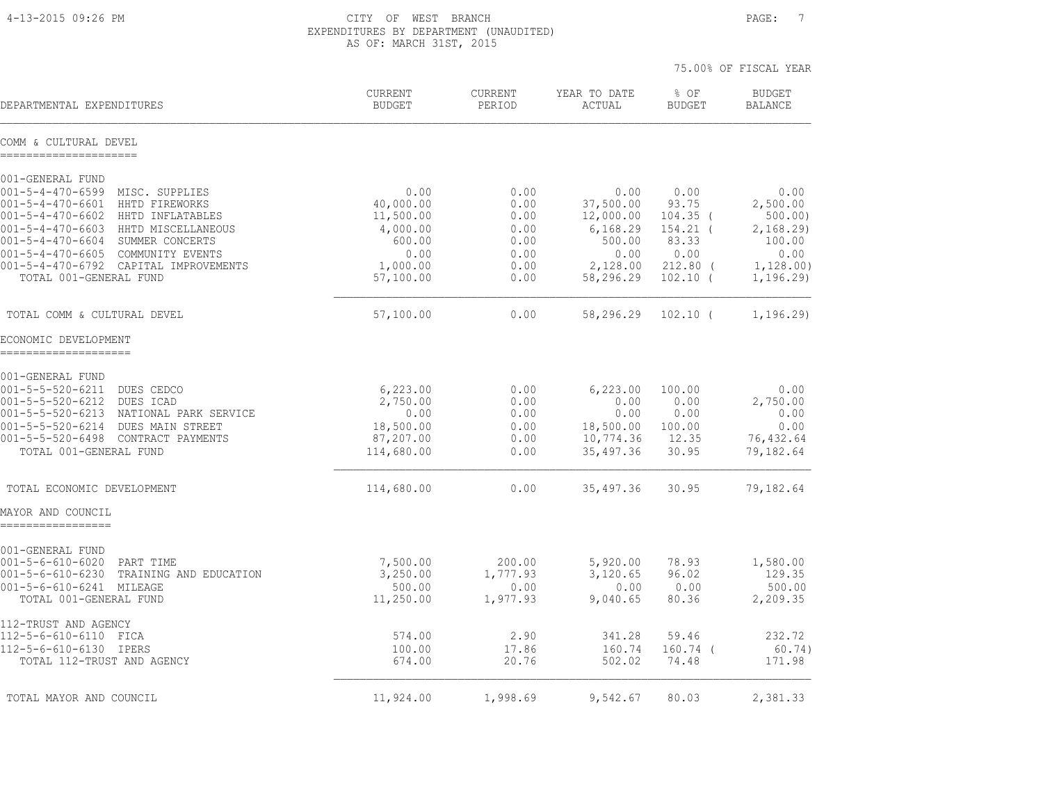4-13-2015 09:26 PM CITY OF WEST BRANCH PAGE: 7 EXPENDITURES BY DEPARTMENT (UNAUDITED) AS OF: MARCH 31ST, 2015

|                                                                                              |                          |                          |                        | 75.00% OF FISCAL YEAR    |                                 |
|----------------------------------------------------------------------------------------------|--------------------------|--------------------------|------------------------|--------------------------|---------------------------------|
| DEPARTMENTAL EXPENDITURES                                                                    | CURRENT<br><b>BUDGET</b> | <b>CURRENT</b><br>PERIOD | YEAR TO DATE<br>ACTUAL | % OF<br><b>BUDGET</b>    | <b>BUDGET</b><br><b>BALANCE</b> |
| COMM & CULTURAL DEVEL                                                                        |                          |                          |                        |                          |                                 |
| 001-GENERAL FUND                                                                             |                          |                          |                        |                          |                                 |
| $001 - 5 - 4 - 470 - 6599$<br>MISC. SUPPLIES<br>$001 - 5 - 4 - 470 - 6601$<br>HHTD FIREWORKS | 0.00<br>40,000.00        | 0.00<br>0.00             | 0.00<br>37,500.00      | 0.00<br>93.75            | 0.00<br>2,500.00                |
| $001 - 5 - 4 - 470 - 6602$<br>HHTD INFLATABLES                                               | 11,500.00                | 0.00                     | 12,000.00              | $104.35$ (               | 500.00)                         |
| $001 - 5 - 4 - 470 - 6603$<br>HHTD MISCELLANEOUS<br>001-5-4-470-6604 SUMMER CONCERTS         | 4,000.00<br>600.00       | 0.00<br>0.00             | 6,168.29<br>500.00     | $154.21$ (<br>83.33      | 2,168.29<br>100.00              |
| $001 - 5 - 4 - 470 - 6605$<br>COMMUNITY EVENTS                                               | 0.00                     | 0.00                     | 0.00                   | 0.00                     | 0.00                            |
| 001-5-4-470-6792 CAPITAL IMPROVEMENTS<br>TOTAL 001-GENERAL FUND                              | 1,000.00<br>57,100.00    | 0.00<br>0.00             | 2,128.00<br>58,296.29  | $212.80$ (<br>$102.10$ ( | 1,128.00)                       |
|                                                                                              |                          |                          |                        |                          | 1, 196.29                       |
| TOTAL COMM & CULTURAL DEVEL                                                                  | 57,100.00                | 0.00                     | 58,296.29              | $102.10$ (               | 1, 196.29                       |
| ECONOMIC DEVELOPMENT                                                                         |                          |                          |                        |                          |                                 |
| 001-GENERAL FUND                                                                             |                          |                          |                        |                          |                                 |
| 001-5-5-520-6211<br>DUES CEDCO                                                               | 6, 223.00                | 0.00                     | 6,223.00               | 100.00                   | 0.00                            |
| 001-5-5-520-6212<br>DUES ICAD<br>001-5-5-520-6213<br>NATIONAL PARK SERVICE                   | 2,750.00<br>0.00         | 0.00<br>0.00             | 0.00<br>0.00           | 0.00<br>0.00             | 2,750.00<br>0.00                |
| $001 - 5 - 5 - 520 - 6214$<br>DUES MAIN STREET                                               | 18,500.00                | 0.00                     | 18,500.00              | 100.00                   | 0.00                            |
| 001-5-5-520-6498 CONTRACT PAYMENTS                                                           | 87,207.00                | 0.00                     | 10,774.36              | 12.35                    | 76,432.64                       |
| TOTAL 001-GENERAL FUND                                                                       | 114,680.00               | 0.00                     | 35,497.36              | 30.95                    | 79,182.64                       |
| TOTAL ECONOMIC DEVELOPMENT                                                                   | 114,680.00               | 0.00                     | 35,497.36              | 30.95                    | 79,182.64                       |
| MAYOR AND COUNCIL<br>-------------                                                           |                          |                          |                        |                          |                                 |
|                                                                                              |                          |                          |                        |                          |                                 |
| 001-GENERAL FUND<br>001-5-6-610-6020<br>PART TIME                                            | 7,500.00                 | 200.00                   | 5,920.00               | 78.93                    | 1,580.00                        |
| $001 - 5 - 6 - 610 - 6230$<br>TRAINING AND EDUCATION                                         | 3,250.00                 | 1,777.93                 | 3,120.65               | 96.02                    | 129.35                          |
| 001-5-6-610-6241 MILEAGE<br>TOTAL 001-GENERAL FUND                                           | 500.00<br>11,250.00      | 0.00<br>1,977.93         | 0.00<br>9,040.65       | 0.00<br>80.36            | 500.00<br>2,209.35              |
| 112-TRUST AND AGENCY                                                                         |                          |                          |                        |                          |                                 |
| 112-5-6-610-6110 FICA<br>112-5-6-610-6130 IPERS                                              | 574.00<br>100.00         | 2.90<br>17.86            | 341.28<br>160.74       | 59.46<br>$160.74$ (      | 232.72<br>60.74)                |
| TOTAL 112-TRUST AND AGENCY                                                                   | 674.00                   | 20.76                    | 502.02                 | 74.48                    | 171.98                          |
| TOTAL MAYOR AND COUNCIL                                                                      | 11,924.00                | 1,998.69                 | 9,542.67               | 80.03                    | 2,381.33                        |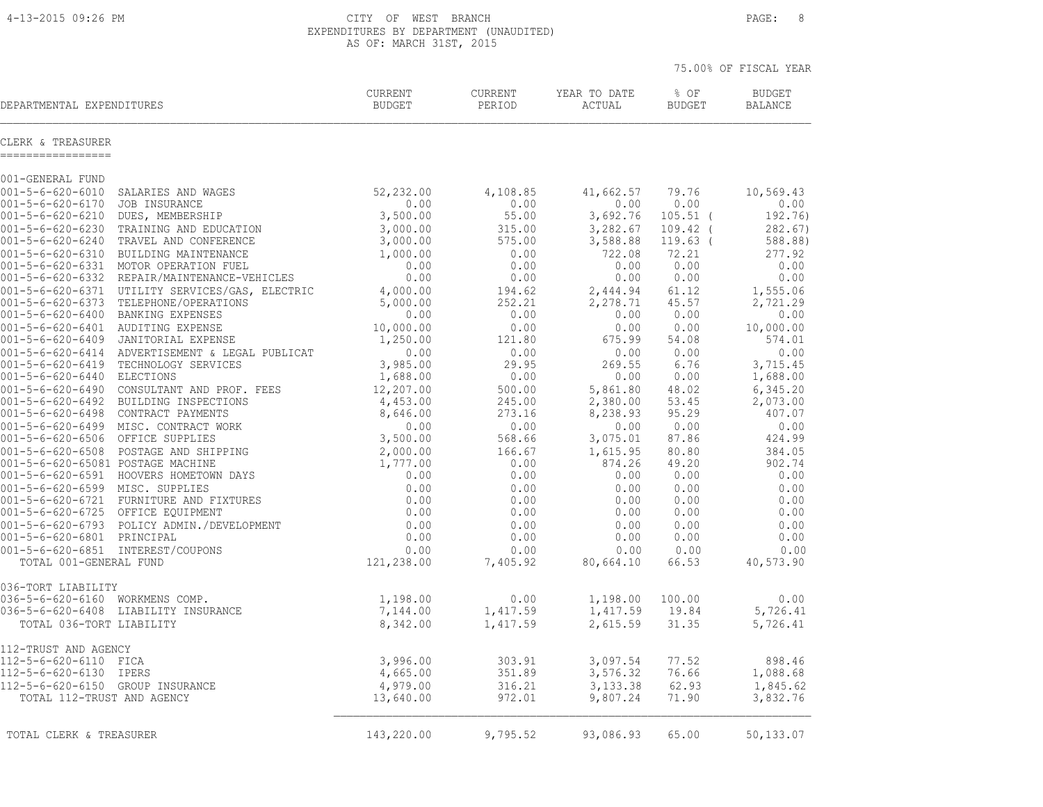| 4-13-2015 09:26 PM                                       |                                                                              | CITY OF WEST BRANCH<br>EXPENDITURES BY DEPARTMENT (UNAUDITED)<br>AS OF: MARCH 31ST, 2015 |                   | PAGE:<br>8             |                       |                                 |
|----------------------------------------------------------|------------------------------------------------------------------------------|------------------------------------------------------------------------------------------|-------------------|------------------------|-----------------------|---------------------------------|
|                                                          |                                                                              |                                                                                          |                   |                        |                       | 75.00% OF FISCAL YEAR           |
| DEPARTMENTAL EXPENDITURES                                |                                                                              | CURRENT<br><b>BUDGET</b>                                                                 | CURRENT<br>PERIOD | YEAR TO DATE<br>ACTUAL | % OF<br><b>BUDGET</b> | <b>BUDGET</b><br><b>BALANCE</b> |
| CLERK & TREASURER<br>-----------------                   |                                                                              |                                                                                          |                   |                        |                       |                                 |
| 001-GENERAL FUND                                         |                                                                              |                                                                                          |                   |                        |                       |                                 |
| $001 - 5 - 6 - 620 - 6010$<br>$001 - 5 - 6 - 620 - 6170$ | SALARIES AND WAGES<br>JOB INSURANCE                                          | 52,232.00<br>0.00                                                                        | 4,108.85<br>0.00  | 41,662.57<br>0.00      | 79.76<br>0.00         | 10,569.43<br>0.00               |
| $001 - 5 - 6 - 620 - 6210$                               | DUES, MEMBERSHIP                                                             | 3,500.00                                                                                 | 55.00             | 3,692.76               | $105.51$ (            | 192.76)                         |
| $001 - 5 - 6 - 620 - 6230$                               | TRAINING AND EDUCATION                                                       | 3,000.00                                                                                 | 315.00            | 3,282.67               | $109.42$ (            | 282.67)                         |
| $001 - 5 - 6 - 620 - 6240$                               | TRAVEL AND CONFERENCE                                                        | 3,000.00                                                                                 | 575.00            | 3,588.88               | $119.63$ (            | 588.88)                         |
|                                                          | 001-5-6-620-6310 BUILDING MAINTENANCE                                        | 1,000.00                                                                                 | 0.00              | 722.08                 | 72.21                 | 277.92                          |
|                                                          | 001-5-6-620-6331 MOTOR OPERATION FUEL                                        | 0.00                                                                                     | 0.00              | 0.00                   | 0.00                  | 0.00                            |
|                                                          | 001-5-6-620-6332 REPAIR/MAINTENANCE-VEHICLES                                 | 0.00                                                                                     | 0.00              | 0.00                   | 0.00                  | 0.00                            |
|                                                          | 001-5-6-620-6371 UTILITY SERVICES/GAS, ELECTRIC                              | 4,000.00                                                                                 | 194.62            | 2,444.94               | 61.12                 | 1,555.06                        |
| 001-5-6-620-6373                                         | TELEPHONE/OPERATIONS                                                         | 5,000.00                                                                                 | 252.21            | 2,278.71               | 45.57                 | 2,721.29                        |
| $001 - 5 - 6 - 620 - 6400$<br>001-5-6-620-6401           | BANKING EXPENSES                                                             | 0.00                                                                                     | 0.00<br>0.00      | 0.00                   | 0.00<br>0.00          | 0.00<br>10,000.00               |
| 001-5-6-620-6409                                         | AUDITING EXPENSE<br>JANITORIAL EXPENSE                                       | 10,000.00<br>1,250.00                                                                    | 121.80            | 0.00<br>675.99         | 54.08                 | 574.01                          |
|                                                          | 001-5-6-620-6414 ADVERTISEMENT & LEGAL PUBLICAT                              | 0.00                                                                                     | 0.00              | 0.00                   | 0.00                  | 0.00                            |
|                                                          | 001-5-6-620-6419 TECHNOLOGY SERVICES                                         | 3,985.00                                                                                 | 29.95             | 269.55                 | 6.76                  | 3,715.45                        |
| 001-5-6-620-6440 ELECTIONS                               |                                                                              | 1,688.00                                                                                 | 0.00              | 0.00                   | 0.00                  | 1,688.00                        |
|                                                          | 001-5-6-620-6490 CONSULTANT AND PROF. FEES                                   | 12,207.00                                                                                | 500.00            | 5,861.80               | 48.02                 | 6,345.20                        |
|                                                          | 001-5-6-620-6492 BUILDING INSPECTIONS                                        | 4,453.00                                                                                 | 245.00            | 2,380.00               | 53.45                 | 2,073.00                        |
|                                                          | 001-5-6-620-6498 CONTRACT PAYMENTS                                           | 8,646.00                                                                                 | 273.16            | 8,238.93               | 95.29                 | 407.07                          |
|                                                          | 001-5-6-620-6499 MISC. CONTRACT WORK                                         | 0.00                                                                                     | 0.00              | 0.00                   | 0.00                  | 0.00                            |
| 001-5-6-620-6506 OFFICE SUPPLIES                         |                                                                              | 3,500.00                                                                                 | 568.66            | 3,075.01               | 87.86                 | 424.99                          |
|                                                          | 001-5-6-620-6508 POSTAGE AND SHIPPING                                        | 2,000.00                                                                                 | 166.67            | 1,615.95               | 80.80                 | 384.05                          |
| 001-5-6-620-65081 POSTAGE MACHINE                        |                                                                              | 1,777.00                                                                                 | 0.00              | 874.26                 | 49.20                 | 902.74                          |
|                                                          | 001-5-6-620-6591 HOOVERS HOMETOWN DAYS                                       | 0.00                                                                                     | 0.00              | 0.00                   | 0.00                  | 0.00                            |
| 001-5-6-620-6599 MISC. SUPPLIES                          |                                                                              | 0.00                                                                                     | 0.00              | 0.00                   | 0.00                  | 0.00                            |
|                                                          | 001-5-6-620-6721 FURNITURE AND FIXTURES<br>001-5-6-620-6725 OFFICE EQUIPMENT | 0.00<br>0.00                                                                             | 0.00              | 0.00                   | 0.00<br>0.00          | 0.00<br>0.00                    |
|                                                          |                                                                              |                                                                                          | 0.00              | 0.00                   |                       |                                 |
| 001-5-6-620-6801 PRINCIPAL                               | 001-5-6-620-6793 POLICY ADMIN./DEVELOPMENT                                   | 0.00<br>0.00                                                                             | 0.00<br>0.00      | 0.00<br>0.00           | 0.00<br>0.00          | 0.00<br>0.00                    |
|                                                          | 001-5-6-620-6851 INTEREST/COUPONS                                            | 0.00                                                                                     | 0.00              | 0.00                   | 0.00                  | 0.00                            |
| TOTAL 001-GENERAL FUND                                   |                                                                              | 121,238.00                                                                               | 7,405.92          | 80,664.10              | 66.53                 | 40,573.90                       |
| 036-TORT LIABILITY                                       |                                                                              |                                                                                          |                   |                        |                       |                                 |
| $036 - 5 - 6 - 620 - 6160$                               | WORKMENS COMP.                                                               | 1,198.00                                                                                 | 0.00              | 1,198.00               | 100.00                | 0.00                            |

036-5-6-620-6408 LIABILITY INSURANCE 7,144.00 1,417.59 1,417.59 19.84 5,726.41 TOTAL 036-TORT LIABILITY 8,342.00 1,417.59 2,615.59 31.35 5,726.41

112-5-6-620-6110 FICA 3,996.00 303.91 3,097.54 77.52 898.46 112-5-6-620-6130 IPERS 4,665.00 351.89 3,576.32 76.66 1,088.68 112-5-6-620-6150 GROUP INSURANCE 4,979.00 316.21 3,133.38 62.93 1,845.62 TOTAL 112-TRUST AND AGENCY 13,640.00 972.01 9,807.24 71.90 3,832.76  $\mathcal{L}_\text{max} = \frac{1}{2} \sum_{i=1}^n \mathcal{L}_\text{max} = \frac{1}{2} \sum_{i=1}^n \mathcal{L}_\text{max} = \frac{1}{2} \sum_{i=1}^n \mathcal{L}_\text{max} = \frac{1}{2} \sum_{i=1}^n \mathcal{L}_\text{max} = \frac{1}{2} \sum_{i=1}^n \mathcal{L}_\text{max} = \frac{1}{2} \sum_{i=1}^n \mathcal{L}_\text{max} = \frac{1}{2} \sum_{i=1}^n \mathcal{L}_\text{max} = \frac{1}{2} \sum_{i=$ 

| TOTAL CLERK & TREASURER | 143,220.00<br>$\mathbf{r}$ | 9 795 52<br>・シフ・マム | 93,086.93 | 65.00 | 50,133.07 |
|-------------------------|----------------------------|--------------------|-----------|-------|-----------|
|-------------------------|----------------------------|--------------------|-----------|-------|-----------|

112-TRUST AND AGENCY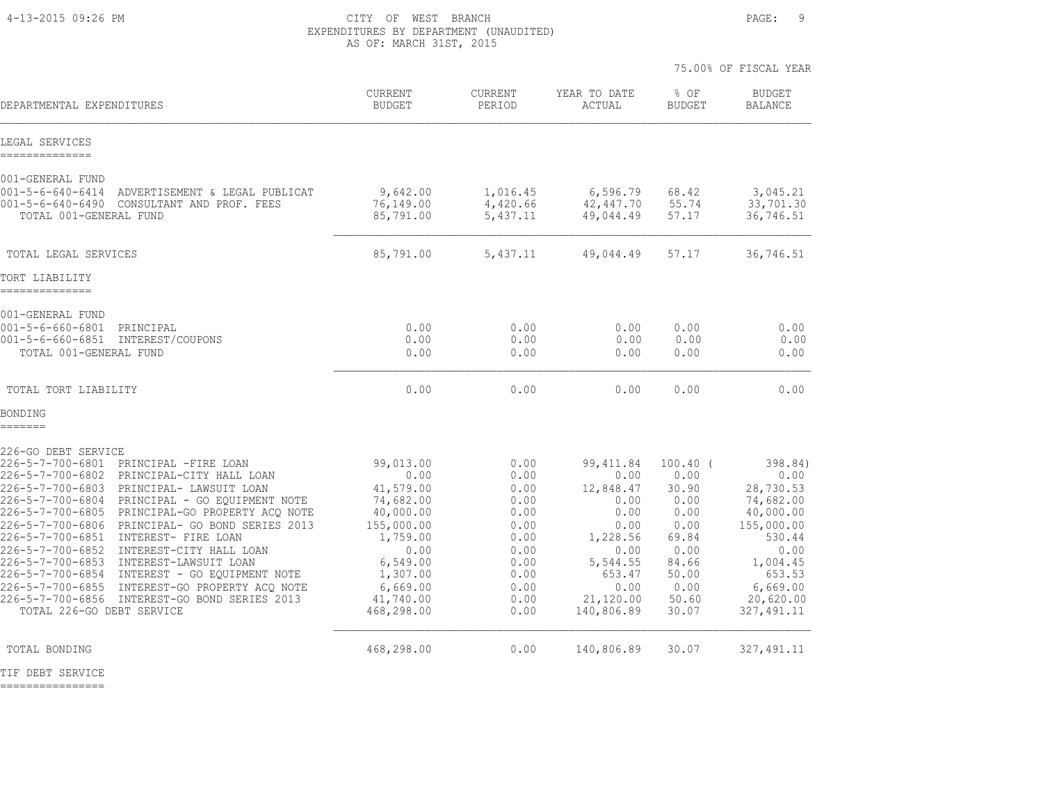4-13-2015 09:26 PM CITY OF WEST BRANCH PAGE: 9 EXPENDITURES BY DEPARTMENT (UNAUDITED) AS OF: MARCH 31ST, 2015

|                                                                                                                                                                                                                                                                                                                                                                                                                                                                                                                                                                                                                                                                                   |                                                                                                                                                           |                                                                                                      |                                                                                                                                      |                                                                                                                  | 75.00% OF FISCAL YEAR                                                                                                                                |
|-----------------------------------------------------------------------------------------------------------------------------------------------------------------------------------------------------------------------------------------------------------------------------------------------------------------------------------------------------------------------------------------------------------------------------------------------------------------------------------------------------------------------------------------------------------------------------------------------------------------------------------------------------------------------------------|-----------------------------------------------------------------------------------------------------------------------------------------------------------|------------------------------------------------------------------------------------------------------|--------------------------------------------------------------------------------------------------------------------------------------|------------------------------------------------------------------------------------------------------------------|------------------------------------------------------------------------------------------------------------------------------------------------------|
| DEPARTMENTAL EXPENDITURES                                                                                                                                                                                                                                                                                                                                                                                                                                                                                                                                                                                                                                                         | <b>CURRENT</b><br><b>BUDGET</b>                                                                                                                           | <b>CURRENT</b><br>PERIOD                                                                             | YEAR TO DATE<br><b>ACTUAL</b>                                                                                                        | % OF<br><b>BUDGET</b>                                                                                            | <b>BUDGET</b><br><b>BALANCE</b>                                                                                                                      |
| LEGAL SERVICES<br>--------------                                                                                                                                                                                                                                                                                                                                                                                                                                                                                                                                                                                                                                                  |                                                                                                                                                           |                                                                                                      |                                                                                                                                      |                                                                                                                  |                                                                                                                                                      |
| 001-GENERAL FUND<br>$001 - 5 - 6 - 640 - 6414$<br>ADVERTISEMENT & LEGAL PUBLICAT<br>$001 - 5 - 6 - 640 - 6490$<br>CONSULTANT AND PROF. FEES<br>TOTAL 001-GENERAL FUND                                                                                                                                                                                                                                                                                                                                                                                                                                                                                                             | 9,642.00<br>76,149.00<br>85,791.00                                                                                                                        | 1,016.45<br>4,420.66<br>5,437.11                                                                     | 6,596.79<br>42,447.70<br>49,044.49                                                                                                   | 68.42<br>55.74<br>57.17                                                                                          | 3,045.21<br>33,701.30<br>36,746.51                                                                                                                   |
| TOTAL LEGAL SERVICES                                                                                                                                                                                                                                                                                                                                                                                                                                                                                                                                                                                                                                                              | 85,791.00                                                                                                                                                 | 5,437.11                                                                                             | 49,044.49                                                                                                                            | 57.17                                                                                                            | 36,746.51                                                                                                                                            |
| TORT LIABILITY<br>--------------                                                                                                                                                                                                                                                                                                                                                                                                                                                                                                                                                                                                                                                  |                                                                                                                                                           |                                                                                                      |                                                                                                                                      |                                                                                                                  |                                                                                                                                                      |
| 001-GENERAL FUND<br>$001 - 5 - 6 - 660 - 6801$<br>PRINCIPAL<br>$001 - 5 - 6 - 660 - 6851$<br>INTEREST/COUPONS<br>TOTAL 001-GENERAL FUND                                                                                                                                                                                                                                                                                                                                                                                                                                                                                                                                           | 0.00<br>0.00<br>0.00                                                                                                                                      | 0.00<br>0.00<br>0.00                                                                                 | 0.00<br>0.00<br>0.00                                                                                                                 | 0.00<br>0.00<br>0.00                                                                                             | 0.00<br>0.00<br>0.00                                                                                                                                 |
| TOTAL TORT LIABILITY                                                                                                                                                                                                                                                                                                                                                                                                                                                                                                                                                                                                                                                              | 0.00                                                                                                                                                      | 0.00                                                                                                 | 0.00                                                                                                                                 | 0.00                                                                                                             | 0.00                                                                                                                                                 |
| BONDING<br>=======                                                                                                                                                                                                                                                                                                                                                                                                                                                                                                                                                                                                                                                                |                                                                                                                                                           |                                                                                                      |                                                                                                                                      |                                                                                                                  |                                                                                                                                                      |
| 226-GO DEBT SERVICE<br>$226 - 5 - 7 - 700 - 6801$<br>PRINCIPAL -FIRE LOAN<br>226-5-7-700-6802<br>PRINCIPAL-CITY HALL LOAN<br>226-5-7-700-6803<br>PRINCIPAL- LAWSUIT LOAN<br>226-5-7-700-6804 PRINCIPAL - GO EQUIPMENT NOTE<br>226-5-7-700-6805<br>PRINCIPAL-GO PROPERTY ACQ NOTE<br>226-5-7-700-6806<br>PRINCIPAL- GO BOND SERIES 2013<br>226-5-7-700-6851<br>INTEREST- FIRE LOAN<br>$226 - 5 - 7 - 700 - 6852$<br>INTEREST-CITY HALL LOAN<br>226-5-7-700-6853<br>INTEREST-LAWSUIT LOAN<br>226-5-7-700-6854<br>INTEREST - GO EOUIPMENT NOTE<br>226-5-7-700-6855<br>INTEREST-GO PROPERTY ACO NOTE<br>226-5-7-700-6856<br>INTEREST-GO BOND SERIES 2013<br>TOTAL 226-GO DEBT SERVICE | 99,013.00<br>0.00<br>41,579.00<br>74,682.00<br>40,000.00<br>155,000.00<br>1,759.00<br>0.00<br>6,549.00<br>1,307.00<br>6,669.00<br>41,740.00<br>468,298.00 | 0.00<br>0.00<br>0.00<br>0.00<br>0.00<br>0.00<br>0.00<br>0.00<br>0.00<br>0.00<br>0.00<br>0.00<br>0.00 | 99, 411.84<br>0.00<br>12,848.47<br>0.00<br>0.00<br>0.00<br>1,228.56<br>0.00<br>5,544.55<br>653.47<br>0.00<br>21,120.00<br>140,806.89 | $100.40$ (<br>0.00<br>30.90<br>0.00<br>0.00<br>0.00<br>69.84<br>0.00<br>84.66<br>50.00<br>0.00<br>50.60<br>30.07 | 398.84)<br>0.00<br>28,730.53<br>74,682.00<br>40,000.00<br>155,000.00<br>530.44<br>0.00<br>1,004.45<br>653.53<br>6,669.00<br>20,620.00<br>327, 491.11 |
| TOTAL BONDING                                                                                                                                                                                                                                                                                                                                                                                                                                                                                                                                                                                                                                                                     | 468,298.00                                                                                                                                                | 0.00                                                                                                 | 140,806.89                                                                                                                           | 30.07                                                                                                            | 327, 491.11                                                                                                                                          |

TIF DEBT SERVICE

================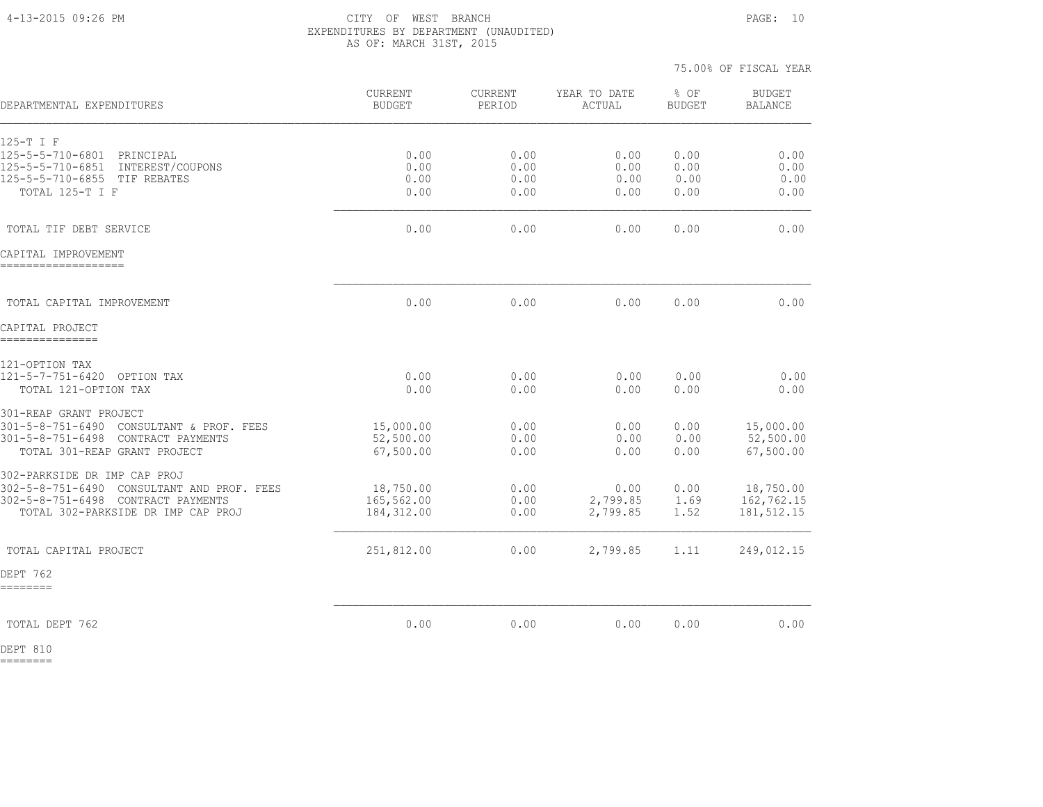#### 4-13-2015 09:26 PM CITY OF WEST BRANCH PAGE: 10 EXPENDITURES BY DEPARTMENT (UNAUDITED) AS OF: MARCH 31ST, 2015

|                                                                                 |                                 |                          |                        | 75.00% OF FISCAL YEAR |                                 |
|---------------------------------------------------------------------------------|---------------------------------|--------------------------|------------------------|-----------------------|---------------------------------|
| DEPARTMENTAL EXPENDITURES                                                       | <b>CURRENT</b><br><b>BUDGET</b> | <b>CURRENT</b><br>PERIOD | YEAR TO DATE<br>ACTUAL | % OF<br><b>BUDGET</b> | <b>BUDGET</b><br><b>BALANCE</b> |
| 125-T I F                                                                       |                                 |                          |                        |                       |                                 |
| $125 - 5 - 5 - 710 - 6801$<br>PRINCIPAL<br>125-5-5-710-6851<br>INTEREST/COUPONS | 0.00<br>0.00                    | 0.00<br>0.00             | 0.00<br>0.00           | 0.00<br>0.00          | 0.00<br>0.00                    |
| 125-5-5-710-6855 TIF REBATES                                                    | 0.00                            | 0.00                     | 0.00                   | 0.00                  | 0.00                            |
| TOTAL 125-T I F                                                                 | 0.00                            | 0.00                     | 0.00                   | 0.00                  | 0.00                            |
| TOTAL TIF DEBT SERVICE                                                          | 0.00                            | 0.00                     | 0.00                   | 0.00                  | 0.00                            |
| CAPITAL IMPROVEMENT                                                             |                                 |                          |                        |                       |                                 |
| TOTAL CAPITAL IMPROVEMENT                                                       | 0.00                            | 0.00                     | 0.00                   | 0.00                  | 0.00                            |
| CAPITAL PROJECT<br>---------------                                              |                                 |                          |                        |                       |                                 |
| 121-OPTION TAX                                                                  |                                 |                          |                        |                       |                                 |
| 121-5-7-751-6420 OPTION TAX                                                     | 0.00                            | 0.00                     | 0.00                   | 0.00                  | 0.00                            |
| TOTAL 121-OPTION TAX                                                            | 0.00                            | 0.00                     | 0.00                   | 0.00                  | 0.00                            |
| 301-REAP GRANT PROJECT                                                          |                                 |                          |                        |                       |                                 |
| 301-5-8-751-6490 CONSULTANT & PROF. FEES                                        | 15,000.00                       | 0.00                     | 0.00                   | 0.00                  | 15,000.00                       |
| 301-5-8-751-6498 CONTRACT PAYMENTS<br>TOTAL 301-REAP GRANT PROJECT              | 52,500.00<br>67,500.00          | 0.00<br>0.00             | 0.00<br>0.00           | 0.00<br>0.00          | 52,500.00<br>67,500.00          |
| 302-PARKSIDE DR IMP CAP PROJ                                                    |                                 |                          |                        |                       |                                 |
| 302-5-8-751-6490 CONSULTANT AND PROF. FEES                                      | 18,750.00                       | 0.00                     | 0.00                   | 0.00                  | 18,750.00                       |
| 302-5-8-751-6498 CONTRACT PAYMENTS<br>TOTAL 302-PARKSIDE DR IMP CAP PROJ        | 165,562.00<br>184, 312.00       | 0.00<br>0.00             | 2,799.85<br>2,799.85   | 1.69<br>1.52          | 162,762.15<br>181, 512.15       |
| TOTAL CAPITAL PROJECT                                                           | 251,812.00                      | 0.00                     | 2,799.85               | 1.11                  | 249,012.15                      |
| DEPT 762<br>========                                                            |                                 |                          |                        |                       |                                 |
|                                                                                 |                                 |                          |                        |                       |                                 |
| TOTAL DEPT 762                                                                  | 0.00                            | 0.00                     | 0.00                   | 0.00                  | 0.00                            |

DEPT 810 ========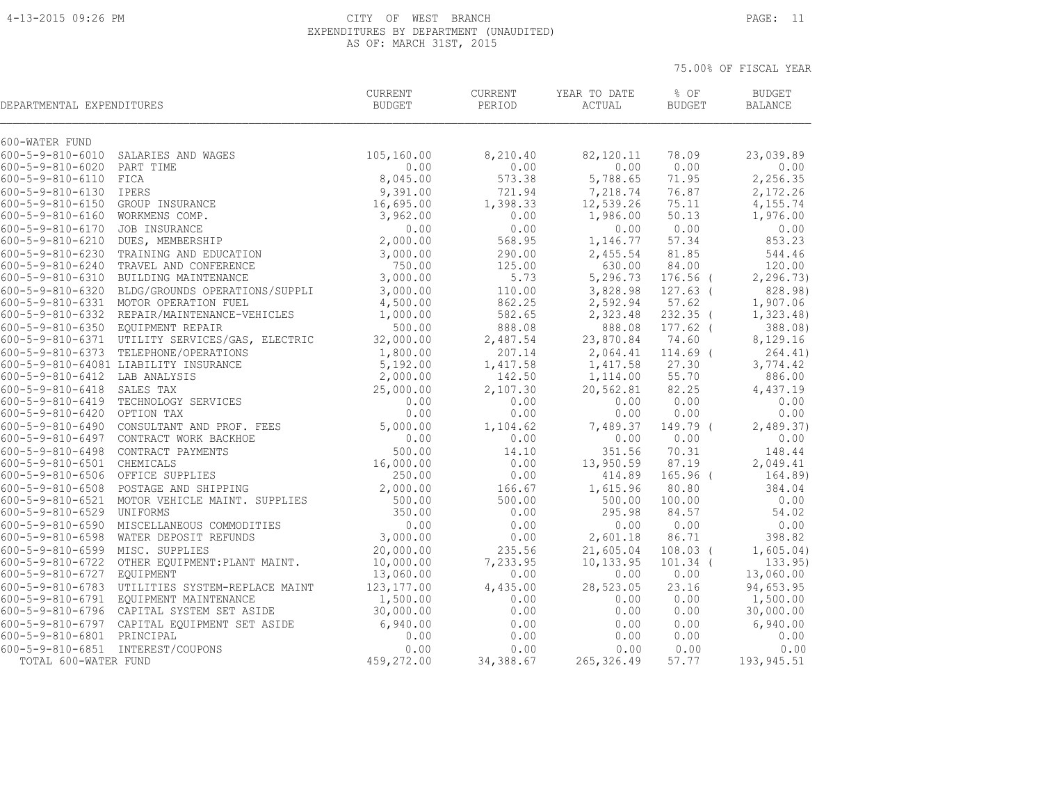#### 4-13-2015 09:26 PM CITY OF WEST BRANCH PAGE: 11 EXPENDITURES BY DEPARTMENT (UNAUDITED) AS OF: MARCH 31ST, 2015

| DEPARTMENTAL EXPENDITURES         |                                                 | <b>CURRENT</b><br><b>BUDGET</b> | <b>CURRENT</b><br>PERIOD | YEAR TO DATE<br>ACTUAL | % OF<br><b>BUDGET</b> | <b>BUDGET</b><br><b>BALANCE</b> |
|-----------------------------------|-------------------------------------------------|---------------------------------|--------------------------|------------------------|-----------------------|---------------------------------|
| 600-WATER FUND                    |                                                 |                                 |                          |                        |                       |                                 |
|                                   | 600-5-9-810-6010 SALARIES AND WAGES             | 105,160.00                      | 8,210.40                 | 82,120.11              | 78.09                 | 23,039.89                       |
| 600-5-9-810-6020 PART TIME        |                                                 | 0.00                            | 0.00                     | 0.00                   | 0.00                  | 0.00                            |
| $600 - 5 - 9 - 810 - 6110$        | FICA                                            | 8,045.00                        | 573.38                   | 5,788.65               | 71.95                 | 2,256.35                        |
| $600 - 5 - 9 - 810 - 6130$        | IPERS                                           | 9,391.00                        | 721.94                   | 7,218.74               | 76.87                 | 2,172.26                        |
| 600-5-9-810-6150 GROUP INSURANCE  |                                                 | 16,695.00                       | 1,398.33                 | 12,539.26              | 75.11                 | 4,155.74                        |
| 600-5-9-810-6160 WORKMENS COMP.   |                                                 | 3,962.00                        | 0.00                     | 1,986.00               | 50.13                 | 1,976.00                        |
| 600-5-9-810-6170 JOB INSURANCE    |                                                 | 0.00                            | 0.00                     | 0.00                   | 0.00                  | 0.00                            |
| 600-5-9-810-6210 DUES, MEMBERSHIP |                                                 | 2,000.00                        | 568.95                   | 1,146.77               | 57.34                 | 853.23                          |
|                                   | 600-5-9-810-6230 TRAINING AND EDUCATION         | 3,000.00                        | 290.00                   | 2,455.54               | 81.85                 | 544.46                          |
|                                   | 600-5-9-810-6240 TRAVEL AND CONFERENCE          | 750.00                          | 125.00                   | 630.00                 | 84.00                 | 120.00                          |
|                                   | 600-5-9-810-6310 BUILDING MAINTENANCE           | 3,000.00                        | 5.73                     | 5,296.73               | $176.56$ (            | 2, 296.73                       |
|                                   | 600-5-9-810-6320 BLDG/GROUNDS OPERATIONS/SUPPLI | 3,000.00                        | 110.00                   | 3,828.98               | $127.63$ (            | 828.98)                         |
|                                   | 600-5-9-810-6331 MOTOR OPERATION FUEL           | 4,500.00                        | 862.25                   | 2,592.94               | 57.62                 | 1,907.06                        |
|                                   | 600-5-9-810-6332 REPAIR/MAINTENANCE-VEHICLES    | 1,000.00                        | 582.65                   | 2,323.48               | $232.35$ (            | 1, 323.48                       |
| 600-5-9-810-6350 EQUIPMENT REPAIR |                                                 | 500.00                          | 888.08                   | 888.08                 | $177.62$ (            | 388.08)                         |
|                                   | 600-5-9-810-6371 UTILITY SERVICES/GAS, ELECTRIC | 32,000.00                       | 2,487.54                 | 23,870.84              | 74.60                 | 8,129.16                        |
|                                   | 600-5-9-810-6373 TELEPHONE/OPERATIONS           | 1,800.00                        | 207.14                   | 2,064.41               | $114.69$ (            | 264.41)                         |
|                                   | 600-5-9-810-64081 LIABILITY INSURANCE           | 5,192.00                        | 1,417.58                 | 1,417.58               | 27.30                 | 3,774.42                        |
| 600-5-9-810-6412 LAB ANALYSIS     |                                                 | 2,000.00                        | 142.50                   | 1,114.00               | 55.70                 | 886.00                          |
| $600 - 5 - 9 - 810 - 6418$        | SALES TAX                                       | 25,000.00<br>0.00               | 2,107.30<br>0.00         | 20,562.81<br>0.00      | 82.25<br>0.00         | 4,437.19<br>0.00                |
| 600-5-9-810-6420 OPTION TAX       | 600-5-9-810-6419 TECHNOLOGY SERVICES            | 0.00                            | 0.00                     | 0.00                   | 0.00                  | 0.00                            |
|                                   | 600-5-9-810-6490 CONSULTANT AND PROF. FEES      |                                 |                          |                        |                       |                                 |
|                                   | 600-5-9-810-6497 CONTRACT WORK BACKHOE          | 5,000.00<br>0.00                | 1,104.62<br>0.00         | 7,489.37<br>0.00       | 149.79 (<br>0.00      | 2,489.37<br>0.00                |
|                                   | 600-5-9-810-6498 CONTRACT PAYMENTS              | 500.00                          | 14.10                    | 351.56                 | 70.31                 | 148.44                          |
| 600-5-9-810-6501 CHEMICALS        |                                                 | 16,000.00                       | 0.00                     | 13,950.59              | 87.19                 | 2,049.41                        |
| 600-5-9-810-6506 OFFICE SUPPLIES  |                                                 | 250.00                          | 0.00                     | 414.89                 | $165.96$ (            | 164.89)                         |
|                                   | 600-5-9-810-6508 POSTAGE AND SHIPPING           | 2,000.00                        | 166.67                   | 1,615.96               | 80.80                 | 384.04                          |
|                                   | 600-5-9-810-6521 MOTOR VEHICLE MAINT. SUPPLIES  | 500.00                          | 500.00                   | 500.00                 | 100.00                | 0.00                            |
| 600-5-9-810-6529 UNIFORMS         |                                                 | 350.00                          | 0.00                     | 295.98                 | 84.57                 | 54.02                           |
|                                   | 600-5-9-810-6590 MISCELLANEOUS COMMODITIES      | 0.00                            | 0.00                     | 0.00                   | 0.00                  | 0.00                            |
|                                   | 600-5-9-810-6598 WATER DEPOSIT REFUNDS          | 3,000.00                        | 0.00                     | 2,601.18               | 86.71                 | 398.82                          |
| 600-5-9-810-6599 MISC. SUPPLIES   |                                                 | 20,000.00                       | 235.56                   | 21,605.04              | $108.03$ (            | 1,605.04)                       |
|                                   | 600-5-9-810-6722 OTHER EQUIPMENT: PLANT MAINT.  | 10,000.00                       | 7,233.95                 | 10,133.95              | $101.34$ (            | 133.95                          |
| 600-5-9-810-6727 EQUIPMENT        |                                                 | 13,060.00                       | 0.00                     | 0.00                   | 0.00                  | 13,060.00                       |
|                                   | 600-5-9-810-6783 UTILITIES SYSTEM-REPLACE MAINT | 123, 177.00                     | 4,435.00                 | 28,523.05              | 23.16                 | 94,653.95                       |
|                                   | 600-5-9-810-6791 EOUIPMENT MAINTENANCE          | 1,500.00                        | 0.00                     | 0.00                   | 0.00                  | 1,500.00                        |
|                                   | 600-5-9-810-6796 CAPITAL SYSTEM SET ASIDE       | 30,000.00                       | 0.00                     | 0.00                   | 0.00                  | 30,000.00                       |
|                                   | 600-5-9-810-6797 CAPITAL EQUIPMENT SET ASIDE    | 6,940.00                        | 0.00                     | 0.00                   | 0.00                  | 6,940.00                        |
| 600-5-9-810-6801 PRINCIPAL        |                                                 | 0.00                            | 0.00                     | 0.00                   | 0.00                  | 0.00                            |
| 600-5-9-810-6851 INTEREST/COUPONS |                                                 | 0.00                            | 0.00                     | 0.00                   | 0.00                  | 0.00                            |
| TOTAL 600-WATER FUND              |                                                 | 459,272.00                      | 34,388.67                | 265, 326.49            | 57.77                 | 193, 945.51                     |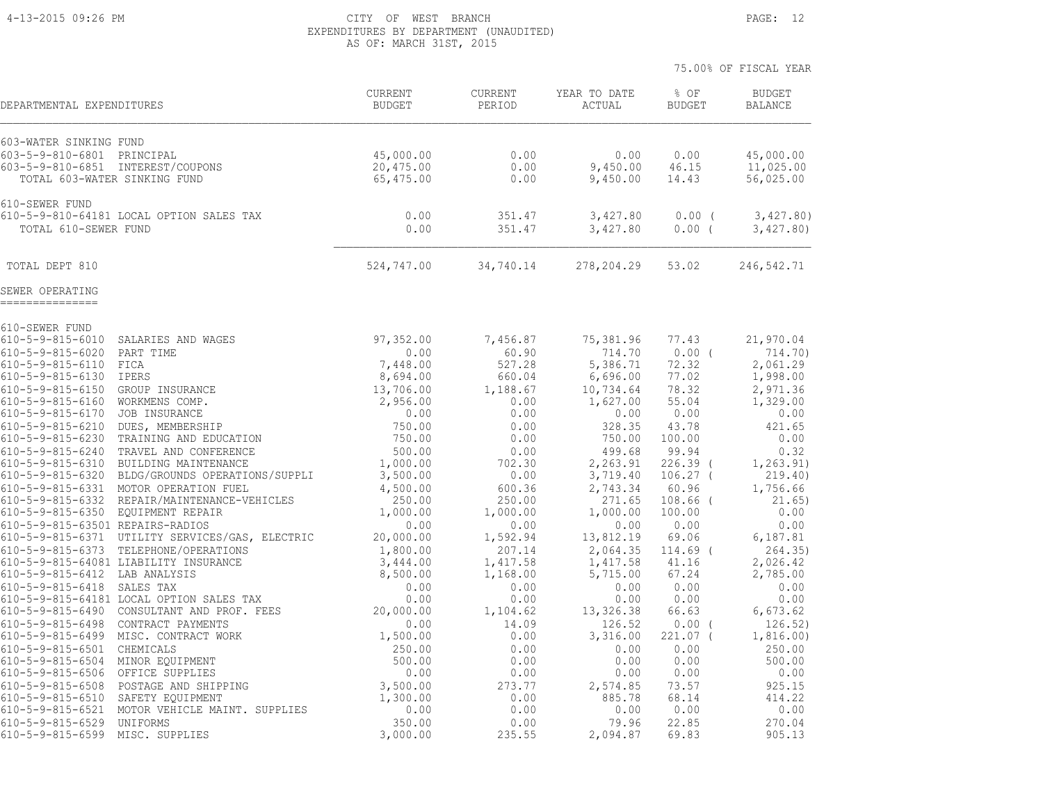#### 4-13-2015 09:26 PM CITY OF WEST BRANCH PAGE: 12 EXPENDITURES BY DEPARTMENT (UNAUDITED) AS OF: MARCH 31ST, 2015

| DEPARTMENTAL EXPENDITURES                                                                       |                                                                                          | <b>CURRENT</b><br><b>BUDGET</b>     | <b>CURRENT</b><br>PERIOD | YEAR TO DATE<br>ACTUAL       | % OF<br><b>BUDGET</b>  | <b>BUDGET</b><br><b>BALANCE</b>     |
|-------------------------------------------------------------------------------------------------|------------------------------------------------------------------------------------------|-------------------------------------|--------------------------|------------------------------|------------------------|-------------------------------------|
| 603-WATER SINKING FUND                                                                          |                                                                                          |                                     |                          |                              |                        |                                     |
| 603-5-9-810-6801 PRINCIPAL<br>603-5-9-810-6851 INTEREST/COUPONS<br>TOTAL 603-WATER SINKING FUND |                                                                                          | 45,000.00<br>20,475.00<br>65,475.00 | 0.00<br>0.00<br>0.00     | 0.00<br>9,450.00<br>9,450.00 | 0.00<br>46.15<br>14.43 | 45,000.00<br>11,025.00<br>56,025.00 |
| 610-SEWER FUND                                                                                  |                                                                                          |                                     |                          |                              |                        |                                     |
| TOTAL 610-SEWER FUND                                                                            | 610-5-9-810-64181 LOCAL OPTION SALES TAX                                                 | 0.00<br>0.00                        | 351.47<br>351.47         | 3,427.80<br>3,427.80         | 0.00(<br>0.00(         | 3,427.80)<br>3,427.80               |
| TOTAL DEPT 810                                                                                  |                                                                                          | 524,747.00                          | 34,740.14                | 278,204.29                   | 53.02                  | 246,542.71                          |
| SEWER OPERATING<br>===============                                                              |                                                                                          |                                     |                          |                              |                        |                                     |
| 610-SEWER FUND                                                                                  |                                                                                          |                                     |                          |                              |                        |                                     |
| $610 - 5 - 9 - 815 - 6010$                                                                      | SALARIES AND WAGES                                                                       | 97,352.00                           | 7,456.87                 | 75,381.96                    | 77.43                  | 21,970.04                           |
| $610 - 5 - 9 - 815 - 6020$<br>610-5-9-815-6110 FICA                                             | PART TIME                                                                                | 0.00                                | 60.90<br>527.28          | 714.70<br>5,386.71           | $0.00$ (               | 714.70)                             |
| $610 - 5 - 9 - 815 - 6130$                                                                      | IPERS                                                                                    | 7,448.00<br>8,694.00                | 660.04                   | 6,696.00                     | 72.32<br>77.02         | 2,061.29<br>1,998.00                |
| $610 - 5 - 9 - 815 - 6150$                                                                      | GROUP INSURANCE                                                                          | 13,706.00                           | 1,188.67                 | 10,734.64                    | 78.32                  | 2,971.36                            |
| 610-5-9-815-6160 WORKMENS COMP.                                                                 |                                                                                          | 2,956.00                            | 0.00                     | 1,627.00                     | 55.04                  | 1,329.00                            |
| $610 - 5 - 9 - 815 - 6170$                                                                      | JOB INSURANCE                                                                            | 0.00                                | 0.00                     | 0.00                         | 0.00                   | 0.00                                |
| $610 - 5 - 9 - 815 - 6210$                                                                      | DUES, MEMBERSHIP                                                                         | 750.00                              | 0.00                     | 328.35                       | 43.78                  | 421.65                              |
| $610 - 5 - 9 - 815 - 6230$                                                                      | TRAINING AND EDUCATION                                                                   | 750.00                              | 0.00                     | 750.00                       | 100.00                 | 0.00                                |
| 610-5-9-815-6240                                                                                | TRAVEL AND CONFERENCE                                                                    | 500.00                              | 0.00                     | 499.68                       | 99.94                  | 0.32                                |
|                                                                                                 | 610-5-9-815-6310 BUILDING MAINTENANCE<br>610-5-9-815-6320 BLDG/GROUNDS OPERATIONS/SUPPLI | 1,000.00                            | 702.30<br>0.00           | 2,263.91                     | 226.39 (               | 1, 263.91)<br>219.40)               |
|                                                                                                 | 610-5-9-815-6331 MOTOR OPERATION FUEL                                                    | 3,500.00<br>4,500.00                | 600.36                   | 3,719.40<br>2,743.34         | $106.27$ (<br>60.96    | 1,756.66                            |
|                                                                                                 | 610-5-9-815-6332 REPAIR/MAINTENANCE-VEHICLES                                             | 250.00                              | 250.00                   | 271.65                       | 108.66                 | 21.65)                              |
| 610-5-9-815-6350 EQUIPMENT REPAIR                                                               |                                                                                          | 1,000.00                            | 1,000.00                 | 1,000.00                     | 100.00                 | 0.00                                |
| 610-5-9-815-63501 REPAIRS-RADIOS                                                                |                                                                                          | 0.00                                | 0.00                     | 0.00                         | 0.00                   | 0.00                                |
|                                                                                                 | 610-5-9-815-6371 UTILITY SERVICES/GAS, ELECTRIC                                          | 20,000.00                           | 1,592.94                 | 13,812.19                    | 69.06                  | 6,187.81                            |
|                                                                                                 | 610-5-9-815-6373 TELEPHONE/OPERATIONS                                                    | 1,800.00                            | 207.14                   | 2,064.35                     | $114.69$ (             | 264.35                              |
| 610-5-9-815-6412 LAB ANALYSIS                                                                   | 610-5-9-815-64081 LIABILITY INSURANCE                                                    | 3,444.00                            | 1,417.58                 | 1,417.58                     | 41.16                  | 2,026.42                            |
| 610-5-9-815-6418                                                                                | SALES TAX                                                                                | 8,500.00<br>0.00                    | 1,168.00<br>0.00         | 5,715.00<br>0.00             | 67.24<br>0.00          | 2,785.00<br>0.00                    |
|                                                                                                 | 610-5-9-815-64181 LOCAL OPTION SALES TAX                                                 | 0.00                                | 0.00                     | 0.00                         | 0.00                   | 0.00                                |
|                                                                                                 | 610-5-9-815-6490 CONSULTANT AND PROF. FEES                                               | 20,000.00                           | 1,104.62                 | 13,326.38                    | 66.63                  | 6,673.62                            |
|                                                                                                 | 610-5-9-815-6498 CONTRACT PAYMENTS                                                       | 0.00                                | 14.09                    | 126.52                       | 0.00                   | 126.52)                             |
| $610 - 5 - 9 - 815 - 6499$                                                                      | MISC. CONTRACT WORK                                                                      | 1,500.00                            | 0.00                     | 3,316.00                     | 221.07 (               | 1,816.00)                           |
| 610-5-9-815-6501 CHEMICALS                                                                      |                                                                                          | 250.00                              | 0.00                     | 0.00                         | 0.00                   | 250.00                              |
| $610 - 5 - 9 - 815 - 6504$                                                                      | MINOR EQUIPMENT                                                                          | 500.00                              | 0.00                     | 0.00                         | 0.00                   | 500.00                              |
| $610 - 5 - 9 - 815 - 6506$                                                                      | OFFICE SUPPLIES                                                                          | 0.00                                | 0.00                     | 0.00                         | 0.00                   | 0.00                                |
| $610 - 5 - 9 - 815 - 6508$<br>$610 - 5 - 9 - 815 - 6510$                                        | POSTAGE AND SHIPPING<br>SAFETY EQUIPMENT                                                 | 3,500.00<br>1,300.00                | 273.77<br>0.00           | 2,574.85<br>885.78           | 73.57<br>68.14         | 925.15<br>414.22                    |
| $610 - 5 - 9 - 815 - 6521$                                                                      | MOTOR VEHICLE MAINT. SUPPLIES                                                            | 0.00                                | 0.00                     | 0.00                         | 0.00                   | 0.00                                |
| $610 - 5 - 9 - 815 - 6529$                                                                      | <b>UNIFORMS</b>                                                                          | 350.00                              | 0.00                     | 79.96                        | 22.85                  | 270.04                              |
| $610 - 5 - 9 - 815 - 6599$                                                                      | MISC. SUPPLIES                                                                           | 3,000.00                            | 235.55                   | 2,094.87                     | 69.83                  | 905.13                              |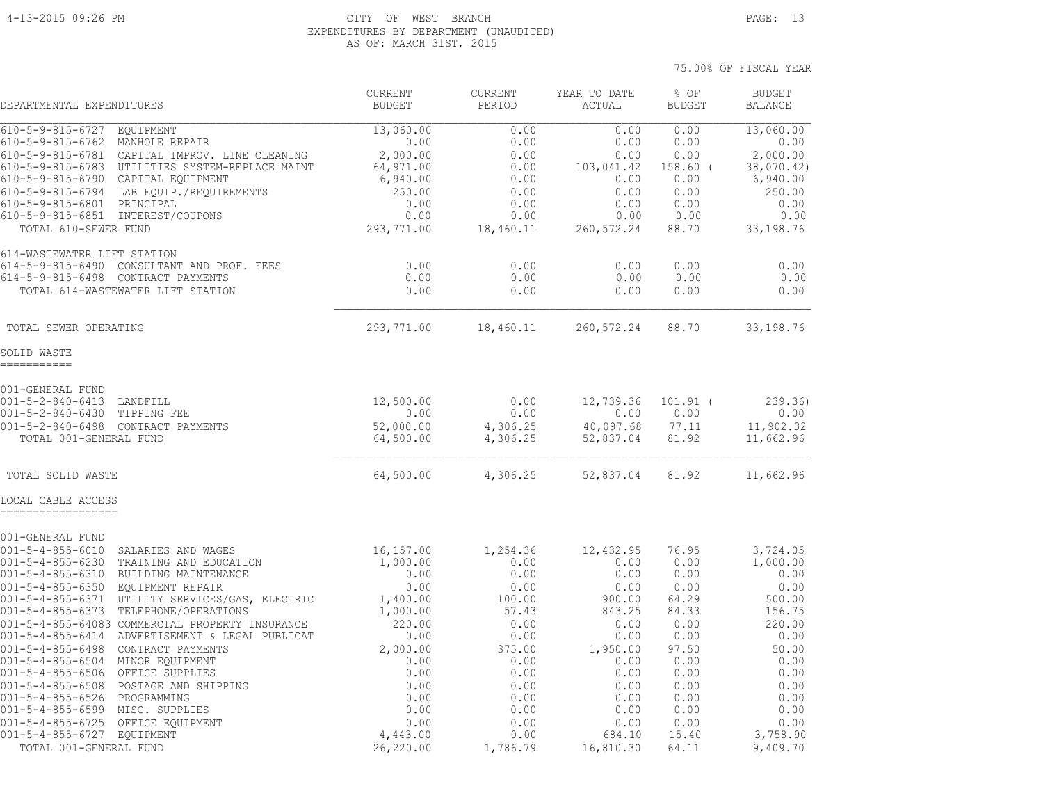#### 4-13-2015 09:26 PM CITY OF WEST BRANCH PAGE: 13 EXPENDITURES BY DEPARTMENT (UNAUDITED) AS OF: MARCH 31ST, 2015

 75.00% OF FISCAL YEAR CURRENT CURRENT YEAR TO DATE % OF BUDGET DEPARTMENTAL EXPENDITURES BUDGET PERIOD ACTUAL BUDGET BALANCE 610-5-9-815-6727 EQUIPMENT 13,060.00 0.00 0.00 0.00 13,060.00 610-5-9-815-6762 MANHOLE REPAIR 0.00 0.00 0.00 0.00 0.00 610-5-9-815-6781 CAPITAL IMPROV. LINE CLEANING 2,000.00 0.00 0.00 0.00 2,000.00 610-5-9-815-6783 UTILITIES SYSTEM-REPLACE MAINT 64,971.00 0.00 103,041.42 158.60 ( 38,070.42) 610-5-9-815-6790 CAPITAL EQUIPMENT 6,940.00 0.00 0.00 0.00 6,940.00 610-5-9-815-6794 LAB EQUIP./REQUIREMENTS 250.00 0.00 0.00 0.00 250.00 610-5-9-815-6801 PRINCIPAL 0.00 0.00 0.00 0.00 0.00 610-5-9-815-6851 INTEREST/COUPONS 0.00 0.00 0.00 0.00 0.00 TOTAL 610-SEWER FUND 293,771.00 18,460.11 260,572.24 88.70 33,198.76 614-WASTEWATER LIFT STATION 614-5-9-815-6490 CONSULTANT AND PROF. FEES 0.00 0.00 0.00 0.00 0.00 614-5-9-815-6498 CONTRACT PAYMENTS 0.00 0.00 0.00 0.00 0.00 TOTAL 614-WASTEWATER LIFT STATION 0.00 0.00 0.00 0.00 0.00  $\mathcal{L}_\text{max} = \frac{1}{2} \sum_{i=1}^n \mathcal{L}_\text{max} = \frac{1}{2} \sum_{i=1}^n \mathcal{L}_\text{max} = \frac{1}{2} \sum_{i=1}^n \mathcal{L}_\text{max} = \frac{1}{2} \sum_{i=1}^n \mathcal{L}_\text{max} = \frac{1}{2} \sum_{i=1}^n \mathcal{L}_\text{max} = \frac{1}{2} \sum_{i=1}^n \mathcal{L}_\text{max} = \frac{1}{2} \sum_{i=1}^n \mathcal{L}_\text{max} = \frac{1}{2} \sum_{i=$  TOTAL SEWER OPERATING 293,771.00 18,460.11 260,572.24 88.70 33,198.76 001-GENERAL FUND 001-5-2-840-6413 LANDFILL 12,500.00 0.00 12,739.36 101.91 ( 239.36) 001-5-2-840-6430 TIPPING FEE 0.00 0.00 0.00 0.00 0.00 001-5-2-840-6498 CONTRACT PAYMENTS 52,000.00 4,306.25 40,097.68 77.11 11,902.32 TOTAL 001-GENERAL FUND 64,500.00 4,306.25 52,837.04 81.92 11,662.96 TOTAL SOLID WASTE **64,500.00** 64,500.00 4,306.25 52,837.04 81.92 11,662.96

SOLID WASTE ===========

LOCAL CABLE ACCESS ================== 001-GENERAL FUND 001-5-4-855-6010 SALARIES AND WAGES 16,157.00 1,254.36 12,432.95 76.95 3,724.05 001-5-4-855-6230 TRAINING AND EDUCATION 1,000.00 0.00 0.00 0.00 1,000.00 001-5-4-855-6310 BUILDING MAINTENANCE 0.00 0.00 0.00 0.00 0.00 001-5-4-855-6350 EQUIPMENT REPAIR 0.00 0.00 0.00 0.00 0.00 001-5-4-855-6371 UTILITY SERVICES/GAS, ELECTRIC 1,400.00 100.00 900.00 64.29 500.00 001-5-4-855-6373 TELEPHONE/OPERATIONS 1,000.00 57.43 843.25 84.33 156.75 001-5-4-855-64083 COMMERCIAL PROPERTY INSURANCE 220.00 0.00 0.00 0.00 220.00 001-5-4-855-6414 ADVERTISEMENT & LEGAL PUBLICAT 0.00 0.00 0.00 0.00 0.00 001-5-4-855-6498 CONTRACT PAYMENTS 2,000.00 375.00 1,950.00 97.50 50.00 001-5-4-855-6504 MINOR EQUIPMENT 0.00 0.00 0.00 0.00 0.00 001-5-4-855-6506 OFFICE SUPPLIES 0.00 0.00 0.00 0.00 0.00 001-5-4-855-6508 POSTAGE AND SHIPPING 0.00 0.00 0.00 0.00 0.00 001-5-4-855-6526 PROGRAMMING 0.00 0.00 0.00 0.00 0.00 001-5-4-855-6599 MISC. SUPPLIES 0.00 0.00 0.00 0.00 0.00 001-5-4-855-6725 OFFICE EQUIPMENT 0.00 0.00 0.00 0.00 0.00 001-5-4-855-6727 EQUIPMENT 4,443.00 0.00 684.10 15.40 3,758.90 TOTAL 001-GENERAL FUND 26,220.00 1,786.79 16,810.30 64.11 9,409.70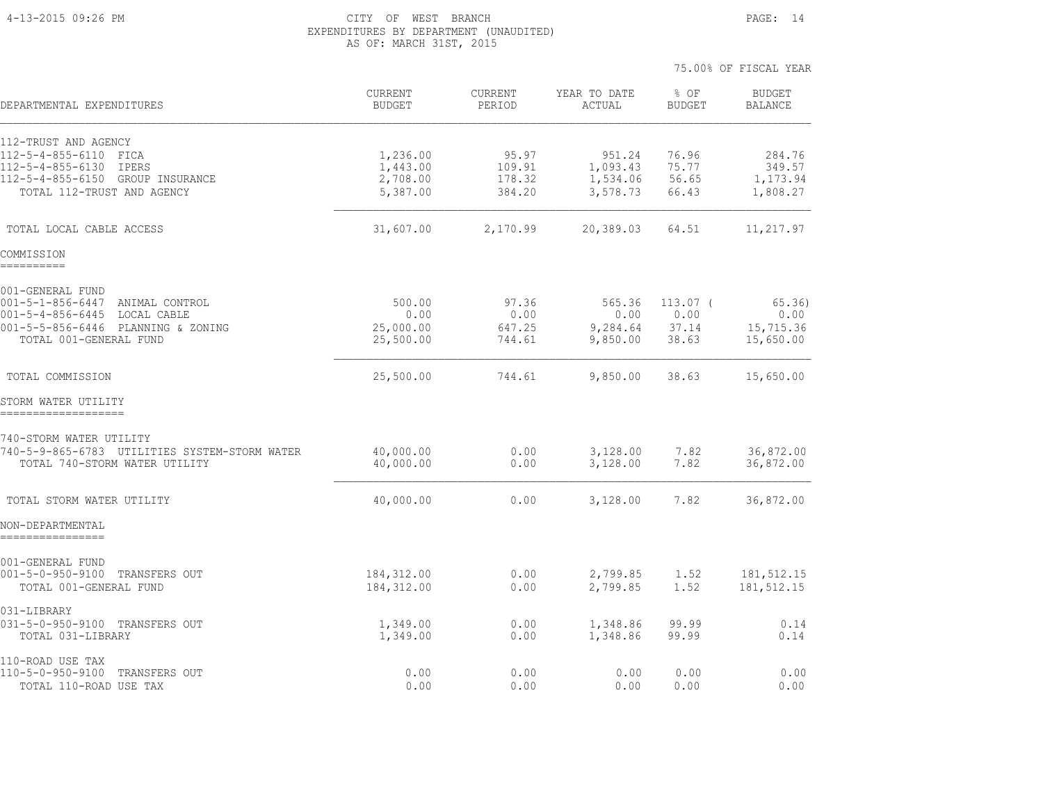#### 4-13-2015 09:26 PM CITY OF WEST BRANCH PAGE: 14 EXPENDITURES BY DEPARTMENT (UNAUDITED) AS OF: MARCH 31ST, 2015

| DEPARTMENTAL EXPENDITURES                                                      | <b>CURRENT</b><br><b>BUDGET</b> | <b>CURRENT</b><br>PERIOD | YEAR TO DATE<br>ACTUAL | % OF<br><b>BUDGET</b> | <b>BUDGET</b><br><b>BALANCE</b> |
|--------------------------------------------------------------------------------|---------------------------------|--------------------------|------------------------|-----------------------|---------------------------------|
| 112-TRUST AND AGENCY                                                           |                                 |                          |                        |                       |                                 |
| 112-5-4-855-6110 FICA                                                          | 1,236.00                        | 95.97                    | 951.24                 | 76.96                 | 284.76                          |
| 112-5-4-855-6130 IPERS<br>112-5-4-855-6150 GROUP INSURANCE                     | 1,443.00<br>2,708.00            | 109.91<br>178.32         | 1,093.43<br>1,534.06   | 75.77<br>56.65        | 349.57<br>1,173.94              |
| TOTAL 112-TRUST AND AGENCY                                                     | 5,387.00                        | 384.20                   | 3,578.73               | 66.43                 | 1,808.27                        |
| TOTAL LOCAL CABLE ACCESS                                                       | 31,607.00                       | 2,170.99                 | 20,389.03              | 64.51                 | 11,217.97                       |
| COMMISSION<br>==========                                                       |                                 |                          |                        |                       |                                 |
| 001-GENERAL FUND                                                               |                                 |                          |                        |                       |                                 |
| 001-5-1-856-6447 ANIMAL CONTROL<br>$001 - 5 - 4 - 856 - 6445$<br>LOCAL CABLE   | 500.00<br>0.00                  | 97.36<br>0.00            | 565.36<br>0.00         | $113.07$ (<br>0.00    | 65.36<br>0.00                   |
| 001-5-5-856-6446 PLANNING & ZONING                                             | 25,000.00                       | 647.25                   | 9,284.64               | 37.14                 | 15,715.36                       |
| TOTAL 001-GENERAL FUND                                                         | 25,500.00                       | 744.61                   | 9,850.00               | 38.63                 | 15,650.00                       |
| TOTAL COMMISSION                                                               | 25,500.00                       | 744.61                   | 9,850.00               | 38.63                 | 15,650.00                       |
| STORM WATER UTILITY<br>====================                                    |                                 |                          |                        |                       |                                 |
| 740-STORM WATER UTILITY                                                        |                                 |                          |                        |                       |                                 |
| 740-5-9-865-6783 UTILITIES SYSTEM-STORM WATER<br>TOTAL 740-STORM WATER UTILITY | 40,000.00<br>40,000.00          | 0.00<br>0.00             | 3,128.00<br>3,128.00   | 7.82<br>7.82          | 36,872.00<br>36,872.00          |
| TOTAL STORM WATER UTILITY                                                      | 40,000.00                       | 0.00                     | 3,128.00               | 7.82                  | 36,872.00                       |
| NON-DEPARTMENTAL                                                               |                                 |                          |                        |                       |                                 |
| 001-GENERAL FUND                                                               |                                 |                          |                        |                       |                                 |
| 001-5-0-950-9100 TRANSFERS OUT                                                 | 184, 312.00                     | 0.00                     | 2,799.85               | 1.52                  | 181,512.15                      |
| TOTAL 001-GENERAL FUND                                                         | 184, 312.00                     | 0.00                     | 2,799.85               | 1.52                  | 181, 512.15                     |
| 031-LIBRARY                                                                    |                                 |                          |                        |                       |                                 |
| 031-5-0-950-9100 TRANSFERS OUT<br>TOTAL 031-LIBRARY                            | 1,349.00<br>1,349.00            | 0.00<br>0.00             | 1,348.86<br>1,348.86   | 99.99<br>99.99        | 0.14<br>0.14                    |
| 110-ROAD USE TAX                                                               |                                 |                          |                        |                       |                                 |
| 110-5-0-950-9100 TRANSFERS OUT<br>TOTAL 110-ROAD USE TAX                       | 0.00<br>0.00                    | 0.00<br>0.00             | 0.00<br>0.00           | 0.00<br>0.00          | 0.00<br>0.00                    |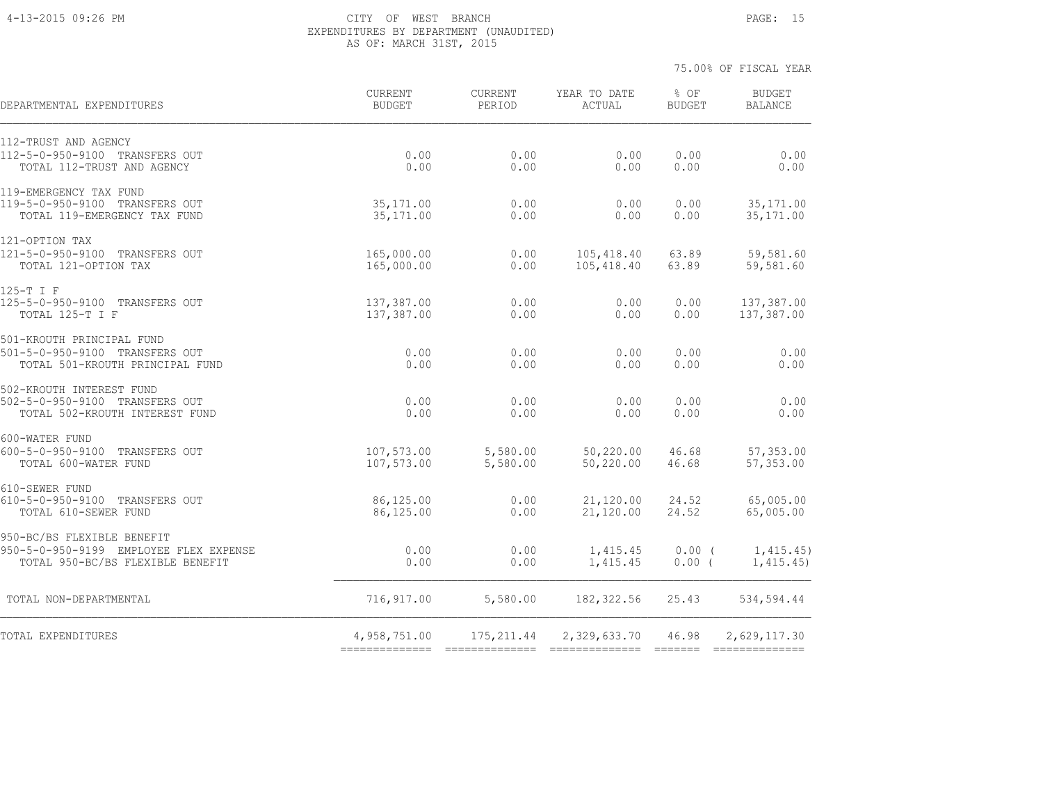#### 4-13-2015 09:26 PM CITY OF WEST BRANCH PAGE: 15 EXPENDITURES BY DEPARTMENT (UNAUDITED) AS OF: MARCH 31ST, 2015

| DEPARTMENTAL EXPENDITURES                                            | CURRENT<br><b>BUDGET</b>       | CURRENT<br>PERIOD    | YEAR TO DATE<br>ACTUAL   | % OF<br><b>BUDGET</b> | <b>BUDGET</b><br><b>BALANCE</b> |
|----------------------------------------------------------------------|--------------------------------|----------------------|--------------------------|-----------------------|---------------------------------|
| 112-TRUST AND AGENCY                                                 |                                | 0.00                 |                          |                       |                                 |
| 112-5-0-950-9100 TRANSFERS OUT<br>TOTAL 112-TRUST AND AGENCY         | 0.00<br>0.00                   | 0.00                 | 0.00<br>0.00             | 0.00<br>0.00          | 0.00<br>0.00                    |
| 119-EMERGENCY TAX FUND                                               |                                |                      |                          |                       |                                 |
| 119-5-0-950-9100 TRANSFERS OUT<br>TOTAL 119-EMERGENCY TAX FUND       | 35, 171.00<br>35, 171.00       | 0.00<br>0.00         | 0.00<br>0.00             | 0.00<br>0.00          | 35, 171.00<br>35, 171.00        |
| 121-OPTION TAX                                                       |                                |                      |                          |                       |                                 |
| 121-5-0-950-9100 TRANSFERS OUT<br>TOTAL 121-OPTION TAX               | 165,000.00<br>165,000.00       | 0.00<br>0.00         | 105,418.40<br>105,418.40 | 63.89<br>63.89        | 59,581.60<br>59,581.60          |
| 125-T I F                                                            |                                |                      |                          |                       |                                 |
| 125-5-0-950-9100 TRANSFERS OUT<br>TOTAL 125-T I F                    | 137,387.00<br>137,387.00       | 0.00<br>0.00         | 0.00<br>0.00             | 0.00<br>0.00          | 137,387.00<br>137,387.00        |
| 501-KROUTH PRINCIPAL FUND<br>501-5-0-950-9100 TRANSFERS OUT          | 0.00                           | 0.00                 | 0.00                     | 0.00                  | 0.00                            |
| TOTAL 501-KROUTH PRINCIPAL FUND                                      | 0.00                           | 0.00                 | 0.00                     | 0.00                  | 0.00                            |
| 502-KROUTH INTEREST FUND<br>502-5-0-950-9100 TRANSFERS OUT           | 0.00                           | 0.00                 | 0.00                     | 0.00                  | 0.00                            |
| TOTAL 502-KROUTH INTEREST FUND                                       | 0.00                           | 0.00                 | 0.00                     | 0.00                  | 0.00                            |
| 600-WATER FUND<br>600-5-0-950-9100 TRANSFERS OUT                     |                                |                      |                          |                       |                                 |
| TOTAL 600-WATER FUND                                                 | 107,573.00<br>107,573.00       | 5,580.00<br>5,580.00 | 50,220.00<br>50,220.00   | 46.68<br>46.68        | 57,353.00<br>57,353.00          |
| 610-SEWER FUND<br>610-5-0-950-9100 TRANSFERS OUT                     | 86,125.00                      | 0.00                 | 21,120.00                | 24.52                 | 65,005.00                       |
| TOTAL 610-SEWER FUND                                                 | 86,125.00                      | 0.00                 | 21,120.00                | 24.52                 | 65,005.00                       |
| 950-BC/BS FLEXIBLE BENEFIT<br>950-5-0-950-9199 EMPLOYEE FLEX EXPENSE | 0.00                           | 0.00                 | 1,415.45                 | $0.00$ (              | 1,415.45)                       |
| TOTAL 950-BC/BS FLEXIBLE BENEFIT                                     | 0.00                           | 0.00                 | 1,415.45                 | $0.00$ (              | 1,415.45)                       |
| TOTAL NON-DEPARTMENTAL                                               | 716,917.00                     | 5,580.00             | 182, 322.56              | 25.43                 | 534,594.44                      |
| TOTAL EXPENDITURES                                                   | 4,958,751.00<br>-------------- | 175, 211.44          | 2,329,633.70             | 46.98                 | 2,629,117.30                    |
|                                                                      |                                |                      |                          |                       |                                 |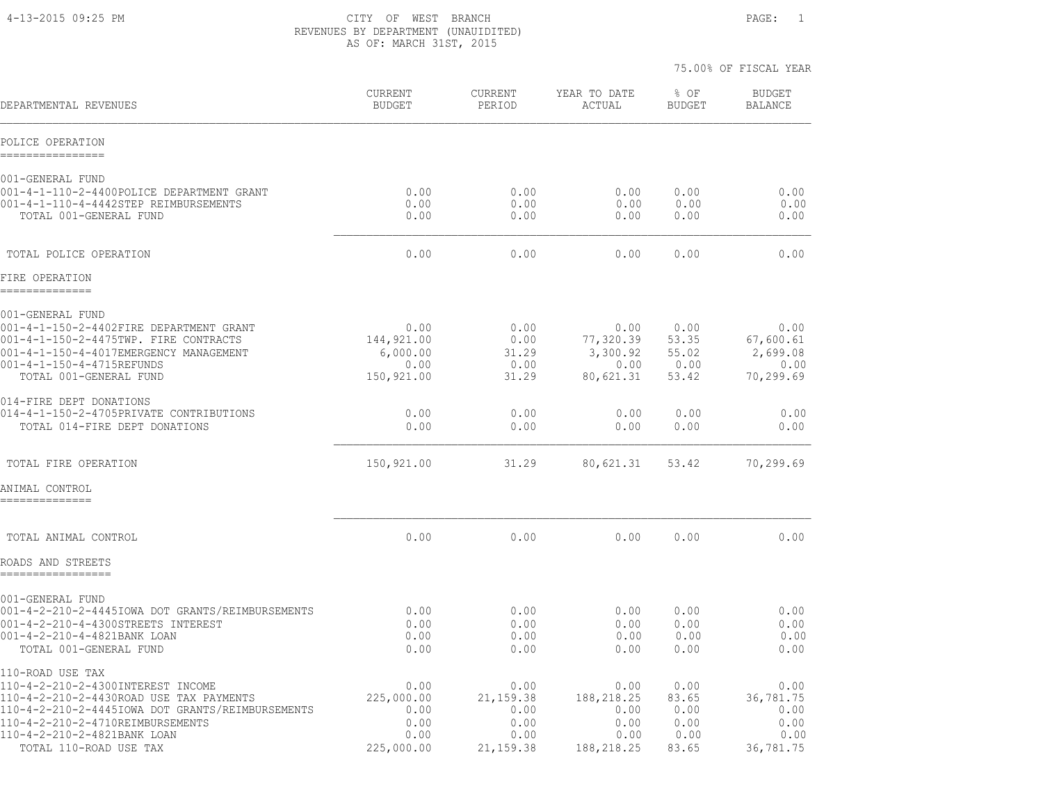4-13-2015 09:25 PM CITY OF WEST BRANCH PAGE: 1 REVENUES BY DEPARTMENT (UNAUIDITED) AS OF: MARCH 31ST, 2015

|                                                                                                                                                                                                                                                   |                                                          |                                                          |                                                          | 75.00% OF FISCAL YEAR                          |                                                        |
|---------------------------------------------------------------------------------------------------------------------------------------------------------------------------------------------------------------------------------------------------|----------------------------------------------------------|----------------------------------------------------------|----------------------------------------------------------|------------------------------------------------|--------------------------------------------------------|
| DEPARTMENTAL REVENUES                                                                                                                                                                                                                             | <b>CURRENT</b><br><b>BUDGET</b>                          | CURRENT<br>PERIOD                                        | YEAR TO DATE<br>ACTUAL                                   | % OF<br><b>BUDGET</b>                          | <b>BUDGET</b><br><b>BALANCE</b>                        |
| POLICE OPERATION<br>================                                                                                                                                                                                                              |                                                          |                                                          |                                                          |                                                |                                                        |
| 001-GENERAL FUND<br>001-4-1-110-2-4400POLICE DEPARTMENT GRANT<br>001-4-1-110-4-4442STEP REIMBURSEMENTS<br>TOTAL 001-GENERAL FUND                                                                                                                  | 0.00<br>0.00<br>0.00                                     | 0.00<br>0.00<br>0.00                                     | 0.00<br>0.00<br>0.00                                     | 0.00<br>0.00<br>0.00                           | 0.00<br>0.00<br>0.00                                   |
| TOTAL POLICE OPERATION                                                                                                                                                                                                                            | 0.00                                                     | 0.00                                                     | 0.00                                                     | 0.00                                           | 0.00                                                   |
| FIRE OPERATION<br>--------------                                                                                                                                                                                                                  |                                                          |                                                          |                                                          |                                                |                                                        |
| 001-GENERAL FUND<br>001-4-1-150-2-4402FIRE DEPARTMENT GRANT<br>001-4-1-150-2-4475TWP. FIRE CONTRACTS<br>001-4-1-150-4-4017EMERGENCY MANAGEMENT<br>001-4-1-150-4-4715REFUNDS<br>TOTAL 001-GENERAL FUND                                             | 0.00<br>144,921.00<br>6,000.00<br>0.00<br>150,921.00     | 0.00<br>0.00<br>31.29<br>0.00<br>31.29                   | 0.00<br>77,320.39<br>3,300.92<br>0.00<br>80,621.31       | 0.00<br>53.35<br>55.02<br>0.00<br>53.42        | 0.00<br>67,600.61<br>2,699.08<br>0.00<br>70,299.69     |
| 014-FIRE DEPT DONATIONS<br>014-4-1-150-2-4705PRIVATE CONTRIBUTIONS<br>TOTAL 014-FIRE DEPT DONATIONS                                                                                                                                               | 0.00<br>0.00                                             | 0.00<br>0.00                                             | 0.00<br>0.00                                             | 0.00<br>0.00                                   | 0.00<br>0.00                                           |
| TOTAL FIRE OPERATION                                                                                                                                                                                                                              | 150,921.00                                               | 31.29                                                    | 80,621.31                                                | 53.42                                          | 70,299.69                                              |
| ANIMAL CONTROL<br>==============                                                                                                                                                                                                                  |                                                          |                                                          |                                                          |                                                |                                                        |
| TOTAL ANIMAL CONTROL                                                                                                                                                                                                                              | 0.00                                                     | 0.00                                                     | 0.00                                                     | 0.00                                           | 0.00                                                   |
| ROADS AND STREETS<br>-----------------                                                                                                                                                                                                            |                                                          |                                                          |                                                          |                                                |                                                        |
| 001-GENERAL FUND<br>001-4-2-210-2-4445IOWA DOT GRANTS/REIMBURSEMENTS<br>001-4-2-210-4-4300STREETS INTEREST<br>001-4-2-210-4-4821BANK LOAN<br>TOTAL 001-GENERAL FUND                                                                               | 0.00<br>0.00<br>0.00<br>0.00                             | 0.00<br>0.00<br>0.00<br>0.00                             | 0.00<br>0.00<br>0.00<br>0.00                             | 0.00<br>0.00<br>0.00<br>0.00                   | 0.00<br>0.00<br>0.00<br>0.00                           |
| 110-ROAD USE TAX<br>110-4-2-210-2-4300INTEREST INCOME<br>110-4-2-210-2-4430ROAD USE TAX PAYMENTS<br>110-4-2-210-2-4445IOWA DOT GRANTS/REIMBURSEMENTS<br>110-4-2-210-2-4710REIMBURSEMENTS<br>110-4-2-210-2-4821BANK LOAN<br>TOTAL 110-ROAD USE TAX | 0.00<br>225,000.00<br>0.00<br>0.00<br>0.00<br>225,000.00 | 0.00<br>21, 159.38<br>0.00<br>0.00<br>0.00<br>21, 159.38 | 0.00<br>188,218.25<br>0.00<br>0.00<br>0.00<br>188,218.25 | 0.00<br>83.65<br>0.00<br>0.00<br>0.00<br>83.65 | 0.00<br>36,781.75<br>0.00<br>0.00<br>0.00<br>36,781.75 |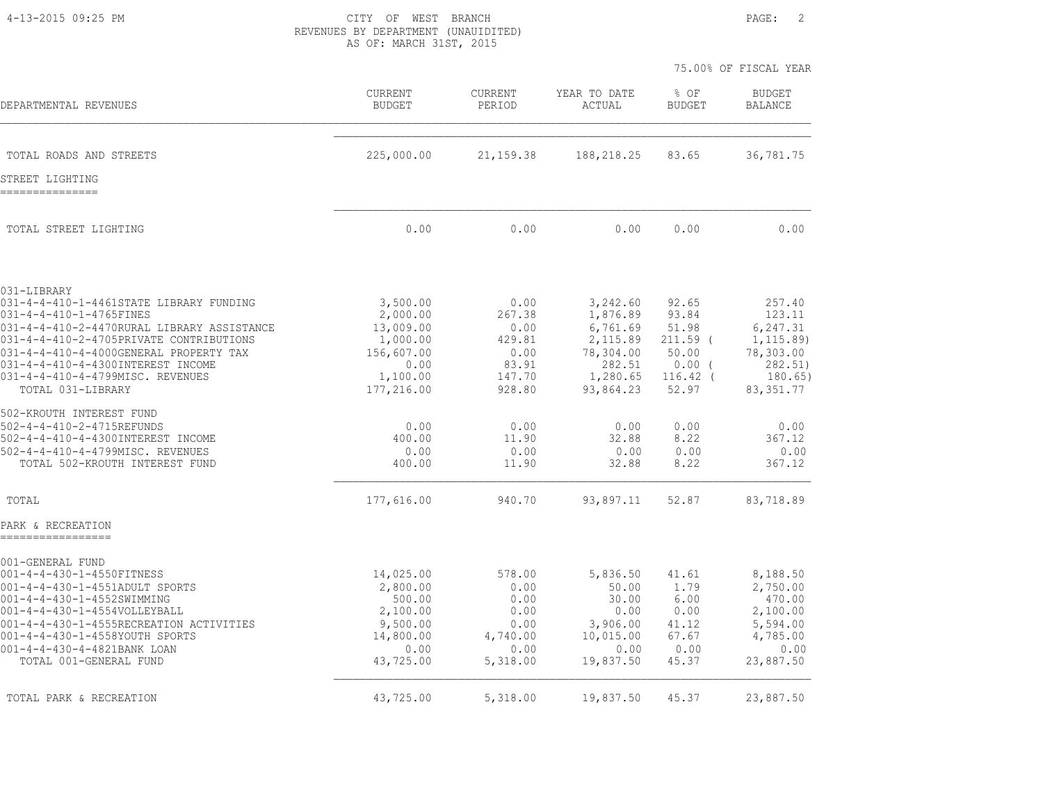4-13-2015 09:25 PM CITY OF WEST BRANCH PAGE: 2 REVENUES BY DEPARTMENT (UNAUIDITED) AS OF: MARCH 31ST, 2015

|                                                                                                                                      |                                              |                                      |                                              |                                       | 75.00% OF FISCAL YEAR                         |
|--------------------------------------------------------------------------------------------------------------------------------------|----------------------------------------------|--------------------------------------|----------------------------------------------|---------------------------------------|-----------------------------------------------|
| DEPARTMENTAL REVENUES                                                                                                                | <b>CURRENT</b><br><b>BUDGET</b>              | CURRENT<br>PERIOD                    | YEAR TO DATE<br>ACTUAL                       | % OF<br><b>BUDGET</b>                 | <b>BUDGET</b><br><b>BALANCE</b>               |
| TOTAL ROADS AND STREETS                                                                                                              | 225,000.00                                   | 21, 159.38                           | 188,218.25                                   | 83.65                                 | 36,781.75                                     |
| STREET LIGHTING<br>---------------                                                                                                   |                                              |                                      |                                              |                                       |                                               |
| TOTAL STREET LIGHTING                                                                                                                | 0.00                                         | 0.00                                 | 0.00                                         | 0.00                                  | 0.00                                          |
| 031-LIBRARY<br>031-4-4-410-1-4461STATE LIBRARY FUNDING                                                                               | 3,500.00                                     | 0.00                                 | 3,242.60                                     | 92.65                                 | 257.40                                        |
| 031-4-4-410-1-4765FINES<br>031-4-4-410-2-4470RURAL LIBRARY ASSISTANCE<br>031-4-4-410-2-4705PRIVATE CONTRIBUTIONS                     | 2,000.00<br>13,009.00<br>1,000.00            | 267.38<br>0.00<br>429.81             | 1,876.89<br>6,761.69<br>2,115.89             | 93.84<br>51.98<br>$211.59$ (          | 123.11<br>6,247.31<br>1, 115.89               |
| 031-4-4-410-4-4000GENERAL PROPERTY TAX<br>031-4-4-410-4-4300INTEREST INCOME<br>031-4-4-410-4-4799MISC. REVENUES<br>TOTAL 031-LIBRARY | 156,607.00<br>0.00<br>1,100.00<br>177,216.00 | 0.00<br>83.91<br>147.70<br>928.80    | 78,304.00<br>282.51<br>1,280.65<br>93,864.23 | 50.00<br>0.00(<br>$116.42$ (<br>52.97 | 78,303.00<br>282.51)<br>180.65)<br>83, 351.77 |
| 502-KROUTH INTEREST FUND<br>502-4-4-410-2-4715REFUNDS                                                                                | 0.00                                         | 0.00                                 | 0.00                                         | 0.00                                  | 0.00                                          |
| 502-4-4-410-4-4300INTEREST INCOME<br>502-4-4-410-4-4799MISC. REVENUES<br>TOTAL 502-KROUTH INTEREST FUND                              | 400.00<br>0.00<br>400.00                     | 11.90<br>0.00<br>11.90               | 32.88<br>0.00<br>32.88                       | 8.22<br>0.00<br>8.22                  | 367.12<br>0.00<br>367.12                      |
| TOTAL                                                                                                                                | 177,616.00                                   | 940.70                               | 93,897.11                                    | 52.87                                 | 83,718.89                                     |
| PARK & RECREATION                                                                                                                    |                                              |                                      |                                              |                                       |                                               |
| 001-GENERAL FUND<br>001-4-4-430-1-4550FITNESS                                                                                        | 14,025.00                                    | 578.00                               | 5,836.50                                     | 41.61                                 | 8,188.50                                      |
| 001-4-4-430-1-4551ADULT SPORTS<br>001-4-4-430-1-4552SWIMMING<br>001-4-4-430-1-4554VOLLEYBALL                                         | 2,800.00<br>500.00<br>2,100.00               | 0.00<br>0.00<br>0.00                 | 50.00<br>30.00<br>0.00                       | 1.79<br>6.00<br>0.00                  | 2,750.00<br>470.00<br>2,100.00                |
| 001-4-4-430-1-4555RECREATION ACTIVITIES<br>001-4-4-430-1-4558YOUTH SPORTS<br>001-4-4-430-4-4821BANK LOAN<br>TOTAL 001-GENERAL FUND   | 9,500.00<br>14,800.00<br>0.00<br>43,725.00   | 0.00<br>4,740.00<br>0.00<br>5,318.00 | 3,906.00<br>10,015.00<br>0.00<br>19,837.50   | 41.12<br>67.67<br>0.00<br>45.37       | 5,594.00<br>4,785.00<br>0.00<br>23,887.50     |
| TOTAL PARK & RECREATION                                                                                                              | 43,725.00                                    | 5,318.00                             | 19,837.50                                    | 45.37                                 | 23,887.50                                     |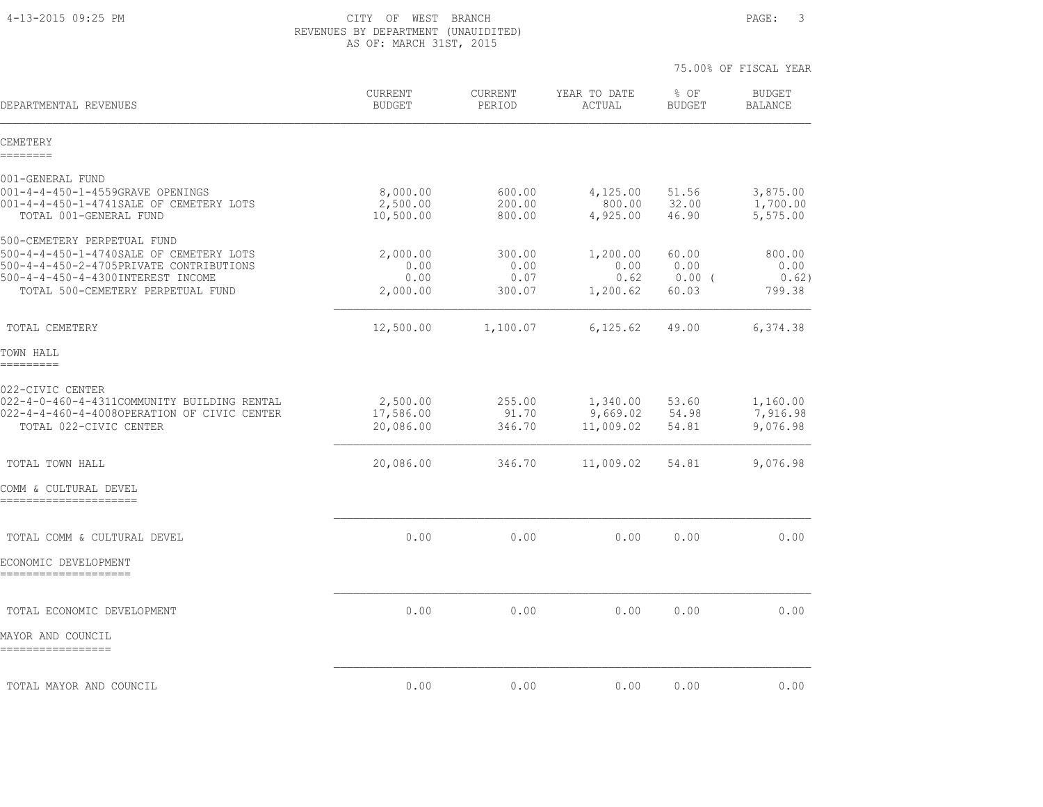4-13-2015 09:25 PM CITY OF WEST BRANCH PAGE: 3 REVENUES BY DEPARTMENT (UNAUIDITED) AS OF: MARCH 31ST, 2015

| DEPARTMENTAL REVENUES                                                                                                                                                                       | CURRENT<br><b>BUDGET</b>             | <b>CURRENT</b><br>PERIOD         | YEAR TO DATE<br>ACTUAL               | % OF<br><b>BUDGET</b>              | <b>BUDGET</b><br><b>BALANCE</b>   |
|---------------------------------------------------------------------------------------------------------------------------------------------------------------------------------------------|--------------------------------------|----------------------------------|--------------------------------------|------------------------------------|-----------------------------------|
| CEMETERY<br>========                                                                                                                                                                        |                                      |                                  |                                      |                                    |                                   |
| 001-GENERAL FUND                                                                                                                                                                            |                                      |                                  |                                      |                                    |                                   |
| 001-4-4-450-1-4559GRAVE OPENINGS<br>001-4-4-450-1-4741SALE OF CEMETERY LOTS<br>TOTAL 001-GENERAL FUND                                                                                       | 8,000.00<br>2,500.00<br>10,500.00    | 600.00<br>200.00<br>800.00       | 4,125.00<br>800.00<br>4,925.00       | 51.56<br>32.00<br>46.90            | 3,875.00<br>1,700.00<br>5,575.00  |
| 500-CEMETERY PERPETUAL FUND<br>500-4-4-450-1-4740SALE OF CEMETERY LOTS<br>500-4-4-450-2-4705PRIVATE CONTRIBUTIONS<br>500-4-4-450-4-4300INTEREST INCOME<br>TOTAL 500-CEMETERY PERPETUAL FUND | 2,000.00<br>0.00<br>0.00<br>2,000.00 | 300.00<br>0.00<br>0.07<br>300.07 | 1,200.00<br>0.00<br>0.62<br>1,200.62 | 60.00<br>0.00<br>$0.00$ (<br>60.03 | 800.00<br>0.00<br>0.62)<br>799.38 |
| TOTAL CEMETERY                                                                                                                                                                              | 12,500.00                            | 1,100.07                         | 6, 125.62                            | 49.00                              | 6,374.38                          |
| TOWN HALL<br>---------                                                                                                                                                                      |                                      |                                  |                                      |                                    |                                   |
| 022-CIVIC CENTER<br>022-4-0-460-4-4311COMMUNITY BUILDING RENTAL<br>022-4-4-460-4-4008OPERATION OF CIVIC CENTER<br>TOTAL 022-CIVIC CENTER                                                    | 2,500.00<br>17,586.00<br>20,086.00   | 255.00<br>91.70<br>346.70        | 1,340.00<br>9,669.02<br>11,009.02    | 53.60<br>54.98<br>54.81            | 1,160.00<br>7,916.98<br>9,076.98  |
| TOTAL TOWN HALL                                                                                                                                                                             | 20,086.00                            | 346.70                           | 11,009.02                            | 54.81                              | 9,076.98                          |
| COMM & CULTURAL DEVEL<br>======================                                                                                                                                             |                                      |                                  |                                      |                                    |                                   |
| TOTAL COMM & CULTURAL DEVEL                                                                                                                                                                 | 0.00                                 | 0.00                             | 0.00                                 | 0.00                               | 0.00                              |
| ECONOMIC DEVELOPMENT<br>=====================                                                                                                                                               |                                      |                                  |                                      |                                    |                                   |
| TOTAL ECONOMIC DEVELOPMENT                                                                                                                                                                  | 0.00                                 | 0.00                             | 0.00                                 | 0.00                               | 0.00                              |
| MAYOR AND COUNCIL<br>=================                                                                                                                                                      |                                      |                                  |                                      |                                    |                                   |
| TOTAL MAYOR AND COUNCIL                                                                                                                                                                     | 0.00                                 | 0.00                             | 0.00                                 | 0.00                               | 0.00                              |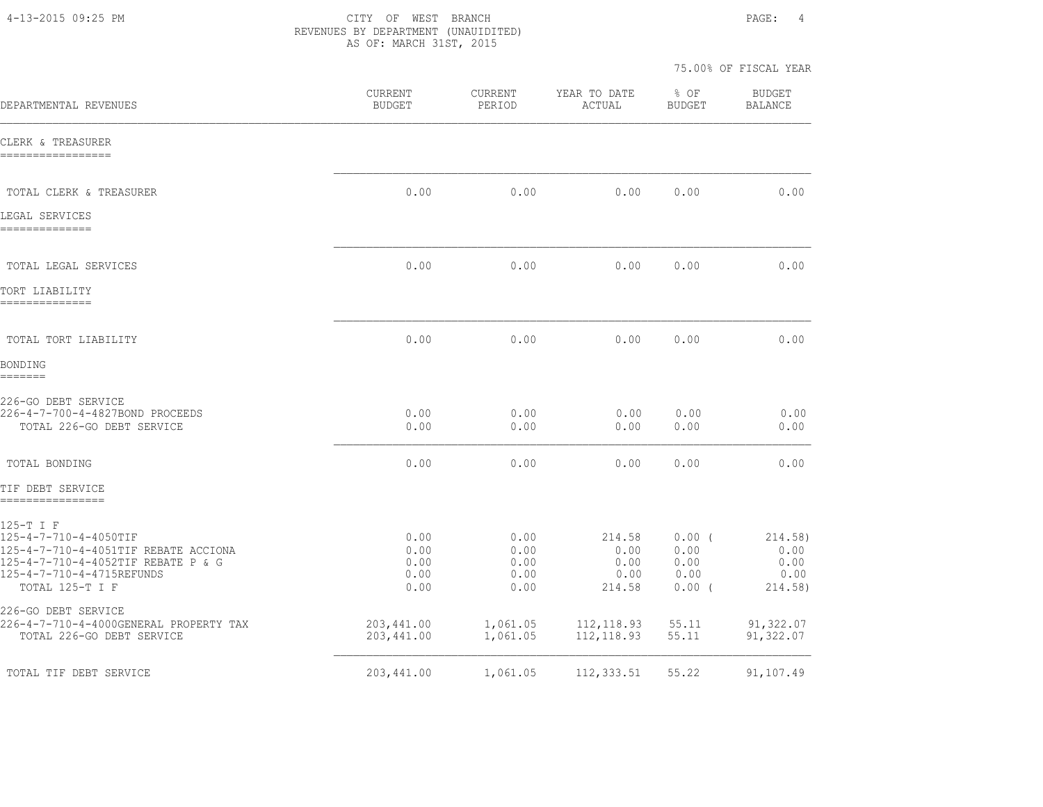4-13-2015 09:25 PM CITY OF WEST BRANCH PAGE: 4 REVENUES BY DEPARTMENT (UNAUIDITED) AS OF: MARCH 31ST, 2015

| DEPARTMENTAL REVENUES                                                                                                                                            | CURRENT<br><b>BUDGET</b>             | <b>CURRENT</b><br>PERIOD             | YEAR TO DATE<br>ACTUAL                   | $8$ OF<br><b>BUDGET</b>                | <b>BUDGET</b><br><b>BALANCE</b>            |
|------------------------------------------------------------------------------------------------------------------------------------------------------------------|--------------------------------------|--------------------------------------|------------------------------------------|----------------------------------------|--------------------------------------------|
| CLERK & TREASURER<br>------------------                                                                                                                          |                                      |                                      |                                          |                                        |                                            |
| TOTAL CLERK & TREASURER                                                                                                                                          | 0.00                                 | 0.00                                 | 0.00                                     | 0.00                                   | 0.00                                       |
| LEGAL SERVICES<br>--------------                                                                                                                                 |                                      |                                      |                                          |                                        |                                            |
| TOTAL LEGAL SERVICES                                                                                                                                             | 0.00                                 | 0.00                                 | 0.00                                     | 0.00                                   | 0.00                                       |
| TORT LIABILITY<br>--------------                                                                                                                                 |                                      |                                      |                                          |                                        |                                            |
| TOTAL TORT LIABILITY                                                                                                                                             | 0.00                                 | 0.00                                 | 0.00                                     | 0.00                                   | 0.00                                       |
| BONDING<br>=======                                                                                                                                               |                                      |                                      |                                          |                                        |                                            |
| 226-GO DEBT SERVICE<br>226-4-7-700-4-4827BOND PROCEEDS<br>TOTAL 226-GO DEBT SERVICE                                                                              | 0.00<br>0.00                         | 0.00<br>0.00                         | 0.00<br>0.00                             | 0.00<br>0.00                           | 0.00<br>0.00                               |
| TOTAL BONDING                                                                                                                                                    | 0.00                                 | 0.00                                 | 0.00                                     | 0.00                                   | 0.00                                       |
| TIF DEBT SERVICE<br>-----------------                                                                                                                            |                                      |                                      |                                          |                                        |                                            |
| 125-T I F<br>125-4-7-710-4-4050TIF<br>125-4-7-710-4-4051TIF REBATE ACCIONA<br>125-4-7-710-4-4052TIF REBATE P & G<br>125-4-7-710-4-4715REFUNDS<br>TOTAL 125-T I F | 0.00<br>0.00<br>0.00<br>0.00<br>0.00 | 0.00<br>0.00<br>0.00<br>0.00<br>0.00 | 214.58<br>0.00<br>0.00<br>0.00<br>214.58 | 0.00(<br>0.00<br>0.00<br>0.00<br>0.00( | 214.58)<br>0.00<br>0.00<br>0.00<br>214.58) |
| 226-GO DEBT SERVICE<br>226-4-7-710-4-4000GENERAL PROPERTY TAX<br>TOTAL 226-GO DEBT SERVICE                                                                       | 203, 441.00<br>203,441.00            | 1,061.05<br>1,061.05                 | 112,118.93<br>112, 118.93                | 55.11<br>55.11                         | 91,322.07<br>91,322.07                     |
| TOTAL TIF DEBT SERVICE                                                                                                                                           | 203,441.00                           | 1,061.05                             | 112, 333.51                              | 55.22                                  | 91,107.49                                  |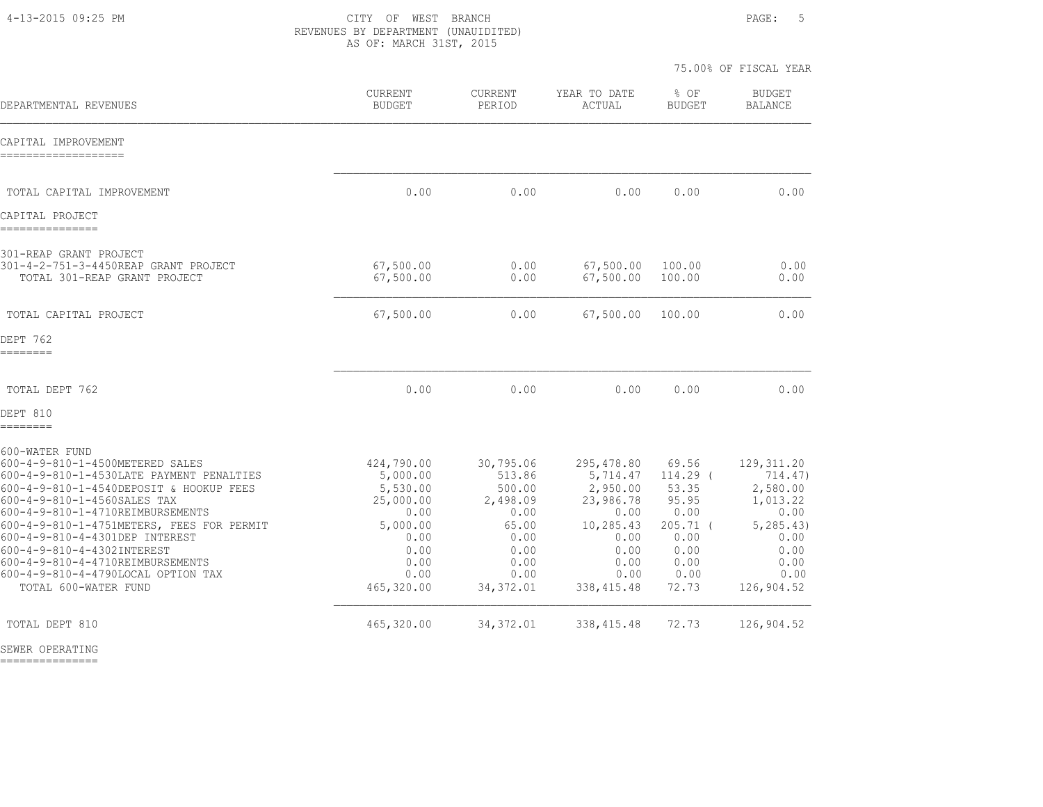4-13-2015 09:25 PM CITY OF WEST BRANCH PAGE: 5 REVENUES BY DEPARTMENT (UNAUIDITED) AS OF: MARCH 31ST, 2015

75.00% OF FISCAL YEAR

| DEPARTMENTAL REVENUES                                                                                                                                                                                                                                                                                                                                                                                                      | CURRENT<br><b>BUDGET</b>                                                                                          | <b>CURRENT</b><br>PERIOD                                                                                 | YEAR TO DATE<br>ACTUAL                                                                                              | $8$ OF<br><b>BUDGET</b>                                                                            | <b>BUDGET</b><br><b>BALANCE</b>                                                                                     |
|----------------------------------------------------------------------------------------------------------------------------------------------------------------------------------------------------------------------------------------------------------------------------------------------------------------------------------------------------------------------------------------------------------------------------|-------------------------------------------------------------------------------------------------------------------|----------------------------------------------------------------------------------------------------------|---------------------------------------------------------------------------------------------------------------------|----------------------------------------------------------------------------------------------------|---------------------------------------------------------------------------------------------------------------------|
| CAPITAL IMPROVEMENT<br>--------------------                                                                                                                                                                                                                                                                                                                                                                                |                                                                                                                   |                                                                                                          |                                                                                                                     |                                                                                                    |                                                                                                                     |
| TOTAL CAPITAL IMPROVEMENT                                                                                                                                                                                                                                                                                                                                                                                                  | 0.00                                                                                                              | 0.00                                                                                                     | 0.00                                                                                                                | 0.00                                                                                               | 0.00                                                                                                                |
| CAPITAL PROJECT<br>---------------                                                                                                                                                                                                                                                                                                                                                                                         |                                                                                                                   |                                                                                                          |                                                                                                                     |                                                                                                    |                                                                                                                     |
| 301-REAP GRANT PROJECT<br>301-4-2-751-3-4450REAP GRANT PROJECT<br>TOTAL 301-REAP GRANT PROJECT                                                                                                                                                                                                                                                                                                                             | 67,500.00<br>67,500.00                                                                                            | 0.00<br>0.00                                                                                             | 67,500.00<br>67,500.00                                                                                              | 100.00<br>100.00                                                                                   | 0.00<br>0.00                                                                                                        |
| TOTAL CAPITAL PROJECT                                                                                                                                                                                                                                                                                                                                                                                                      | 67,500.00                                                                                                         | 0.00                                                                                                     | 67,500.00                                                                                                           | 100.00                                                                                             | 0.00                                                                                                                |
| DEPT 762<br>--------                                                                                                                                                                                                                                                                                                                                                                                                       |                                                                                                                   |                                                                                                          |                                                                                                                     |                                                                                                    |                                                                                                                     |
| TOTAL DEPT 762                                                                                                                                                                                                                                                                                                                                                                                                             | 0.00                                                                                                              | 0.00                                                                                                     | 0.00                                                                                                                | 0.00                                                                                               | 0.00                                                                                                                |
| DEPT 810<br>========                                                                                                                                                                                                                                                                                                                                                                                                       |                                                                                                                   |                                                                                                          |                                                                                                                     |                                                                                                    |                                                                                                                     |
| 600-WATER FUND<br>600-4-9-810-1-4500METERED SALES<br>600-4-9-810-1-4530LATE PAYMENT PENALTIES<br>600-4-9-810-1-4540DEPOSIT & HOOKUP FEES<br>600-4-9-810-1-4560SALES TAX<br>600-4-9-810-1-4710REIMBURSEMENTS<br>600-4-9-810-1-4751METERS, FEES FOR PERMIT<br>600-4-9-810-4-4301DEP INTEREST<br>600-4-9-810-4-4302INTEREST<br>600-4-9-810-4-4710REIMBURSEMENTS<br>600-4-9-810-4-4790LOCAL OPTION TAX<br>TOTAL 600-WATER FUND | 424,790.00<br>5,000.00<br>5,530.00<br>25,000.00<br>0.00<br>5,000.00<br>0.00<br>0.00<br>0.00<br>0.00<br>465,320.00 | 30,795.06<br>513.86<br>500.00<br>2,498.09<br>0.00<br>65.00<br>0.00<br>0.00<br>0.00<br>0.00<br>34, 372.01 | 295,478.80<br>5,714.47<br>2,950.00<br>23,986.78<br>0.00<br>10,285.43<br>0.00<br>0.00<br>0.00<br>0.00<br>338, 415.48 | 69.56<br>114.29 (<br>53.35<br>95.95<br>0.00<br>$205.71$ (<br>0.00<br>0.00<br>0.00<br>0.00<br>72.73 | 129, 311.20<br>714.47)<br>2,580.00<br>1,013.22<br>0.00<br>5, 285, 43)<br>0.00<br>0.00<br>0.00<br>0.00<br>126,904.52 |
| TOTAL DEPT 810                                                                                                                                                                                                                                                                                                                                                                                                             | 465,320.00                                                                                                        | 34, 372.01                                                                                               | 338, 415.48                                                                                                         | 72.73                                                                                              | 126,904.52                                                                                                          |

SEWER OPERATING

===============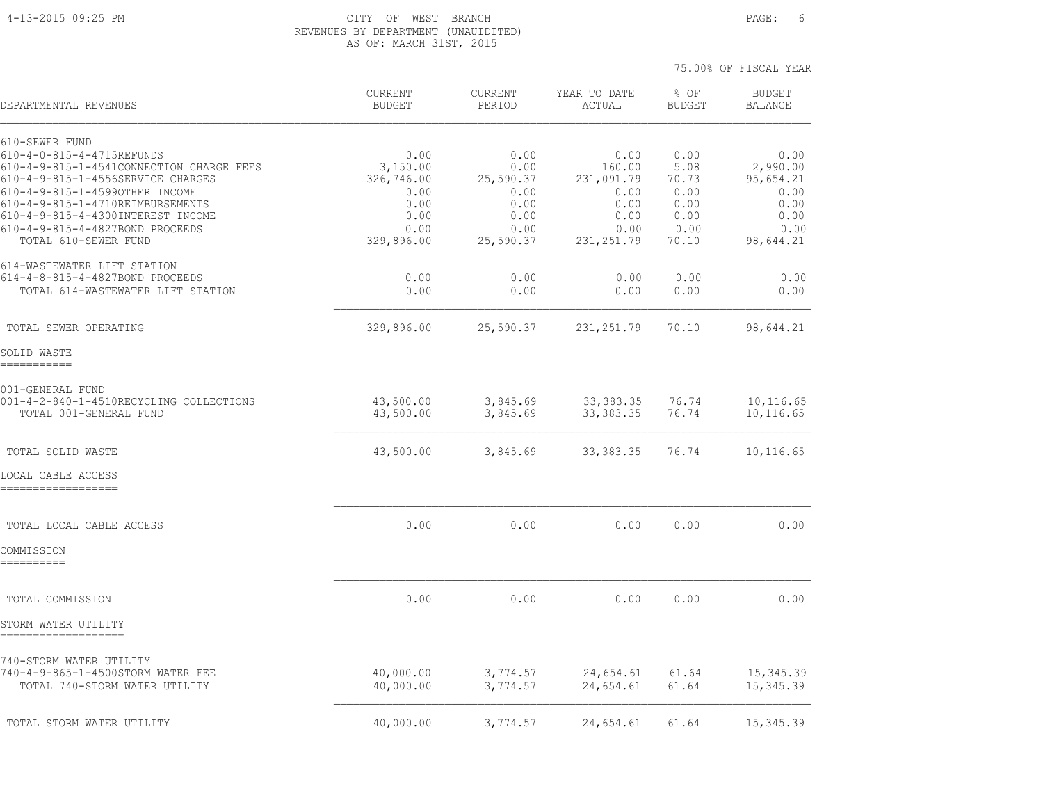#### 4-13-2015 09:25 PM CITY OF WEST BRANCH PAGE: 6 REVENUES BY DEPARTMENT (UNAUIDITED) AS OF: MARCH 31ST, 2015

| DEPARTMENTAL REVENUES                                                                                                                                                                                                                                                                              | <b>CURRENT</b><br><b>BUDGET</b>                                              | CURRENT<br>PERIOD                                                      | YEAR TO DATE<br>ACTUAL                                                      | % OF<br><b>BUDGET</b>                                          | <b>BUDGET</b><br><b>BALANCE</b>                                            |
|----------------------------------------------------------------------------------------------------------------------------------------------------------------------------------------------------------------------------------------------------------------------------------------------------|------------------------------------------------------------------------------|------------------------------------------------------------------------|-----------------------------------------------------------------------------|----------------------------------------------------------------|----------------------------------------------------------------------------|
| 610-SEWER FUND<br>610-4-0-815-4-4715REFUNDS<br>610-4-9-815-1-4541CONNECTION CHARGE FEES<br>610-4-9-815-1-4556SERVICE CHARGES<br>610-4-9-815-1-4599OTHER INCOME<br>610-4-9-815-1-4710REIMBURSEMENTS<br>610-4-9-815-4-4300INTEREST INCOME<br>610-4-9-815-4-4827BOND PROCEEDS<br>TOTAL 610-SEWER FUND | 0.00<br>3,150.00<br>326,746.00<br>0.00<br>0.00<br>0.00<br>0.00<br>329,896.00 | 0.00<br>0.00<br>25,590.37<br>0.00<br>0.00<br>0.00<br>0.00<br>25,590.37 | 0.00<br>160.00<br>231,091.79<br>0.00<br>0.00<br>0.00<br>0.00<br>231, 251.79 | 0.00<br>5.08<br>70.73<br>0.00<br>0.00<br>0.00<br>0.00<br>70.10 | 0.00<br>2,990.00<br>95,654.21<br>0.00<br>0.00<br>0.00<br>0.00<br>98,644.21 |
| 614-WASTEWATER LIFT STATION<br>614-4-8-815-4-4827BOND PROCEEDS<br>TOTAL 614-WASTEWATER LIFT STATION                                                                                                                                                                                                | 0.00<br>0.00                                                                 | 0.00<br>0.00                                                           | 0.00<br>0.00                                                                | 0.00<br>0.00                                                   | 0.00<br>0.00                                                               |
| TOTAL SEWER OPERATING                                                                                                                                                                                                                                                                              | 329,896.00                                                                   | 25,590.37                                                              | 231, 251.79                                                                 | 70.10                                                          | 98,644.21                                                                  |
| SOLID WASTE<br>===========                                                                                                                                                                                                                                                                         |                                                                              |                                                                        |                                                                             |                                                                |                                                                            |
| 001-GENERAL FUND<br>001-4-2-840-1-4510RECYCLING COLLECTIONS<br>TOTAL 001-GENERAL FUND                                                                                                                                                                                                              | 43,500.00<br>43,500.00                                                       | 3,845.69<br>3,845.69                                                   | 33, 383. 35<br>33, 383. 35                                                  | 76.74<br>76.74                                                 | 10,116.65<br>10,116.65                                                     |
| TOTAL SOLID WASTE                                                                                                                                                                                                                                                                                  | 43,500.00                                                                    | 3,845.69                                                               | 33, 383. 35                                                                 | 76.74                                                          | 10,116.65                                                                  |
| LOCAL CABLE ACCESS                                                                                                                                                                                                                                                                                 |                                                                              |                                                                        |                                                                             |                                                                |                                                                            |
| TOTAL LOCAL CABLE ACCESS<br>COMMISSION                                                                                                                                                                                                                                                             | 0.00                                                                         | 0.00                                                                   | 0.00                                                                        | 0.00                                                           | 0.00                                                                       |
| TOTAL COMMISSION                                                                                                                                                                                                                                                                                   | 0.00                                                                         | 0.00                                                                   | 0.00                                                                        | 0.00                                                           | 0.00                                                                       |
| STORM WATER UTILITY                                                                                                                                                                                                                                                                                |                                                                              |                                                                        |                                                                             |                                                                |                                                                            |
| 740-STORM WATER UTILITY<br>740-4-9-865-1-4500STORM WATER FEE<br>TOTAL 740-STORM WATER UTILITY                                                                                                                                                                                                      | 40,000.00<br>40,000.00                                                       | 3,774.57<br>3,774.57                                                   | 24,654.61<br>24,654.61                                                      | 61.64<br>61.64                                                 | 15, 345.39<br>15, 345.39                                                   |
| TOTAL STORM WATER UTILITY                                                                                                                                                                                                                                                                          | 40,000.00                                                                    | 3,774.57                                                               | 24,654.61                                                                   | 61.64                                                          | 15, 345.39                                                                 |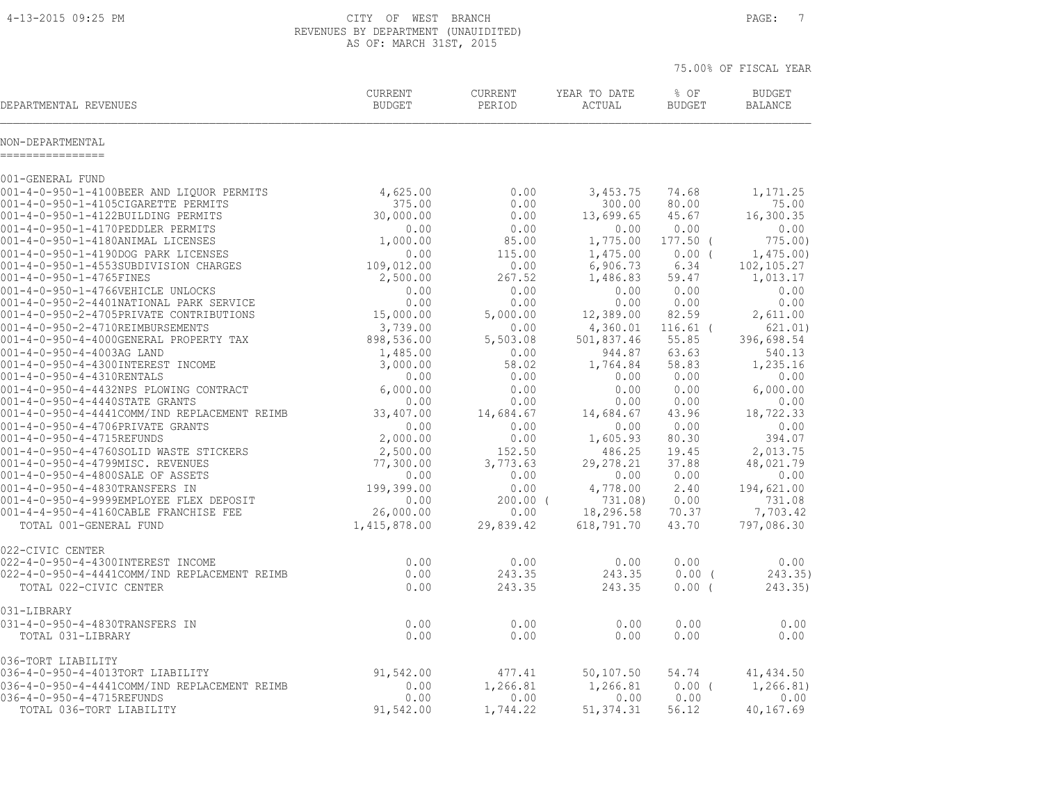4-13-2015 09:25 PM CITY OF WEST BRANCH PAGE: 7 REVENUES BY DEPARTMENT (UNAUIDITED) AS OF: MARCH 31ST, 2015

| DEPARTMENTAL REVENUES                                  | <b>CURRENT</b> | <b>CURRENT</b> | YEAR TO DATE | % OF          | <b>BUDGET</b>  |
|--------------------------------------------------------|----------------|----------------|--------------|---------------|----------------|
|                                                        | <b>BUDGET</b>  | PERIOD         | ACTUAL       | <b>BUDGET</b> | <b>BALANCE</b> |
| NON-DEPARTMENTAL<br>===========                        |                |                |              |               |                |
| 001-GENERAL FUND                                       |                |                |              |               |                |
| 001-4-0-950-1-4100BEER AND LIQUOR PERMITS              | 4,625.00       | 0.00           | 3,453.75     | 74.68         | 1,171.25       |
| 001-4-0-950-1-4105CIGARETTE PERMITS                    | 375.00         | 0.00           | 300.00       | 80.00         | 75.00          |
| 001-4-0-950-1-4122BUILDING PERMITS                     | 30,000.00      | 0.00           | 13,699.65    | 45.67         | 16,300.35      |
| 001-4-0-950-1-4170PEDDLER PERMITS                      | 0.00           | 0.00           | 0.00         | 0.00          | 0.00           |
| 001-4-0-950-1-4180ANIMAL LICENSES                      | 1,000.00       | 85.00          | 1,775.00     | 177.50 (      | 775.00         |
| 001-4-0-950-1-4190DOG PARK LICENSES                    | 0.00           | 115.00         | 1,475.00     | 0.00(         | 1,475.00       |
| 001-4-0-950-1-4553SUBDIVISION CHARGES                  | 109,012.00     | 0.00           | 6,906.73     | 6.34          | 102,105.27     |
| 001-4-0-950-1-4765FINES                                | 2,500.00       | 267.52         | 1,486.83     | 59.47         | 1,013.17       |
| 001-4-0-950-1-4766VEHICLE UNLOCKS                      | 0.00           | 0.00           | 0.00         | 0.00          | 0.00           |
| 001-4-0-950-2-4401NATIONAL PARK SERVICE                | 0.00           | 0.00           | 0.00         | 0.00          | 0.00           |
| 001-4-0-950-2-4705PRIVATE CONTRIBUTIONS                | 15,000.00      | 5,000.00       | 12,389.00    | 82.59         | 2,611.00       |
| 001-4-0-950-2-4710REIMBURSEMENTS                       | 3,739.00       | 0.00           | 4,360.01     | $116.61$ (    | 621.01)        |
| 001-4-0-950-4-4000GENERAL PROPERTY TAX                 | 898,536.00     | 5,503.08       | 501,837.46   | 55.85         | 396,698.54     |
| 001-4-0-950-4-4003AG LAND                              | 1,485.00       | 0.00           | 944.87       | 63.63         | 540.13         |
| 001-4-0-950-4-4300INTEREST INCOME                      | 3,000.00       | 58.02          | 1,764.84     | 58.83         | 1,235.16       |
| 001-4-0-950-4-4310RENTALS                              | 0.00           | 0.00           | 0.00         | 0.00          | 0.00           |
| 001-4-0-950-4-4432NPS PLOWING CONTRACT                 | 6,000.00       | 0.00           | 0.00         | 0.00          | 6,000.00       |
| 001-4-0-950-4-4440STATE GRANTS                         | 0.00           | 0.00           | 0.00         | 0.00          | 0.00           |
| 001-4-0-950-4-4441COMM/IND REPLACEMENT REIMB           | 33,407.00      | 14,684.67      | 14,684.67    | 43.96         | 18,722.33      |
| 001-4-0-950-4-4706PRIVATE GRANTS                       | 0.00           | 0.00           | 0.00         | 0.00          | 0.00           |
| 001-4-0-950-4-4715REFUNDS                              | 2,000.00       | 0.00           | 1,605.93     | 80.30         | 394.07         |
| 001-4-0-950-4-4760SOLID WASTE STICKERS                 | 2,500.00       | 152.50         | 486.25       | 19.45         | 2,013.75       |
| 001-4-0-950-4-4799MISC. REVENUES                       | 77,300.00      | 3,773.63       | 29, 278. 21  | 37.88         | 48,021.79      |
| 001-4-0-950-4-4800SALE OF ASSETS                       | 0.00           | 0.00           | 0.00         | 0.00          | 0.00           |
| 001-4-0-950-4-4830TRANSFERS IN                         | 199,399.00     | 0.00           | 4,778.00     | 2.40          | 194,621.00     |
| 001-4-0-950-4-9999EMPLOYEE FLEX DEPOSIT                | 0.00           | $200.00$ (     | 731.08)      | 0.00          | 731.08         |
| 001-4-4-950-4-4160CABLE FRANCHISE FEE                  | 26,000.00      | 0.00           | 18,296.58    | 70.37         | 7,703.42       |
| TOTAL 001-GENERAL FUND                                 | 1,415,878.00   | 29,839.42      | 618,791.70   | 43.70         | 797,086.30     |
| 022-CIVIC CENTER<br>022-4-0-950-4-4300INTEREST INCOME  | 0.00           | 0.00           | 0.00         | 0.00          | 0.00           |
| 022-4-0-950-4-4441COMM/IND REPLACEMENT REIMB           | 0.00           | 243.35         | 243.35       | $0.00$ (      | 243.35)        |
| TOTAL 022-CIVIC CENTER                                 | 0.00           | 243.35         | 243.35       | $0.00$ (      | 243.35)        |
| 031-LIBRARY                                            |                |                |              |               |                |
| 031-4-0-950-4-4830TRANSFERS IN                         | 0.00           | 0.00           | 0.00         | 0.00          | 0.00           |
| TOTAL 031-LIBRARY                                      | 0.00           | 0.00           | 0.00         | 0.00          | 0.00           |
| 036-TORT LIABILITY<br>036-4-0-950-4-4013TORT LIABILITY | 91,542.00      | 477.41         | 50,107.50    | 54.74         | 41, 434.50     |
| 036-4-0-950-4-4441COMM/IND REPLACEMENT REIMB           | 0.00           | 1,266.81       | 1,266.81     | 0.00(         | 1,266.81)      |
| 036-4-0-950-4-4715REFUNDS                              | 0.00           | 0.00           | 0.00         | 0.00          | 0.00           |
| TOTAL 036-TORT LIABILITY                               | 91,542.00      | 1,744.22       | 51, 374.31   | 56.12         | 40,167.69      |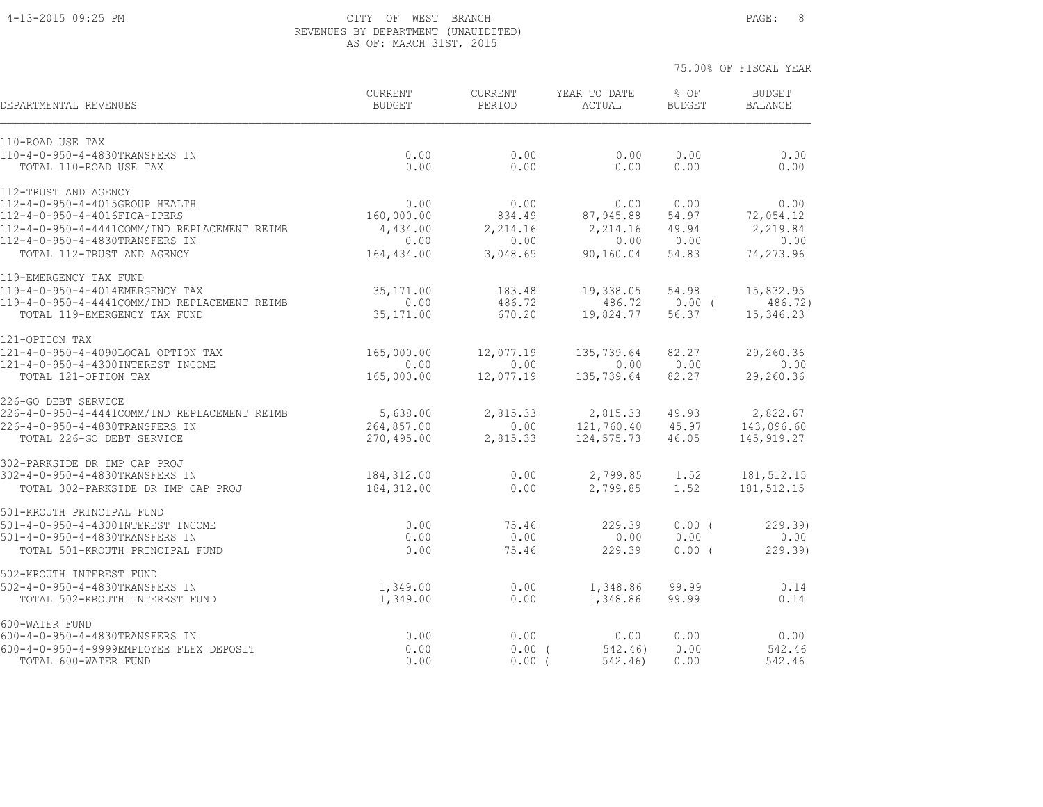#### 4-13-2015 09:25 PM CITY OF WEST BRANCH PAGE: 8 REVENUES BY DEPARTMENT (UNAUIDITED) AS OF: MARCH 31ST, 2015

75.00% OF FISCAL YEAR

 CURRENT CURRENT YEAR TO DATE % OF BUDGET DEPARTMENTAL REVENUES BUDGET PERIOD ACTUAL BUDGET BALANCE 110-ROAD USE TAX<br>110-4-0-950-4-4830TRANSFERS IN<br>TOTAL 110-ROAD USE TAX 110-4-0-950-4-4830TRANSFERS IN 0.00 0.00 0.00 0.00 0.00 TOTAL 110-ROAD USE TAX 0.00 0.00 0.00 0.00 0.00 112-TRUST AND AGENCY 112-4-0-950-4-4015GROUP HEALTH 0.00 0.00 0.00 0.00 0.00 112-4-0-950-4-4016FICA-IPERS 160,000.00 834.49 87,945.88 54.97 72,054.12 112-4-0-950-4-4441COMM/IND REPLACEMENT REIMB 4,434.00 2,214.16 2,214.16 49.94 2,219.84 112-4-0-950-4-4830TRANSFERS IN 0.00 0.00 0.00 0.00 0.00 TOTAL 112-TRUST AND AGENCY 164,434.00 3,048.65 90,160.04 54.83 74,273.96 119-EMERGENCY TAX FUND 119-4-0-950-4-4014EMERGENCY TAX 35,171.00 183.48 19,338.05 54.98 15,832.95 119-4-0-950-4-4441COMM/IND REPLACEMENT REIMB 0.00 486.72 486.72 0.00 ( 486.72) TOTAL 119-EMERGENCY TAX FUND 35,171.00 670.20 19,824.77 56.37 15,346.23 121-OPTION TAX 121-4-0-950-4-4090LOCAL OPTION TAX 165,000.00 12,077.19 135,739.64 82.27 29,260.36 121-4-0-950-4-4300INTEREST INCOME 0.00 0.00 0.00 0.00 0.00 TOTAL 121-OPTION TAX 165,000.00 12,077.19 135,739.64 82.27 29,260.36 226-GO DEBT SERVICE 226-4-0-950-4-4441COMM/IND REPLACEMENT REIMB 5,638.00 2,815.33 2,815.33 49.93 2,822.67 226-4-0-950-4-4830TRANSFERS IN 264,857.00 0.00 121,760.40 45.97 143,096.60 TOTAL 226-GO DEBT SERVICE 270,495.00 2,815.33 124,575.73 46.05 145,919.27 302-PARKSIDE DR IMP CAP PROJ 302-4-0-950-4-4830TRANSFERS IN 184,312.00 0.00 2,799.85 1.52 181,512.15 TOTAL 302-PARKSIDE DR IMP CAP PROJ 184,312.00 0.00 2,799.85 1.52 181,512.15 501-KROUTH PRINCIPAL FUND 501-4-0-950-4-4300INTEREST INCOME 0.00 75.46 229.39 0.00 ( 229.39) 501-4-0-950-4-4830TRANSFERS IN 0.00 0.00 0.00 0.00 0.00 TOTAL 501-KROUTH PRINCIPAL FUND 0.00 75.46 229.39 0.00 ( 229.39) 502-KROUTH INTEREST FUND 502-4-0-950-4-4830TRANSFERS IN 1,349.00 0.00 1,348.86 99.99 0.14 TOTAL 502-KROUTH INTEREST FUND 1,349.00 0.00 1,348.86 99.99 0.14 600-WATER FUND 600-4-0-950-4-4830TRANSFERS IN 0.00 0.00 0.00 0.00 0.00 600-4-0-950-4-9999EMPLOYEE FLEX DEPOSIT 0.00 0.00 ( 542.46) 0.00 542.46

TOTAL 600-WATER FUND 0.00 0.00 ( 542.46) 0.00 542.46